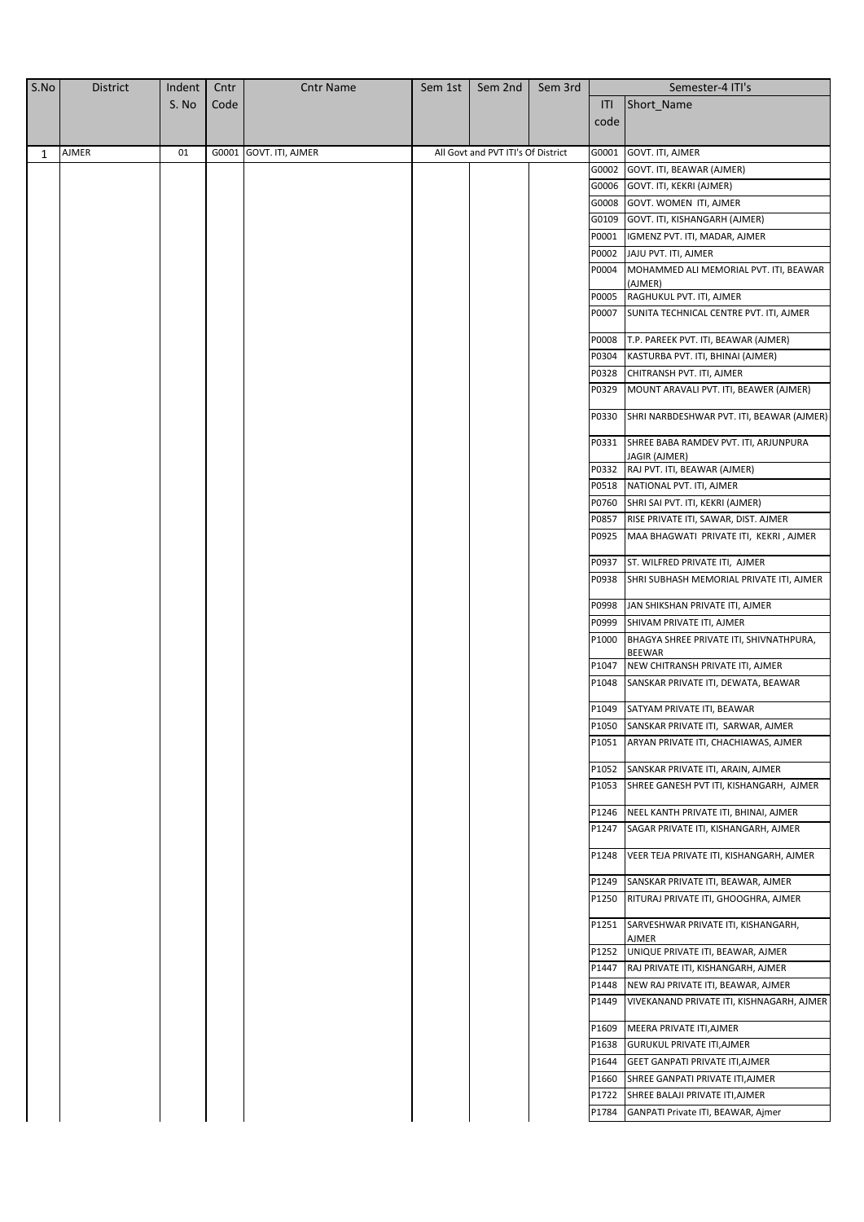| S.No | <b>District</b> | Indent | Cntr | <b>Cntr Name</b>       | Sem 1st | Sem 2nd                            | Sem 3rd |       | Semester-4 ITI's                                                                       |
|------|-----------------|--------|------|------------------------|---------|------------------------------------|---------|-------|----------------------------------------------------------------------------------------|
|      |                 | S. No  | Code |                        |         |                                    |         | ITI   | Short_Name                                                                             |
|      |                 |        |      |                        |         |                                    |         | code  |                                                                                        |
|      |                 |        |      |                        |         |                                    |         |       |                                                                                        |
| 1    | AJMER           | 01     |      | G0001 GOVT. ITI, AJMER |         | All Govt and PVT ITI's Of District |         | G0001 | GOVT. ITI, AJMER                                                                       |
|      |                 |        |      |                        |         |                                    |         | G0002 | GOVT. ITI, BEAWAR (AJMER)                                                              |
|      |                 |        |      |                        |         |                                    |         |       | G0006 GOVT. ITI, KEKRI (AJMER)                                                         |
|      |                 |        |      |                        |         |                                    |         |       | G0008 GOVT. WOMEN ITI, AJMER                                                           |
|      |                 |        |      |                        |         |                                    |         |       | G0109 GOVT. ITI, KISHANGARH (AJMER)                                                    |
|      |                 |        |      |                        |         |                                    |         |       | P0001   IGMENZ PVT. ITI, MADAR, AJMER                                                  |
|      |                 |        |      |                        |         |                                    |         |       | P0002 JAJU PVT. ITI, AJMER                                                             |
|      |                 |        |      |                        |         |                                    |         |       | P0004 MOHAMMED ALI MEMORIAL PVT. ITI, BEAWAR                                           |
|      |                 |        |      |                        |         |                                    |         | P0005 | (AJMER)<br>RAGHUKUL PVT. ITI, AJMER                                                    |
|      |                 |        |      |                        |         |                                    |         |       | P0007 SUNITA TECHNICAL CENTRE PVT. ITI, AJMER                                          |
|      |                 |        |      |                        |         |                                    |         |       |                                                                                        |
|      |                 |        |      |                        |         |                                    |         | P0008 | T.P. PAREEK PVT. ITI, BEAWAR (AJMER)                                                   |
|      |                 |        |      |                        |         |                                    |         |       | P0304 KASTURBA PVT. ITI, BHINAI (AJMER)                                                |
|      |                 |        |      |                        |         |                                    |         | P0328 | CHITRANSH PVT. ITI, AJMER                                                              |
|      |                 |        |      |                        |         |                                    |         | P0329 | MOUNT ARAVALI PVT. ITI, BEAWER (AJMER)                                                 |
|      |                 |        |      |                        |         |                                    |         | P0330 | SHRI NARBDESHWAR PVT. ITI, BEAWAR (AJMER)                                              |
|      |                 |        |      |                        |         |                                    |         |       | P0331 SHREE BABA RAMDEV PVT. ITI, ARJUNPURA<br>JAGIR (AJMER)                           |
|      |                 |        |      |                        |         |                                    |         |       | P0332 RAJ PVT. ITI, BEAWAR (AJMER)                                                     |
|      |                 |        |      |                        |         |                                    |         |       | P0518 NATIONAL PVT. ITI, AJMER                                                         |
|      |                 |        |      |                        |         |                                    |         |       | P0760 SHRI SAI PVT. ITI, KEKRI (AJMER)                                                 |
|      |                 |        |      |                        |         |                                    |         |       | P0857 RISE PRIVATE ITI, SAWAR, DIST. AJMER                                             |
|      |                 |        |      |                        |         |                                    |         |       | P0925   MAA BHAGWATI PRIVATE ITI, KEKRI, AJMER                                         |
|      |                 |        |      |                        |         |                                    |         |       | P0937 ST. WILFRED PRIVATE ITI, AJMER                                                   |
|      |                 |        |      |                        |         |                                    |         | P0938 | SHRI SUBHASH MEMORIAL PRIVATE ITI, AJMER                                               |
|      |                 |        |      |                        |         |                                    |         | P0998 | JAN SHIKSHAN PRIVATE ITI, AJMER                                                        |
|      |                 |        |      |                        |         |                                    |         |       | P0999 SHIVAM PRIVATE ITI, AJMER                                                        |
|      |                 |        |      |                        |         |                                    |         | P1000 | BHAGYA SHREE PRIVATE ITI, SHIVNATHPURA,<br><b>BEEWAR</b>                               |
|      |                 |        |      |                        |         |                                    |         | P1047 | NEW CHITRANSH PRIVATE ITI, AJMER                                                       |
|      |                 |        |      |                        |         |                                    |         | P1048 | SANSKAR PRIVATE ITI, DEWATA, BEAWAR                                                    |
|      |                 |        |      |                        |         |                                    |         |       | P1049 SATYAM PRIVATE ITI, BEAWAR                                                       |
|      |                 |        |      |                        |         |                                    |         |       | P1050 SANSKAR PRIVATE ITI, SARWAR, AJMER                                               |
|      |                 |        |      |                        |         |                                    |         |       | P1051 ARYAN PRIVATE ITI, CHACHIAWAS, AJMER                                             |
|      |                 |        |      |                        |         |                                    |         |       | P1052 SANSKAR PRIVATE ITI, ARAIN, AJMER                                                |
|      |                 |        |      |                        |         |                                    |         |       | P1053 SHREE GANESH PVT ITI, KISHANGARH, AJMER                                          |
|      |                 |        |      |                        |         |                                    |         |       | P1246 NEEL KANTH PRIVATE ITI, BHINAI, AJMER                                            |
|      |                 |        |      |                        |         |                                    |         |       | P1247 SAGAR PRIVATE ITI, KISHANGARH, AJMER                                             |
|      |                 |        |      |                        |         |                                    |         | P1248 | VEER TEJA PRIVATE ITI, KISHANGARH, AJMER                                               |
|      |                 |        |      |                        |         |                                    |         |       |                                                                                        |
|      |                 |        |      |                        |         |                                    |         |       | P1249 SANSKAR PRIVATE ITI, BEAWAR, AJMER<br>P1250 RITURAJ PRIVATE ITI, GHOOGHRA, AJMER |
|      |                 |        |      |                        |         |                                    |         |       | P1251 SARVESHWAR PRIVATE ITI, KISHANGARH,                                              |
|      |                 |        |      |                        |         |                                    |         | P1252 | AJMER<br>UNIQUE PRIVATE ITI, BEAWAR, AJMER                                             |
|      |                 |        |      |                        |         |                                    |         |       | P1447 RAJ PRIVATE ITI, KISHANGARH, AJMER                                               |
|      |                 |        |      |                        |         |                                    |         |       | P1448 NEW RAJ PRIVATE ITI, BEAWAR, AJMER                                               |
|      |                 |        |      |                        |         |                                    |         |       | P1449 VIVEKANAND PRIVATE ITI, KISHNAGARH, AJMER                                        |
|      |                 |        |      |                        |         |                                    |         |       | P1609 MEERA PRIVATE ITI, AJMER                                                         |
|      |                 |        |      |                        |         |                                    |         |       | P1638 GURUKUL PRIVATE ITI, AJMER                                                       |
|      |                 |        |      |                        |         |                                    |         |       | P1644 GEET GANPATI PRIVATE ITI, AJMER                                                  |
|      |                 |        |      |                        |         |                                    |         | P1660 | SHREE GANPATI PRIVATE ITI, AJMER                                                       |
|      |                 |        |      |                        |         |                                    |         | P1722 | SHREE BALAJI PRIVATE ITI, AJMER                                                        |
|      |                 |        |      |                        |         |                                    |         |       |                                                                                        |
|      |                 |        |      |                        |         |                                    |         |       | P1784 GANPATI Private ITI, BEAWAR, Ajmer                                               |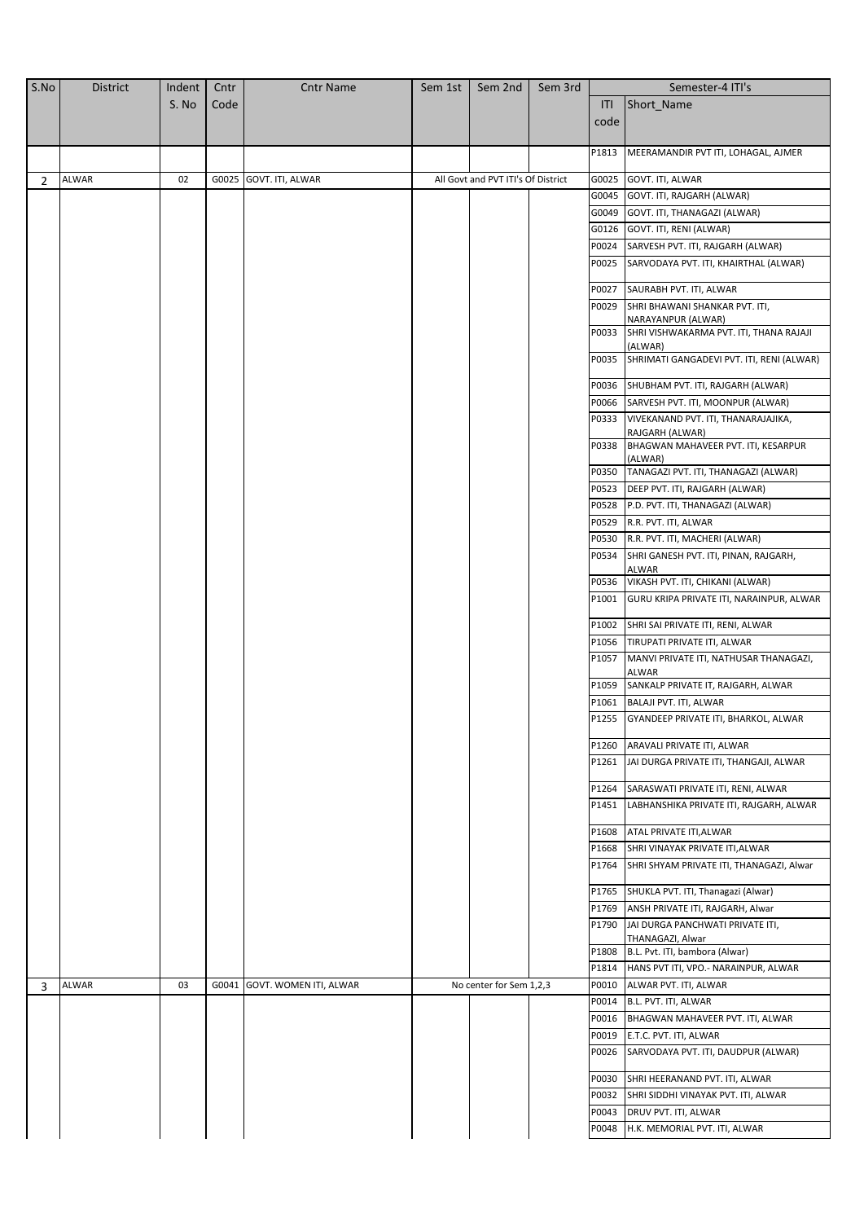| S.No | <b>District</b> | Indent | Cntr | <b>Cntr Name</b>             | Sem 1st | Sem 2nd                            | Sem 3rd |                | Semester-4 ITI's                                           |
|------|-----------------|--------|------|------------------------------|---------|------------------------------------|---------|----------------|------------------------------------------------------------|
|      |                 | S. No  | Code |                              |         |                                    |         | ITI            | Short_Name                                                 |
|      |                 |        |      |                              |         |                                    |         | code           |                                                            |
|      |                 |        |      |                              |         |                                    |         |                |                                                            |
|      |                 |        |      |                              |         |                                    |         | P1813          | MEERAMANDIR PVT ITI, LOHAGAL, AJMER                        |
|      |                 |        |      |                              |         |                                    |         |                |                                                            |
| 2    | <b>ALWAR</b>    | 02     |      | G0025 GOVT. ITI, ALWAR       |         | All Govt and PVT ITI's Of District |         | G0025<br>G0045 | GOVT. ITI, ALWAR                                           |
|      |                 |        |      |                              |         |                                    |         | G0049          | GOVT. ITI, RAJGARH (ALWAR)<br>GOVT. ITI, THANAGAZI (ALWAR) |
|      |                 |        |      |                              |         |                                    |         |                |                                                            |
|      |                 |        |      |                              |         |                                    |         | G0126          | GOVT. ITI, RENI (ALWAR)                                    |
|      |                 |        |      |                              |         |                                    |         | P0024          | SARVESH PVT. ITI, RAJGARH (ALWAR)                          |
|      |                 |        |      |                              |         |                                    |         | P0025          | SARVODAYA PVT. ITI, KHAIRTHAL (ALWAR)                      |
|      |                 |        |      |                              |         |                                    |         | P0027          | SAURABH PVT. ITI, ALWAR                                    |
|      |                 |        |      |                              |         |                                    |         | P0029          | SHRI BHAWANI SHANKAR PVT. ITI,                             |
|      |                 |        |      |                              |         |                                    |         |                | NARAYANPUR (ALWAR)                                         |
|      |                 |        |      |                              |         |                                    |         | P0033          | SHRI VISHWAKARMA PVT. ITI, THANA RAJAJI                    |
|      |                 |        |      |                              |         |                                    |         | P0035          | (ALWAR)<br>SHRIMATI GANGADEVI PVT. ITI, RENI (ALWAR)       |
|      |                 |        |      |                              |         |                                    |         |                |                                                            |
|      |                 |        |      |                              |         |                                    |         | P0036          | SHUBHAM PVT. ITI, RAJGARH (ALWAR)                          |
|      |                 |        |      |                              |         |                                    |         | P0066          | SARVESH PVT. ITI, MOONPUR (ALWAR)                          |
|      |                 |        |      |                              |         |                                    |         | P0333          | VIVEKANAND PVT. ITI, THANARAJAJIKA,                        |
|      |                 |        |      |                              |         |                                    |         | P0338          | RAJGARH (ALWAR)<br>BHAGWAN MAHAVEER PVT. ITI, KESARPUR     |
|      |                 |        |      |                              |         |                                    |         |                | (ALWAR)                                                    |
|      |                 |        |      |                              |         |                                    |         | P0350          | TANAGAZI PVT. ITI, THANAGAZI (ALWAR)                       |
|      |                 |        |      |                              |         |                                    |         | P0523          | DEEP PVT. ITI, RAJGARH (ALWAR)                             |
|      |                 |        |      |                              |         |                                    |         | P0528          | P.D. PVT. ITI, THANAGAZI (ALWAR)                           |
|      |                 |        |      |                              |         |                                    |         | P0529          | R.R. PVT. ITI, ALWAR                                       |
|      |                 |        |      |                              |         |                                    |         | P0530          | R.R. PVT. ITI, MACHERI (ALWAR)                             |
|      |                 |        |      |                              |         |                                    |         | P0534          | SHRI GANESH PVT. ITI, PINAN, RAJGARH,                      |
|      |                 |        |      |                              |         |                                    |         |                | ALWAR                                                      |
|      |                 |        |      |                              |         |                                    |         | P0536          | VIKASH PVT. ITI, CHIKANI (ALWAR)                           |
|      |                 |        |      |                              |         |                                    |         | P1001          | GURU KRIPA PRIVATE ITI, NARAINPUR, ALWAR                   |
|      |                 |        |      |                              |         |                                    |         | P1002          | SHRI SAI PRIVATE ITI, RENI, ALWAR                          |
|      |                 |        |      |                              |         |                                    |         | P1056          | TIRUPATI PRIVATE ITI, ALWAR                                |
|      |                 |        |      |                              |         |                                    |         | P1057          | MANVI PRIVATE ITI, NATHUSAR THANAGAZI,                     |
|      |                 |        |      |                              |         |                                    |         |                | ALWAR                                                      |
|      |                 |        |      |                              |         |                                    |         | P1059          | SANKALP PRIVATE IT, RAJGARH, ALWAR                         |
|      |                 |        |      |                              |         |                                    |         | P1061          | BALAJI PVT. ITI, ALWAR                                     |
|      |                 |        |      |                              |         |                                    |         | P1255          | GYANDEEP PRIVATE ITI, BHARKOL, ALWAR                       |
|      |                 |        |      |                              |         |                                    |         | P1260          | ARAVALI PRIVATE ITI, ALWAR                                 |
|      |                 |        |      |                              |         |                                    |         | P1261          | JAI DURGA PRIVATE ITI, THANGAJI, ALWAR                     |
|      |                 |        |      |                              |         |                                    |         |                |                                                            |
|      |                 |        |      |                              |         |                                    |         | P1264          | SARASWATI PRIVATE ITI, RENI, ALWAR                         |
|      |                 |        |      |                              |         |                                    |         | P1451          | LABHANSHIKA PRIVATE ITI, RAJGARH, ALWAR                    |
|      |                 |        |      |                              |         |                                    |         | P1608          | ATAL PRIVATE ITI, ALWAR                                    |
|      |                 |        |      |                              |         |                                    |         | P1668          | SHRI VINAYAK PRIVATE ITI, ALWAR                            |
|      |                 |        |      |                              |         |                                    |         | P1764          | SHRI SHYAM PRIVATE ITI, THANAGAZI, Alwar                   |
|      |                 |        |      |                              |         |                                    |         |                |                                                            |
|      |                 |        |      |                              |         |                                    |         | P1765          | SHUKLA PVT. ITI, Thanagazi (Alwar)                         |
|      |                 |        |      |                              |         |                                    |         | P1769          | ANSH PRIVATE ITI, RAJGARH, Alwar                           |
|      |                 |        |      |                              |         |                                    |         | P1790          | JAI DURGA PANCHWATI PRIVATE ITI,                           |
|      |                 |        |      |                              |         |                                    |         | P1808          | THANAGAZI, Alwar<br>B.L. Pvt. ITI, bambora (Alwar)         |
|      |                 |        |      |                              |         |                                    |         | P1814          | HANS PVT ITI, VPO .- NARAINPUR, ALWAR                      |
| 3    | <b>ALWAR</b>    | 03     |      | G0041 GOVT. WOMEN ITI, ALWAR |         | No center for Sem 1,2,3            |         | P0010          | ALWAR PVT. ITI, ALWAR                                      |
|      |                 |        |      |                              |         |                                    |         | P0014          | B.L. PVT. ITI, ALWAR                                       |
|      |                 |        |      |                              |         |                                    |         | P0016          | BHAGWAN MAHAVEER PVT. ITI, ALWAR                           |
|      |                 |        |      |                              |         |                                    |         | P0019          | E.T.C. PVT. ITI, ALWAR                                     |
|      |                 |        |      |                              |         |                                    |         | P0026          | SARVODAYA PVT. ITI, DAUDPUR (ALWAR)                        |
|      |                 |        |      |                              |         |                                    |         |                |                                                            |
|      |                 |        |      |                              |         |                                    |         | P0030          | SHRI HEERANAND PVT. ITI, ALWAR                             |
|      |                 |        |      |                              |         |                                    |         | P0032          | SHRI SIDDHI VINAYAK PVT. ITI, ALWAR                        |
|      |                 |        |      |                              |         |                                    |         | P0043          | DRUV PVT. ITI, ALWAR                                       |
|      |                 |        |      |                              |         |                                    |         | P0048          | H.K. MEMORIAL PVT. ITI, ALWAR                              |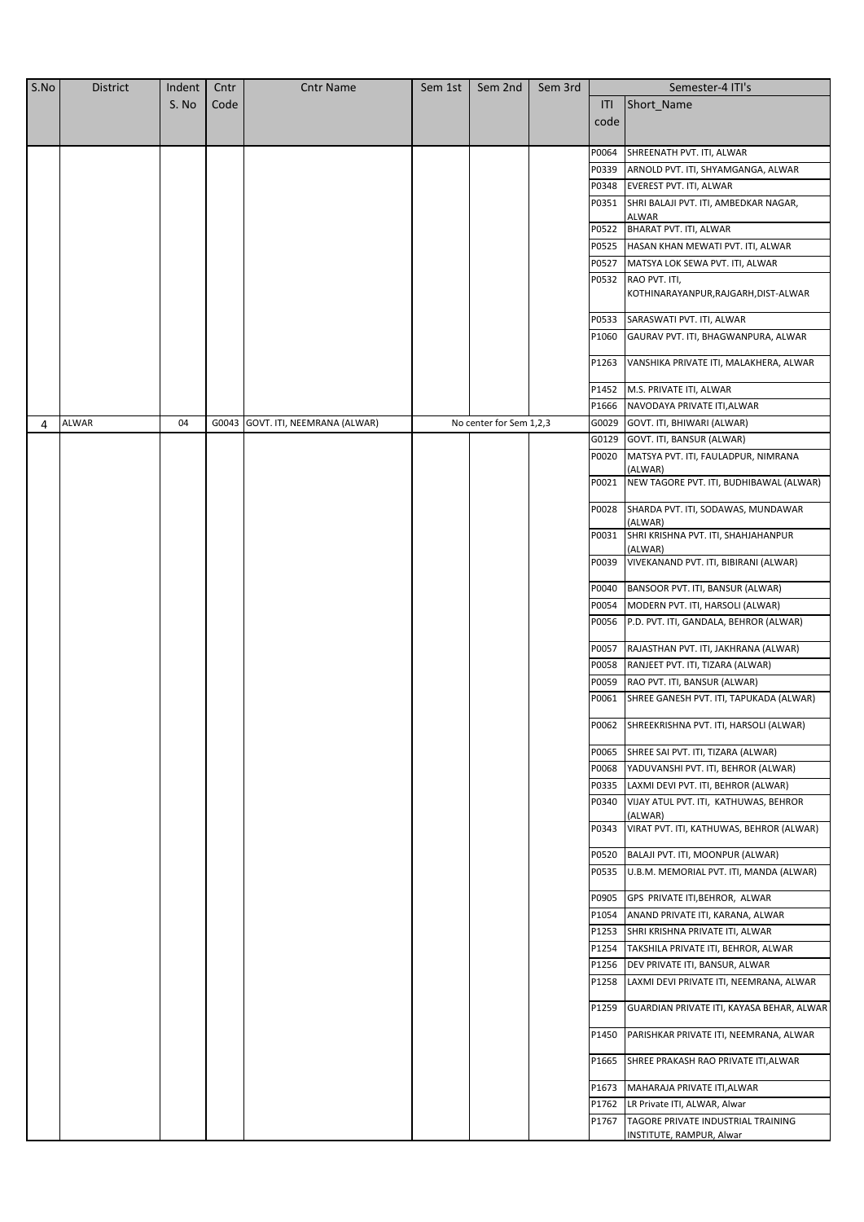| S.No | <b>District</b> | Indent | Cntr | <b>Cntr Name</b>                  | Sem 1st | Sem 2nd                 | Sem 3rd |       | Semester-4 ITI's                                    |
|------|-----------------|--------|------|-----------------------------------|---------|-------------------------|---------|-------|-----------------------------------------------------|
|      |                 | S. No  | Code |                                   |         |                         |         | ITI   | Short_Name                                          |
|      |                 |        |      |                                   |         |                         |         | code  |                                                     |
|      |                 |        |      |                                   |         |                         |         |       |                                                     |
|      |                 |        |      |                                   |         |                         |         | P0064 | SHREENATH PVT. ITI, ALWAR                           |
|      |                 |        |      |                                   |         |                         |         | P0339 | ARNOLD PVT. ITI, SHYAMGANGA, ALWAR                  |
|      |                 |        |      |                                   |         |                         |         | P0348 | EVEREST PVT. ITI, ALWAR                             |
|      |                 |        |      |                                   |         |                         |         | P0351 | SHRI BALAJI PVT. ITI, AMBEDKAR NAGAR,               |
|      |                 |        |      |                                   |         |                         |         | P0522 | ALWAR<br>BHARAT PVT. ITI, ALWAR                     |
|      |                 |        |      |                                   |         |                         |         | P0525 |                                                     |
|      |                 |        |      |                                   |         |                         |         | P0527 | HASAN KHAN MEWATI PVT. ITI, ALWAR                   |
|      |                 |        |      |                                   |         |                         |         | P0532 | MATSYA LOK SEWA PVT. ITI, ALWAR<br>RAO PVT. ITI,    |
|      |                 |        |      |                                   |         |                         |         |       | KOTHINARAYANPUR, RAJGARH, DIST-ALWAR                |
|      |                 |        |      |                                   |         |                         |         | P0533 | SARASWATI PVT. ITI, ALWAR                           |
|      |                 |        |      |                                   |         |                         |         | P1060 | GAURAV PVT. ITI, BHAGWANPURA, ALWAR                 |
|      |                 |        |      |                                   |         |                         |         |       |                                                     |
|      |                 |        |      |                                   |         |                         |         | P1263 | VANSHIKA PRIVATE ITI, MALAKHERA, ALWAR              |
|      |                 |        |      |                                   |         |                         |         | P1452 | M.S. PRIVATE ITI, ALWAR                             |
|      |                 |        |      |                                   |         |                         |         | P1666 | NAVODAYA PRIVATE ITI, ALWAR                         |
| 4    | ALWAR           | 04     |      | G0043 GOVT. ITI, NEEMRANA (ALWAR) |         | No center for Sem 1,2,3 |         | G0029 | GOVT. ITI, BHIWARI (ALWAR)                          |
|      |                 |        |      |                                   |         |                         |         | G0129 | GOVT. ITI, BANSUR (ALWAR)                           |
|      |                 |        |      |                                   |         |                         |         | P0020 | MATSYA PVT. ITI, FAULADPUR, NIMRANA<br>(ALWAR)      |
|      |                 |        |      |                                   |         |                         |         | P0021 | NEW TAGORE PVT. ITI, BUDHIBAWAL (ALWAR)             |
|      |                 |        |      |                                   |         |                         |         | P0028 | SHARDA PVT. ITI, SODAWAS, MUNDAWAR<br>(ALWAR)       |
|      |                 |        |      |                                   |         |                         |         | P0031 | SHRI KRISHNA PVT. ITI, SHAHJAHANPUR<br>(ALWAR)      |
|      |                 |        |      |                                   |         |                         |         | P0039 | VIVEKANAND PVT. ITI, BIBIRANI (ALWAR)               |
|      |                 |        |      |                                   |         |                         |         | P0040 | BANSOOR PVT. ITI, BANSUR (ALWAR)                    |
|      |                 |        |      |                                   |         |                         |         | P0054 | MODERN PVT. ITI, HARSOLI (ALWAR)                    |
|      |                 |        |      |                                   |         |                         |         | P0056 | P.D. PVT. ITI, GANDALA, BEHROR (ALWAR)              |
|      |                 |        |      |                                   |         |                         |         | P0057 | RAJASTHAN PVT. ITI, JAKHRANA (ALWAR)                |
|      |                 |        |      |                                   |         |                         |         | P0058 | RANJEET PVT. ITI, TIZARA (ALWAR)                    |
|      |                 |        |      |                                   |         |                         |         | P0059 | RAO PVT. ITI, BANSUR (ALWAR)                        |
|      |                 |        |      |                                   |         |                         |         | P0061 | SHREE GANESH PVT. ITI, TAPUKADA (ALWAR)             |
|      |                 |        |      |                                   |         |                         |         |       | P0062 SHREEKRISHNA PVT. ITI, HARSOLI (ALWAR)        |
|      |                 |        |      |                                   |         |                         |         | P0065 | SHREE SAI PVT. ITI, TIZARA (ALWAR)                  |
|      |                 |        |      |                                   |         |                         |         | P0068 | YADUVANSHI PVT. ITI, BEHROR (ALWAR)                 |
|      |                 |        |      |                                   |         |                         |         | P0335 | LAXMI DEVI PVT. ITI, BEHROR (ALWAR)                 |
|      |                 |        |      |                                   |         |                         |         | P0340 | VIJAY ATUL PVT. ITI, KATHUWAS, BEHROR               |
|      |                 |        |      |                                   |         |                         |         | P0343 | (ALWAR)<br>VIRAT PVT. ITI, KATHUWAS, BEHROR (ALWAR) |
|      |                 |        |      |                                   |         |                         |         | P0520 | BALAJI PVT. ITI, MOONPUR (ALWAR)                    |
|      |                 |        |      |                                   |         |                         |         | P0535 | U.B.M. MEMORIAL PVT. ITI, MANDA (ALWAR)             |
|      |                 |        |      |                                   |         |                         |         | P0905 | GPS PRIVATE ITI, BEHROR, ALWAR                      |
|      |                 |        |      |                                   |         |                         |         | P1054 | ANAND PRIVATE ITI, KARANA, ALWAR                    |
|      |                 |        |      |                                   |         |                         |         | P1253 | SHRI KRISHNA PRIVATE ITI, ALWAR                     |
|      |                 |        |      |                                   |         |                         |         | P1254 | TAKSHILA PRIVATE ITI, BEHROR, ALWAR                 |
|      |                 |        |      |                                   |         |                         |         | P1256 | DEV PRIVATE ITI, BANSUR, ALWAR                      |
|      |                 |        |      |                                   |         |                         |         | P1258 | LAXMI DEVI PRIVATE ITI, NEEMRANA, ALWAR             |
|      |                 |        |      |                                   |         |                         |         | P1259 | GUARDIAN PRIVATE ITI, KAYASA BEHAR, ALWAR           |
|      |                 |        |      |                                   |         |                         |         | P1450 | PARISHKAR PRIVATE ITI, NEEMRANA, ALWAR              |
|      |                 |        |      |                                   |         |                         |         | P1665 | SHREE PRAKASH RAO PRIVATE ITI, ALWAR                |
|      |                 |        |      |                                   |         |                         |         | P1673 | MAHARAJA PRIVATE ITI, ALWAR                         |
|      |                 |        |      |                                   |         |                         |         | P1762 | LR Private ITI, ALWAR, Alwar                        |
|      |                 |        |      |                                   |         |                         |         | P1767 | TAGORE PRIVATE INDUSTRIAL TRAINING                  |
|      |                 |        |      |                                   |         |                         |         |       | INSTITUTE, RAMPUR, Alwar                            |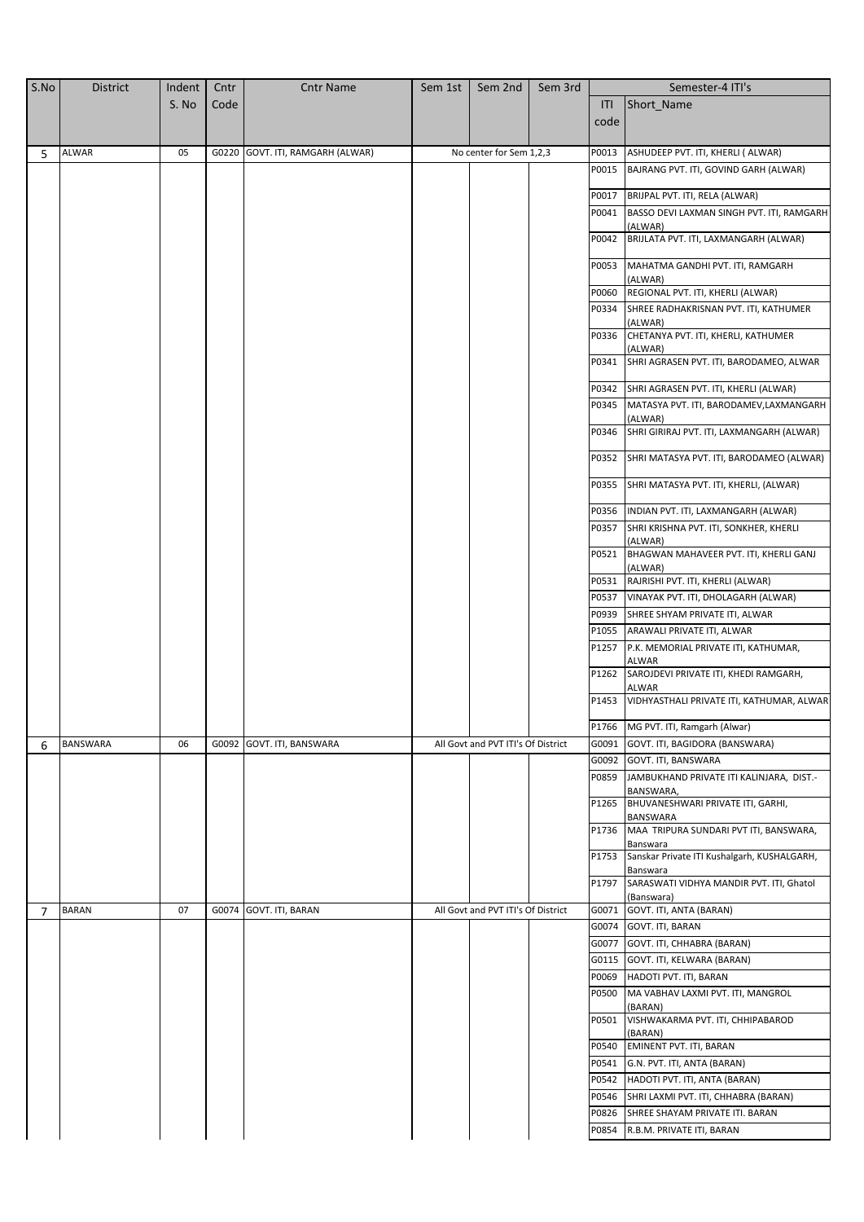| S.No | <b>District</b> | Indent | Cntr | <b>Cntr Name</b>                 | Sem 1st | Sem 2nd                            | Sem 3rd |       | Semester-4 ITI's                                        |
|------|-----------------|--------|------|----------------------------------|---------|------------------------------------|---------|-------|---------------------------------------------------------|
|      |                 | S. No  | Code |                                  |         |                                    |         | ITI   | Short_Name                                              |
|      |                 |        |      |                                  |         |                                    |         | code  |                                                         |
|      |                 |        |      |                                  |         |                                    |         |       |                                                         |
| 5    | <b>ALWAR</b>    | 05     |      | G0220 GOVT. ITI, RAMGARH (ALWAR) |         | No center for Sem 1,2,3            |         | P0013 | ASHUDEEP PVT. ITI, KHERLI ( ALWAR)                      |
|      |                 |        |      |                                  |         |                                    |         | P0015 | BAJRANG PVT. ITI, GOVIND GARH (ALWAR)                   |
|      |                 |        |      |                                  |         |                                    |         | P0017 | BRIJPAL PVT. ITI, RELA (ALWAR)                          |
|      |                 |        |      |                                  |         |                                    |         | P0041 | BASSO DEVI LAXMAN SINGH PVT. ITI, RAMGARH               |
|      |                 |        |      |                                  |         |                                    |         |       | (ALWAR)                                                 |
|      |                 |        |      |                                  |         |                                    |         | P0042 | BRIJLATA PVT. ITI, LAXMANGARH (ALWAR)                   |
|      |                 |        |      |                                  |         |                                    |         | P0053 | MAHATMA GANDHI PVT. ITI, RAMGARH<br>(ALWAR)             |
|      |                 |        |      |                                  |         |                                    |         | P0060 | REGIONAL PVT. ITI, KHERLI (ALWAR)                       |
|      |                 |        |      |                                  |         |                                    |         | P0334 | SHREE RADHAKRISNAN PVT. ITI, KATHUMER                   |
|      |                 |        |      |                                  |         |                                    |         | P0336 | (ALWAR)<br>CHETANYA PVT. ITI, KHERLI, KATHUMER          |
|      |                 |        |      |                                  |         |                                    |         |       | (ALWAR)                                                 |
|      |                 |        |      |                                  |         |                                    |         | P0341 | SHRI AGRASEN PVT. ITI, BARODAMEO, ALWAR                 |
|      |                 |        |      |                                  |         |                                    |         | P0342 | SHRI AGRASEN PVT. ITI, KHERLI (ALWAR)                   |
|      |                 |        |      |                                  |         |                                    |         | P0345 | MATASYA PVT. ITI, BARODAMEV, LAXMANGARH<br>(ALWAR)      |
|      |                 |        |      |                                  |         |                                    |         | P0346 | SHRI GIRIRAJ PVT. ITI, LAXMANGARH (ALWAR)               |
|      |                 |        |      |                                  |         |                                    |         | P0352 | SHRI MATASYA PVT. ITI, BARODAMEO (ALWAR)                |
|      |                 |        |      |                                  |         |                                    |         | P0355 | SHRI MATASYA PVT. ITI, KHERLI, (ALWAR)                  |
|      |                 |        |      |                                  |         |                                    |         | P0356 | INDIAN PVT. ITI, LAXMANGARH (ALWAR)                     |
|      |                 |        |      |                                  |         |                                    |         | P0357 | SHRI KRISHNA PVT. ITI, SONKHER, KHERLI<br>(ALWAR)       |
|      |                 |        |      |                                  |         |                                    |         | P0521 | BHAGWAN MAHAVEER PVT. ITI, KHERLI GANJ<br>(ALWAR)       |
|      |                 |        |      |                                  |         |                                    |         | P0531 | RAJRISHI PVT. ITI, KHERLI (ALWAR)                       |
|      |                 |        |      |                                  |         |                                    |         | P0537 | VINAYAK PVT. ITI, DHOLAGARH (ALWAR)                     |
|      |                 |        |      |                                  |         |                                    |         | P0939 | SHREE SHYAM PRIVATE ITI, ALWAR                          |
|      |                 |        |      |                                  |         |                                    |         | P1055 | ARAWALI PRIVATE ITI, ALWAR                              |
|      |                 |        |      |                                  |         |                                    |         | P1257 | P.K. MEMORIAL PRIVATE ITI, KATHUMAR,                    |
|      |                 |        |      |                                  |         |                                    |         | P1262 | ALWAR<br>SAROJDEVI PRIVATE ITI, KHEDI RAMGARH,          |
|      |                 |        |      |                                  |         |                                    |         | P1453 | ALWAR<br>VIDHYASTHALI PRIVATE ITI, KATHUMAR, ALWAR      |
|      |                 |        |      |                                  |         |                                    |         |       | P1766 MG PVT. ITI, Ramgarh (Alwar)                      |
| 6    | BANSWARA        | 06     |      | G0092 GOVT. ITI, BANSWARA        |         | All Govt and PVT ITI's Of District |         | G0091 | GOVT. ITI, BAGIDORA (BANSWARA)                          |
|      |                 |        |      |                                  |         |                                    |         | G0092 | GOVT. ITI, BANSWARA                                     |
|      |                 |        |      |                                  |         |                                    |         | P0859 | JAMBUKHAND PRIVATE ITI KALINJARA, DIST.-                |
|      |                 |        |      |                                  |         |                                    |         | P1265 | BANSWARA,<br>BHUVANESHWARI PRIVATE ITI, GARHI,          |
|      |                 |        |      |                                  |         |                                    |         | P1736 | BANSWARA<br>MAA TRIPURA SUNDARI PVT ITI, BANSWARA,      |
|      |                 |        |      |                                  |         |                                    |         | P1753 | Banswara<br>Sanskar Private ITI Kushalgarh, KUSHALGARH, |
|      |                 |        |      |                                  |         |                                    |         | P1797 | Banswara<br>SARASWATI VIDHYA MANDIR PVT. ITI, Ghatol    |
| 7    | <b>BARAN</b>    | 07     |      | G0074 GOVT. ITI, BARAN           |         | All Govt and PVT ITI's Of District |         | G0071 | (Banswara)<br>GOVT. ITI, ANTA (BARAN)                   |
|      |                 |        |      |                                  |         |                                    |         | G0074 | GOVT. ITI, BARAN                                        |
|      |                 |        |      |                                  |         |                                    |         | G0077 | GOVT. ITI, CHHABRA (BARAN)                              |
|      |                 |        |      |                                  |         |                                    |         | G0115 | GOVT. ITI, KELWARA (BARAN)                              |
|      |                 |        |      |                                  |         |                                    |         | P0069 | HADOTI PVT. ITI, BARAN                                  |
|      |                 |        |      |                                  |         |                                    |         | P0500 | MA VABHAV LAXMI PVT. ITI, MANGROL<br>(BARAN)            |
|      |                 |        |      |                                  |         |                                    |         | P0501 | VISHWAKARMA PVT. ITI, CHHIPABAROD<br>(BARAN)            |
|      |                 |        |      |                                  |         |                                    |         | P0540 | EMINENT PVT. ITI, BARAN                                 |
|      |                 |        |      |                                  |         |                                    |         | P0541 | G.N. PVT. ITI, ANTA (BARAN)                             |
|      |                 |        |      |                                  |         |                                    |         | P0542 | HADOTI PVT. ITI, ANTA (BARAN)                           |
|      |                 |        |      |                                  |         |                                    |         | P0546 | SHRI LAXMI PVT. ITI, CHHABRA (BARAN)                    |
|      |                 |        |      |                                  |         |                                    |         | P0826 | SHREE SHAYAM PRIVATE ITI. BARAN                         |
|      |                 |        |      |                                  |         |                                    |         | P0854 | R.B.M. PRIVATE ITI, BARAN                               |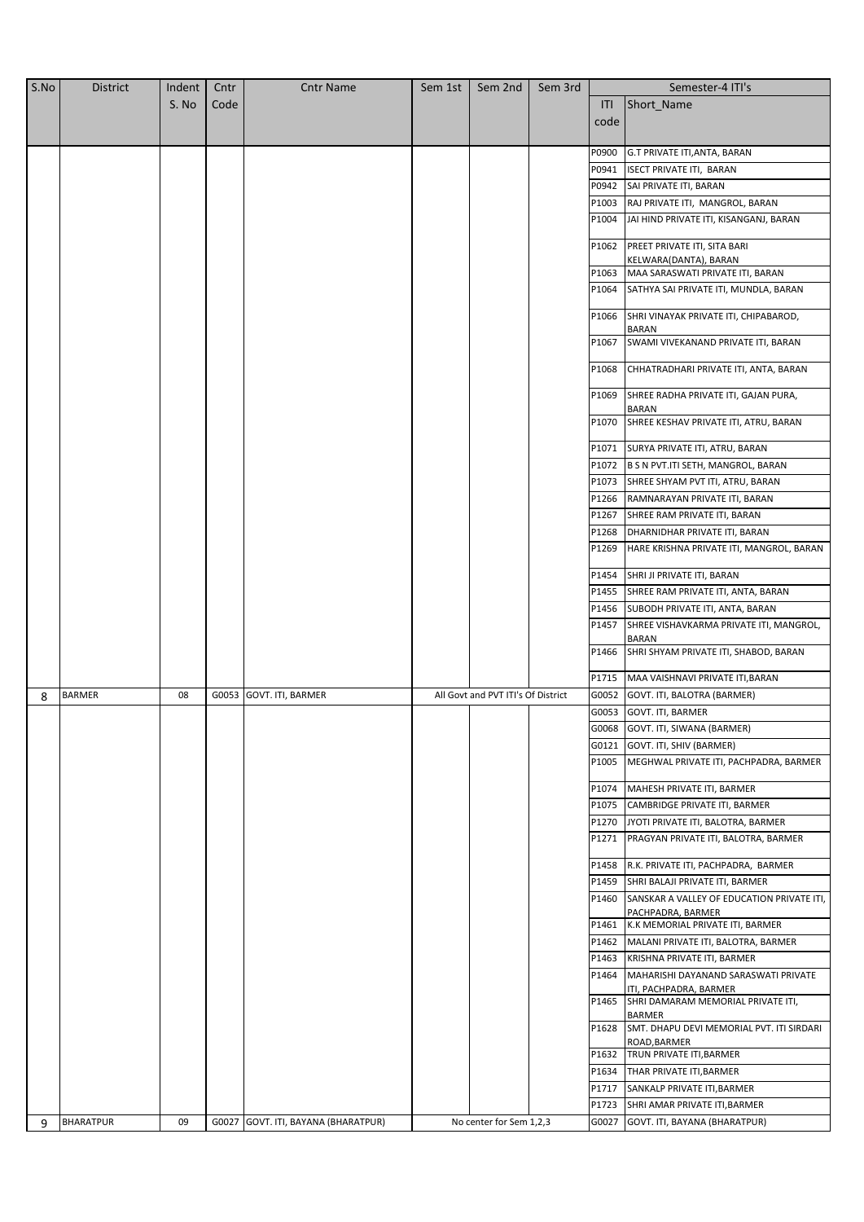| S.No | <b>District</b> | Indent | Cntr  | <b>Cntr Name</b>                    | Sem 1st | Sem 2nd                            | Sem 3rd |       | Semester-4 ITI's                                                     |
|------|-----------------|--------|-------|-------------------------------------|---------|------------------------------------|---------|-------|----------------------------------------------------------------------|
|      |                 | S. No  | Code  |                                     |         |                                    |         | ITI   | Short_Name                                                           |
|      |                 |        |       |                                     |         |                                    |         | code  |                                                                      |
|      |                 |        |       |                                     |         |                                    |         |       |                                                                      |
|      |                 |        |       |                                     |         |                                    |         | P0900 | <b>G.T PRIVATE ITI, ANTA, BARAN</b>                                  |
|      |                 |        |       |                                     |         |                                    |         | P0941 | <b>ISECT PRIVATE ITI, BARAN</b>                                      |
|      |                 |        |       |                                     |         |                                    |         | P0942 | SAI PRIVATE ITI, BARAN                                               |
|      |                 |        |       |                                     |         |                                    |         | P1003 | RAJ PRIVATE ITI, MANGROL, BARAN                                      |
|      |                 |        |       |                                     |         |                                    |         | P1004 | JAI HIND PRIVATE ITI, KISANGANJ, BARAN                               |
|      |                 |        |       |                                     |         |                                    |         | P1062 |                                                                      |
|      |                 |        |       |                                     |         |                                    |         |       | PREET PRIVATE ITI, SITA BARI<br>KELWARA(DANTA), BARAN                |
|      |                 |        |       |                                     |         |                                    |         | P1063 | MAA SARASWATI PRIVATE ITI, BARAN                                     |
|      |                 |        |       |                                     |         |                                    |         | P1064 | SATHYA SAI PRIVATE ITI, MUNDLA, BARAN                                |
|      |                 |        |       |                                     |         |                                    |         |       |                                                                      |
|      |                 |        |       |                                     |         |                                    |         | P1066 | SHRI VINAYAK PRIVATE ITI, CHIPABAROD,<br><b>BARAN</b>                |
|      |                 |        |       |                                     |         |                                    |         | P1067 | SWAMI VIVEKANAND PRIVATE ITI, BARAN                                  |
|      |                 |        |       |                                     |         |                                    |         | P1068 | CHHATRADHARI PRIVATE ITI, ANTA, BARAN                                |
|      |                 |        |       |                                     |         |                                    |         | P1069 | SHREE RADHA PRIVATE ITI, GAJAN PURA,<br><b>BARAN</b>                 |
|      |                 |        |       |                                     |         |                                    |         | P1070 | SHREE KESHAV PRIVATE ITI, ATRU, BARAN                                |
|      |                 |        |       |                                     |         |                                    |         | P1071 | SURYA PRIVATE ITI, ATRU, BARAN                                       |
|      |                 |        |       |                                     |         |                                    |         | P1072 | B S N PVT.ITI SETH, MANGROL, BARAN                                   |
|      |                 |        |       |                                     |         |                                    |         | P1073 | SHREE SHYAM PVT ITI, ATRU, BARAN                                     |
|      |                 |        |       |                                     |         |                                    |         | P1266 | RAMNARAYAN PRIVATE ITI, BARAN                                        |
|      |                 |        |       |                                     |         |                                    |         | P1267 | SHREE RAM PRIVATE ITI, BARAN                                         |
|      |                 |        |       |                                     |         |                                    |         | P1268 | DHARNIDHAR PRIVATE ITI, BARAN                                        |
|      |                 |        |       |                                     |         |                                    |         | P1269 | HARE KRISHNA PRIVATE ITI, MANGROL, BARAN                             |
|      |                 |        |       |                                     |         |                                    |         |       | P1454 SHRI JI PRIVATE ITI, BARAN                                     |
|      |                 |        |       |                                     |         |                                    |         |       | P1455 SHREE RAM PRIVATE ITI, ANTA, BARAN                             |
|      |                 |        |       |                                     |         |                                    |         |       | P1456 SUBODH PRIVATE ITI, ANTA, BARAN                                |
|      |                 |        |       |                                     |         |                                    |         | P1457 | SHREE VISHAVKARMA PRIVATE ITI, MANGROL,                              |
|      |                 |        |       |                                     |         |                                    |         | P1466 | <b>BARAN</b><br>SHRI SHYAM PRIVATE ITI, SHABOD, BARAN                |
|      |                 |        |       |                                     |         |                                    |         | P1715 | MAA VAISHNAVI PRIVATE ITI, BARAN                                     |
| 8    | <b>BARMER</b>   | 08     | G0053 | GOVT. ITI, BARMER                   |         | All Govt and PVT ITI's Of District |         | G0052 | GOVT. ITI, BALOTRA (BARMER)                                          |
|      |                 |        |       |                                     |         |                                    |         |       | G0053 GOVT. ITI, BARMER                                              |
|      |                 |        |       |                                     |         |                                    |         |       | G0068 GOVT. ITI, SIWANA (BARMER)                                     |
|      |                 |        |       |                                     |         |                                    |         |       | G0121 GOVT. ITI, SHIV (BARMER)                                       |
|      |                 |        |       |                                     |         |                                    |         | P1005 | MEGHWAL PRIVATE ITI, PACHPADRA, BARMER                               |
|      |                 |        |       |                                     |         |                                    |         | P1074 | MAHESH PRIVATE ITI, BARMER                                           |
|      |                 |        |       |                                     |         |                                    |         | P1075 | CAMBRIDGE PRIVATE ITI, BARMER                                        |
|      |                 |        |       |                                     |         |                                    |         | P1270 | JYOTI PRIVATE ITI, BALOTRA, BARMER                                   |
|      |                 |        |       |                                     |         |                                    |         | P1271 | PRAGYAN PRIVATE ITI, BALOTRA, BARMER                                 |
|      |                 |        |       |                                     |         |                                    |         | P1458 | R.K. PRIVATE ITI, PACHPADRA, BARMER                                  |
|      |                 |        |       |                                     |         |                                    |         | P1459 | SHRI BALAJI PRIVATE ITI, BARMER                                      |
|      |                 |        |       |                                     |         |                                    |         | P1460 | SANSKAR A VALLEY OF EDUCATION PRIVATE ITI,                           |
|      |                 |        |       |                                     |         |                                    |         |       | PACHPADRA, BARMER                                                    |
|      |                 |        |       |                                     |         |                                    |         | P1461 | K.K MEMORIAL PRIVATE ITI, BARMER                                     |
|      |                 |        |       |                                     |         |                                    |         | P1462 | MALANI PRIVATE ITI, BALOTRA, BARMER                                  |
|      |                 |        |       |                                     |         |                                    |         |       | P1463 KRISHNA PRIVATE ITI, BARMER                                    |
|      |                 |        |       |                                     |         |                                    |         |       | P1464 MAHARISHI DAYANAND SARASWATI PRIVATE<br>ITI, PACHPADRA, BARMER |
|      |                 |        |       |                                     |         |                                    |         |       | P1465 SHRI DAMARAM MEMORIAL PRIVATE ITI,<br>BARMER                   |
|      |                 |        |       |                                     |         |                                    |         | P1628 | SMT. DHAPU DEVI MEMORIAL PVT. ITI SIRDARI<br>ROAD, BARMER            |
|      |                 |        |       |                                     |         |                                    |         | P1632 | TRUN PRIVATE ITI, BARMER                                             |
|      |                 |        |       |                                     |         |                                    |         | P1634 | THAR PRIVATE ITI, BARMER                                             |
|      |                 |        |       |                                     |         |                                    |         | P1717 | SANKALP PRIVATE ITI, BARMER                                          |
|      |                 |        |       |                                     |         |                                    |         | P1723 | SHRI AMAR PRIVATE ITI, BARMER                                        |
| 9    | BHARATPUR       | 09     |       | G0027 GOVT. ITI, BAYANA (BHARATPUR) |         | No center for Sem 1,2,3            |         | G0027 | GOVT. ITI, BAYANA (BHARATPUR)                                        |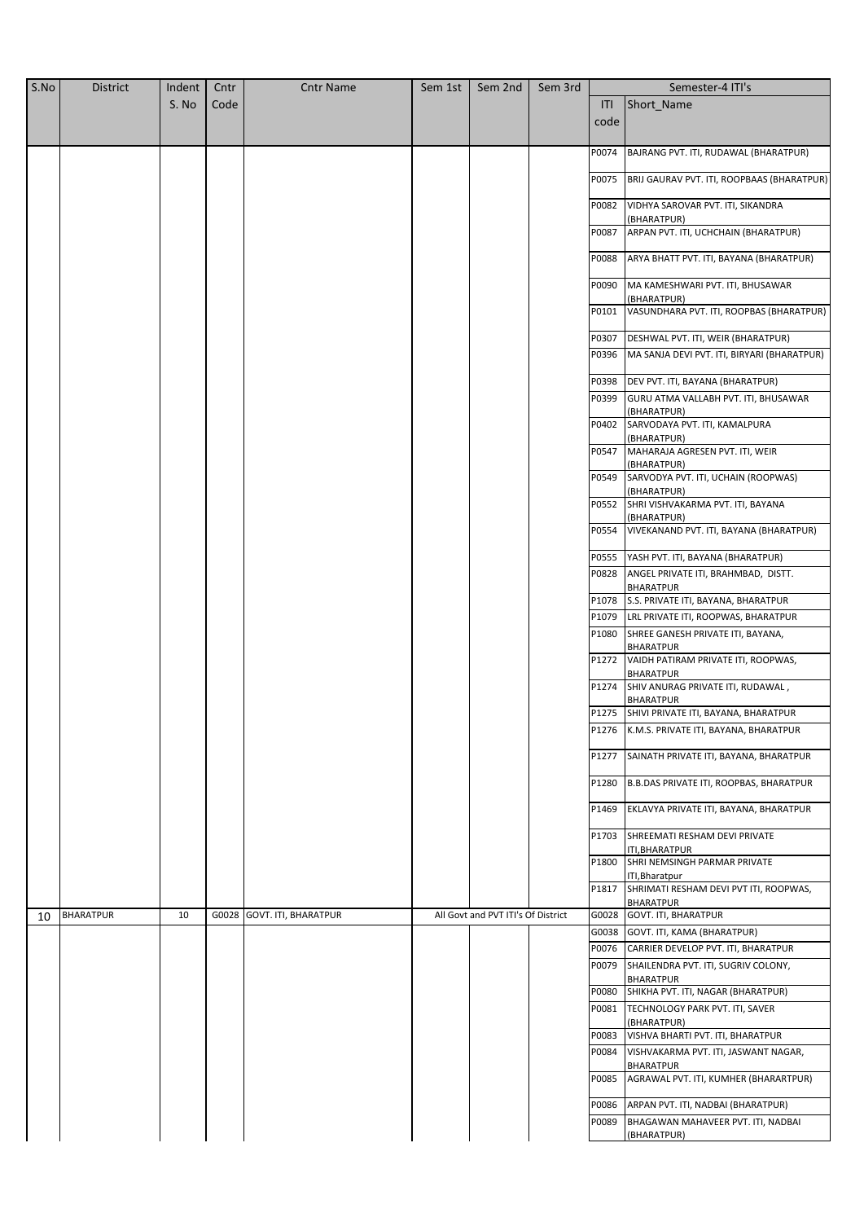| S.No | <b>District</b>  | Indent | Cntr  | <b>Cntr Name</b>            | Sem 1st | Sem 2nd                            | Sem 3rd |       | Semester-4 ITI's                                                                    |
|------|------------------|--------|-------|-----------------------------|---------|------------------------------------|---------|-------|-------------------------------------------------------------------------------------|
|      |                  | S. No  | Code  |                             |         |                                    |         | ITI   | Short_Name                                                                          |
|      |                  |        |       |                             |         |                                    |         | code  |                                                                                     |
|      |                  |        |       |                             |         |                                    |         |       |                                                                                     |
|      |                  |        |       |                             |         |                                    |         | P0074 | BAJRANG PVT. ITI, RUDAWAL (BHARATPUR)                                               |
|      |                  |        |       |                             |         |                                    |         | P0075 | BRIJ GAURAV PVT. ITI, ROOPBAAS (BHARATPUR)                                          |
|      |                  |        |       |                             |         |                                    |         | P0082 | VIDHYA SAROVAR PVT. ITI, SIKANDRA<br>(BHARATPUR)                                    |
|      |                  |        |       |                             |         |                                    |         | P0087 | ARPAN PVT. ITI, UCHCHAIN (BHARATPUR)                                                |
|      |                  |        |       |                             |         |                                    |         | P0088 | ARYA BHATT PVT. ITI, BAYANA (BHARATPUR)                                             |
|      |                  |        |       |                             |         |                                    |         | P0090 | MA KAMESHWARI PVT. ITI, BHUSAWAR<br>(BHARATPUR)                                     |
|      |                  |        |       |                             |         |                                    |         | P0101 | VASUNDHARA PVT. ITI, ROOPBAS (BHARATPUR)                                            |
|      |                  |        |       |                             |         |                                    |         | P0307 | DESHWAL PVT. ITI, WEIR (BHARATPUR)                                                  |
|      |                  |        |       |                             |         |                                    |         | P0396 | MA SANJA DEVI PVT. ITI, BIRYARI (BHARATPUR)                                         |
|      |                  |        |       |                             |         |                                    |         | P0398 | DEV PVT. ITI, BAYANA (BHARATPUR)                                                    |
|      |                  |        |       |                             |         |                                    |         | P0399 | GURU ATMA VALLABH PVT. ITI, BHUSAWAR                                                |
|      |                  |        |       |                             |         |                                    |         | P0402 | (BHARATPUR)<br>SARVODAYA PVT. ITI, KAMALPURA                                        |
|      |                  |        |       |                             |         |                                    |         |       | (BHARATPUR)                                                                         |
|      |                  |        |       |                             |         |                                    |         | P0547 | MAHARAJA AGRESEN PVT. ITI, WEIR<br>(BHARATPUR)                                      |
|      |                  |        |       |                             |         |                                    |         | P0549 | SARVODYA PVT. ITI, UCHAIN (ROOPWAS)<br>(BHARATPUR)                                  |
|      |                  |        |       |                             |         |                                    |         | P0552 | SHRI VISHVAKARMA PVT. ITI, BAYANA                                                   |
|      |                  |        |       |                             |         |                                    |         | P0554 | (BHARATPUR)<br>VIVEKANAND PVT. ITI, BAYANA (BHARATPUR)                              |
|      |                  |        |       |                             |         |                                    |         | P0555 | YASH PVT. ITI, BAYANA (BHARATPUR)                                                   |
|      |                  |        |       |                             |         |                                    |         | P0828 | ANGEL PRIVATE ITI, BRAHMBAD, DISTT.                                                 |
|      |                  |        |       |                             |         |                                    |         | P1078 | <b>BHARATPUR</b><br>S.S. PRIVATE ITI, BAYANA, BHARATPUR                             |
|      |                  |        |       |                             |         |                                    |         | P1079 | LRL PRIVATE ITI, ROOPWAS, BHARATPUR                                                 |
|      |                  |        |       |                             |         |                                    |         | P1080 | SHREE GANESH PRIVATE ITI, BAYANA,                                                   |
|      |                  |        |       |                             |         |                                    |         | P1272 | <b>BHARATPUR</b><br>VAIDH PATIRAM PRIVATE ITI, ROOPWAS,                             |
|      |                  |        |       |                             |         |                                    |         | P1274 | <b>BHARATPUR</b><br>SHIV ANURAG PRIVATE ITI, RUDAWAL,                               |
|      |                  |        |       |                             |         |                                    |         |       | <b>BHARATPUR</b>                                                                    |
|      |                  |        |       |                             |         |                                    |         | P1275 | SHIVI PRIVATE ITI, BAYANA, BHARATPUR<br>P1276 K.M.S. PRIVATE ITI, BAYANA, BHARATPUR |
|      |                  |        |       |                             |         |                                    |         |       |                                                                                     |
|      |                  |        |       |                             |         |                                    |         | P1277 | SAINATH PRIVATE ITI, BAYANA, BHARATPUR                                              |
|      |                  |        |       |                             |         |                                    |         | P1280 | <b>B.B.DAS PRIVATE ITI, ROOPBAS, BHARATPUR</b>                                      |
|      |                  |        |       |                             |         |                                    |         | P1469 | EKLAVYA PRIVATE ITI, BAYANA, BHARATPUR                                              |
|      |                  |        |       |                             |         |                                    |         | P1703 | SHREEMATI RESHAM DEVI PRIVATE<br>ITI, BHARATPUR                                     |
|      |                  |        |       |                             |         |                                    |         | P1800 | SHRI NEMSINGH PARMAR PRIVATE<br>ITI, Bharatpur                                      |
|      |                  |        |       |                             |         |                                    |         | P1817 | SHRIMATI RESHAM DEVI PVT ITI, ROOPWAS,<br><b>BHARATPUR</b>                          |
| 10   | <b>BHARATPUR</b> | 10     | G0028 | <b>GOVT. ITI, BHARATPUR</b> |         | All Govt and PVT ITI's Of District |         |       | G0028 GOVT. ITI, BHARATPUR                                                          |
|      |                  |        |       |                             |         |                                    |         | G0038 | GOVT. ITI, KAMA (BHARATPUR)                                                         |
|      |                  |        |       |                             |         |                                    |         | P0076 | CARRIER DEVELOP PVT. ITI, BHARATPUR                                                 |
|      |                  |        |       |                             |         |                                    |         | P0079 | SHAILENDRA PVT. ITI, SUGRIV COLONY,<br><b>BHARATPUR</b>                             |
|      |                  |        |       |                             |         |                                    |         | P0080 | SHIKHA PVT. ITI, NAGAR (BHARATPUR)                                                  |
|      |                  |        |       |                             |         |                                    |         | P0081 | TECHNOLOGY PARK PVT. ITI, SAVER                                                     |
|      |                  |        |       |                             |         |                                    |         | P0083 | (BHARATPUR)<br>VISHVA BHARTI PVT. ITI, BHARATPUR                                    |
|      |                  |        |       |                             |         |                                    |         | P0084 | VISHVAKARMA PVT. ITI, JASWANT NAGAR,                                                |
|      |                  |        |       |                             |         |                                    |         | P0085 | <b>BHARATPUR</b><br>AGRAWAL PVT. ITI, KUMHER (BHARARTPUR)                           |
|      |                  |        |       |                             |         |                                    |         |       |                                                                                     |
|      |                  |        |       |                             |         |                                    |         | P0086 | ARPAN PVT. ITI, NADBAI (BHARATPUR)                                                  |
|      |                  |        |       |                             |         |                                    |         | P0089 | BHAGAWAN MAHAVEER PVT. ITI, NADBAI<br>(BHARATPUR)                                   |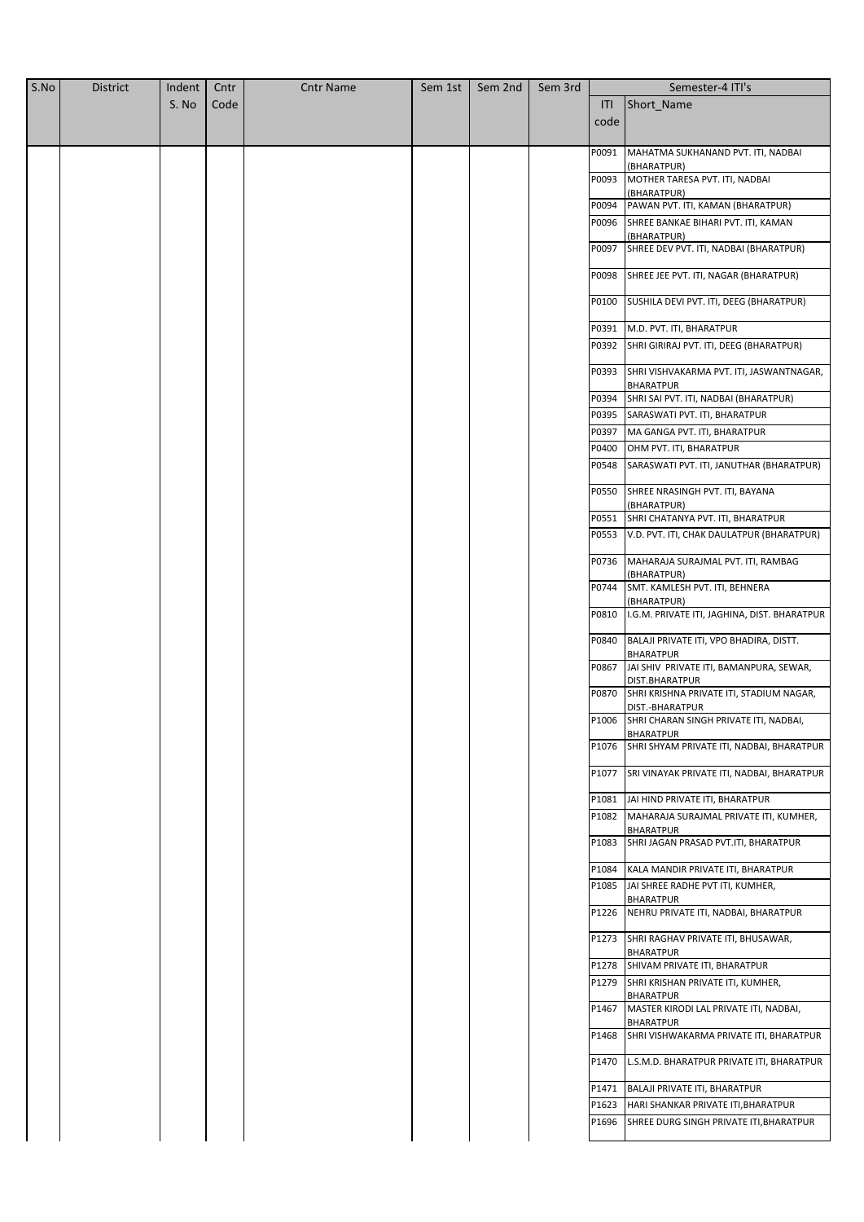| S.No | <b>District</b> | Indent | Cntr | <b>Cntr Name</b> | Sem 1st | Sem 2nd | Sem 3rd |       | Semester-4 ITI's                                                 |
|------|-----------------|--------|------|------------------|---------|---------|---------|-------|------------------------------------------------------------------|
|      |                 | S. No  | Code |                  |         |         |         | ITI   | Short_Name                                                       |
|      |                 |        |      |                  |         |         |         | code  |                                                                  |
|      |                 |        |      |                  |         |         |         |       |                                                                  |
|      |                 |        |      |                  |         |         |         | P0091 | MAHATMA SUKHANAND PVT. ITI, NADBAI                               |
|      |                 |        |      |                  |         |         |         | P0093 | (BHARATPUR)<br>MOTHER TARESA PVT. ITI, NADBAI                    |
|      |                 |        |      |                  |         |         |         |       | (BHARATPUR)                                                      |
|      |                 |        |      |                  |         |         |         | P0094 | PAWAN PVT. ITI, KAMAN (BHARATPUR)                                |
|      |                 |        |      |                  |         |         |         | P0096 | SHREE BANKAE BIHARI PVT. ITI, KAMAN                              |
|      |                 |        |      |                  |         |         |         |       | (BHARATPUR)                                                      |
|      |                 |        |      |                  |         |         |         | P0097 | SHREE DEV PVT. ITI, NADBAI (BHARATPUR)                           |
|      |                 |        |      |                  |         |         |         | P0098 | SHREE JEE PVT. ITI, NAGAR (BHARATPUR)                            |
|      |                 |        |      |                  |         |         |         |       |                                                                  |
|      |                 |        |      |                  |         |         |         | P0100 | SUSHILA DEVI PVT. ITI, DEEG (BHARATPUR)                          |
|      |                 |        |      |                  |         |         |         | P0391 | M.D. PVT. ITI, BHARATPUR                                         |
|      |                 |        |      |                  |         |         |         | P0392 | SHRI GIRIRAJ PVT. ITI, DEEG (BHARATPUR)                          |
|      |                 |        |      |                  |         |         |         |       |                                                                  |
|      |                 |        |      |                  |         |         |         | P0393 | SHRI VISHVAKARMA PVT. ITI, JASWANTNAGAR,                         |
|      |                 |        |      |                  |         |         |         |       | <b>BHARATPUR</b>                                                 |
|      |                 |        |      |                  |         |         |         | P0394 | SHRI SAI PVT. ITI, NADBAI (BHARATPUR)                            |
|      |                 |        |      |                  |         |         |         | P0395 | SARASWATI PVT. ITI, BHARATPUR                                    |
|      |                 |        |      |                  |         |         |         | P0397 | MA GANGA PVT. ITI, BHARATPUR                                     |
|      |                 |        |      |                  |         |         |         | P0400 | OHM PVT. ITI, BHARATPUR                                          |
|      |                 |        |      |                  |         |         |         | P0548 | SARASWATI PVT. ITI, JANUTHAR (BHARATPUR)                         |
|      |                 |        |      |                  |         |         |         | P0550 | SHREE NRASINGH PVT. ITI, BAYANA                                  |
|      |                 |        |      |                  |         |         |         |       | (BHARATPUR)                                                      |
|      |                 |        |      |                  |         |         |         | P0551 | SHRI CHATANYA PVT. ITI, BHARATPUR                                |
|      |                 |        |      |                  |         |         |         | P0553 | V.D. PVT. ITI, CHAK DAULATPUR (BHARATPUR)                        |
|      |                 |        |      |                  |         |         |         | P0736 | MAHARAJA SURAJMAL PVT. ITI, RAMBAG<br>(BHARATPUR)                |
|      |                 |        |      |                  |         |         |         | P0744 | SMT. KAMLESH PVT. ITI, BEHNERA                                   |
|      |                 |        |      |                  |         |         |         |       | (BHARATPUR)                                                      |
|      |                 |        |      |                  |         |         |         | P0810 | I.G.M. PRIVATE ITI, JAGHINA, DIST. BHARATPUR                     |
|      |                 |        |      |                  |         |         |         | P0840 | BALAJI PRIVATE ITI, VPO BHADIRA, DISTT.<br><b>BHARATPUR</b>      |
|      |                 |        |      |                  |         |         |         | P0867 | JAI SHIV PRIVATE ITI, BAMANPURA, SEWAR,                          |
|      |                 |        |      |                  |         |         |         | P0870 | DIST.BHARATPUR<br>SHRI KRISHNA PRIVATE ITI, STADIUM NAGAR,       |
|      |                 |        |      |                  |         |         |         |       | DIST.-BHARATPUR                                                  |
|      |                 |        |      |                  |         |         |         |       | P1006 SHRI CHARAN SINGH PRIVATE ITI, NADBAI,                     |
|      |                 |        |      |                  |         |         |         | P1076 | <b>BHARATPUR</b><br>SHRI SHYAM PRIVATE ITI, NADBAI, BHARATPUR    |
|      |                 |        |      |                  |         |         |         |       |                                                                  |
|      |                 |        |      |                  |         |         |         |       | P1077 SRI VINAYAK PRIVATE ITI, NADBAI, BHARATPUR                 |
|      |                 |        |      |                  |         |         |         | P1081 | JAI HIND PRIVATE ITI, BHARATPUR                                  |
|      |                 |        |      |                  |         |         |         | P1082 | MAHARAJA SURAJMAL PRIVATE ITI, KUMHER,                           |
|      |                 |        |      |                  |         |         |         |       | <b>BHARATPUR</b>                                                 |
|      |                 |        |      |                  |         |         |         |       | P1083 SHRI JAGAN PRASAD PVT.ITI, BHARATPUR                       |
|      |                 |        |      |                  |         |         |         |       | P1084 KALA MANDIR PRIVATE ITI, BHARATPUR                         |
|      |                 |        |      |                  |         |         |         | P1085 | JAI SHREE RADHE PVT ITI, KUMHER,<br><b>BHARATPUR</b>             |
|      |                 |        |      |                  |         |         |         |       | P1226 NEHRU PRIVATE ITI, NADBAI, BHARATPUR                       |
|      |                 |        |      |                  |         |         |         |       | P1273 SHRI RAGHAV PRIVATE ITI, BHUSAWAR,<br><b>BHARATPUR</b>     |
|      |                 |        |      |                  |         |         |         |       | P1278 SHIVAM PRIVATE ITI, BHARATPUR                              |
|      |                 |        |      |                  |         |         |         |       | P1279 SHRI KRISHAN PRIVATE ITI, KUMHER,                          |
|      |                 |        |      |                  |         |         |         |       | <b>BHARATPUR</b>                                                 |
|      |                 |        |      |                  |         |         |         |       | P1467 MASTER KIRODI LAL PRIVATE ITI, NADBAI,<br><b>BHARATPUR</b> |
|      |                 |        |      |                  |         |         |         |       | P1468 SHRI VISHWAKARMA PRIVATE ITI, BHARATPUR                    |
|      |                 |        |      |                  |         |         |         | P1470 | L.S.M.D. BHARATPUR PRIVATE ITI, BHARATPUR                        |
|      |                 |        |      |                  |         |         |         |       | P1471 BALAJI PRIVATE ITI, BHARATPUR                              |
|      |                 |        |      |                  |         |         |         | P1623 | HARI SHANKAR PRIVATE ITI, BHARATPUR                              |
|      |                 |        |      |                  |         |         |         | P1696 | SHREE DURG SINGH PRIVATE ITI, BHARATPUR                          |
|      |                 |        |      |                  |         |         |         |       |                                                                  |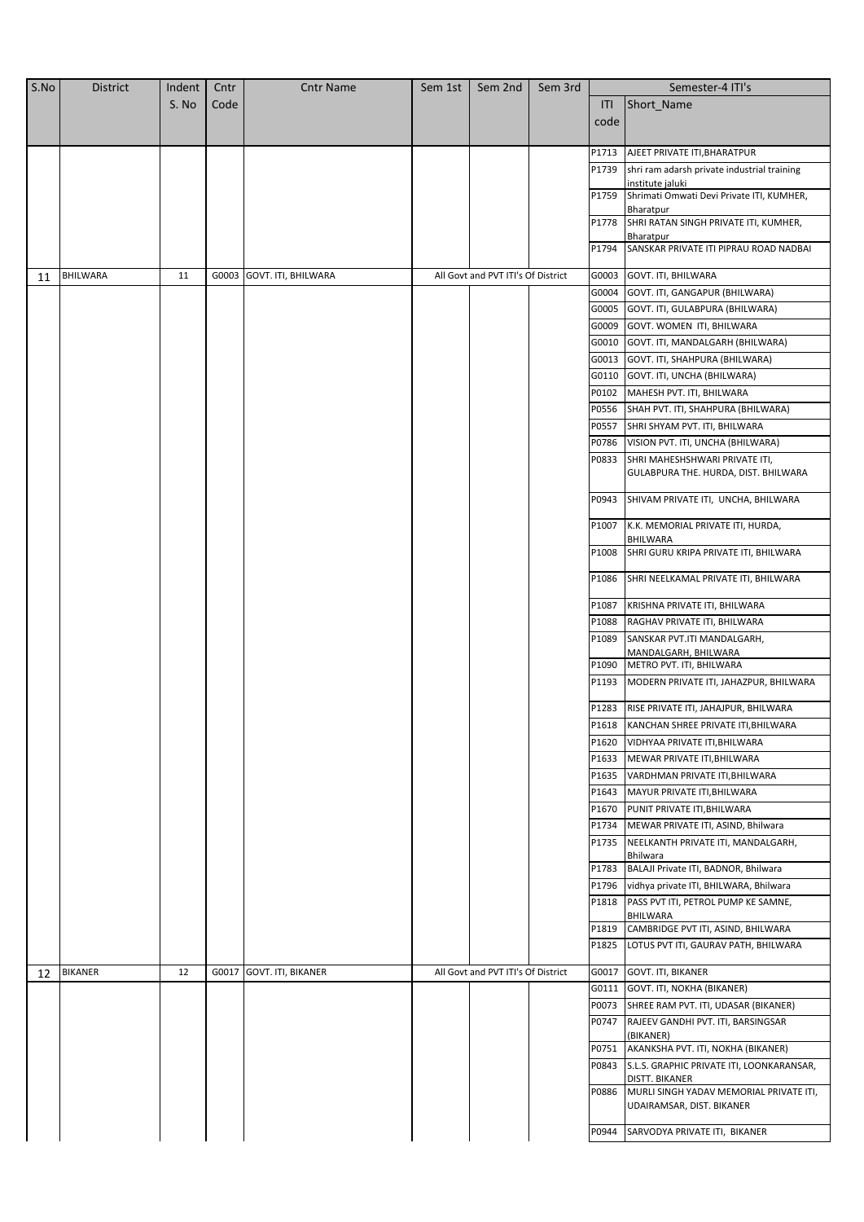| S.No | <b>District</b> | Indent | Cntr  | <b>Cntr Name</b>         | Sem 1st | Sem 2nd                            | Sem 3rd |                | Semester-4 ITI's                                                                   |
|------|-----------------|--------|-------|--------------------------|---------|------------------------------------|---------|----------------|------------------------------------------------------------------------------------|
|      |                 | S. No  | Code  |                          |         |                                    |         | ITI            | Short Name                                                                         |
|      |                 |        |       |                          |         |                                    |         | code           |                                                                                    |
|      |                 |        |       |                          |         |                                    |         |                |                                                                                    |
|      |                 |        |       |                          |         |                                    |         | P1713          | AJEET PRIVATE ITI, BHARATPUR                                                       |
|      |                 |        |       |                          |         |                                    |         | P1739          | shri ram adarsh private industrial training                                        |
|      |                 |        |       |                          |         |                                    |         | P1759          | institute jaluki<br>Shrimati Omwati Devi Private ITI, KUMHER,                      |
|      |                 |        |       |                          |         |                                    |         |                | Bharatpur                                                                          |
|      |                 |        |       |                          |         |                                    |         | P1778          | SHRI RATAN SINGH PRIVATE ITI, KUMHER,                                              |
|      |                 |        |       |                          |         |                                    |         |                | Bharatpur                                                                          |
|      |                 |        |       |                          |         |                                    |         | P1794          | SANSKAR PRIVATE ITI PIPRAU ROAD NADBAI                                             |
| 11   | BHILWARA        | 11     | G0003 | GOVT. ITI, BHILWARA      |         | All Govt and PVT ITI's Of District |         | G0003          | GOVT. ITI, BHILWARA                                                                |
|      |                 |        |       |                          |         |                                    |         |                | G0004 GOVT. ITI, GANGAPUR (BHILWARA)                                               |
|      |                 |        |       |                          |         |                                    |         |                | G0005 GOVT. ITI, GULABPURA (BHILWARA)                                              |
|      |                 |        |       |                          |         |                                    |         |                | G0009 GOVT. WOMEN ITI, BHILWARA                                                    |
|      |                 |        |       |                          |         |                                    |         |                | G0010 GOVT. ITI, MANDALGARH (BHILWARA)                                             |
|      |                 |        |       |                          |         |                                    |         | G0013          | GOVT. ITI, SHAHPURA (BHILWARA)                                                     |
|      |                 |        |       |                          |         |                                    |         | G0110          | GOVT. ITI, UNCHA (BHILWARA)                                                        |
|      |                 |        |       |                          |         |                                    |         | P0102          | MAHESH PVT. ITI, BHILWARA                                                          |
|      |                 |        |       |                          |         |                                    |         | P0556          | SHAH PVT. ITI, SHAHPURA (BHILWARA)                                                 |
|      |                 |        |       |                          |         |                                    |         |                |                                                                                    |
|      |                 |        |       |                          |         |                                    |         |                | P0557 SHRI SHYAM PVT. ITI, BHILWARA                                                |
|      |                 |        |       |                          |         |                                    |         | P0786          | VISION PVT. ITI, UNCHA (BHILWARA)                                                  |
|      |                 |        |       |                          |         |                                    |         | P0833          | SHRI MAHESHSHWARI PRIVATE ITI,<br>GULABPURA THE. HURDA, DIST. BHILWARA             |
|      |                 |        |       |                          |         |                                    |         | P0943          | SHIVAM PRIVATE ITI, UNCHA, BHILWARA                                                |
|      |                 |        |       |                          |         |                                    |         | P1007          | K.K. MEMORIAL PRIVATE ITI, HURDA,<br>BHILWARA                                      |
|      |                 |        |       |                          |         |                                    |         | P1008          | SHRI GURU KRIPA PRIVATE ITI, BHILWARA                                              |
|      |                 |        |       |                          |         |                                    |         | P1086<br>P1087 | SHRI NEELKAMAL PRIVATE ITI, BHILWARA                                               |
|      |                 |        |       |                          |         |                                    |         |                | KRISHNA PRIVATE ITI, BHILWARA                                                      |
|      |                 |        |       |                          |         |                                    |         | P1088          | RAGHAV PRIVATE ITI, BHILWARA                                                       |
|      |                 |        |       |                          |         |                                    |         | P1089          | SANSKAR PVT.ITI MANDALGARH,<br>MANDALGARH, BHILWARA                                |
|      |                 |        |       |                          |         |                                    |         | P1090          | METRO PVT. ITI, BHILWARA                                                           |
|      |                 |        |       |                          |         |                                    |         | P1193          | MODERN PRIVATE ITI, JAHAZPUR, BHILWARA                                             |
|      |                 |        |       |                          |         |                                    |         | P1283          | RISE PRIVATE ITI, JAHAJPUR, BHILWARA                                               |
|      |                 |        |       |                          |         |                                    |         |                | P1618 KANCHAN SHREE PRIVATE ITI, BHILWARA                                          |
|      |                 |        |       |                          |         |                                    |         | P1620          | VIDHYAA PRIVATE ITI, BHILWARA                                                      |
|      |                 |        |       |                          |         |                                    |         | P1633          | MEWAR PRIVATE ITI, BHILWARA                                                        |
|      |                 |        |       |                          |         |                                    |         |                | P1635 VARDHMAN PRIVATE ITI, BHILWARA                                               |
|      |                 |        |       |                          |         |                                    |         |                | P1643 MAYUR PRIVATE ITI, BHILWARA                                                  |
|      |                 |        |       |                          |         |                                    |         |                | P1670 PUNIT PRIVATE ITI, BHILWARA                                                  |
|      |                 |        |       |                          |         |                                    |         |                | P1734 MEWAR PRIVATE ITI, ASIND, Bhilwara                                           |
|      |                 |        |       |                          |         |                                    |         | P1735          | NEELKANTH PRIVATE ITI, MANDALGARH,                                                 |
|      |                 |        |       |                          |         |                                    |         |                | Bhilwara<br>P1783 BALAJI Private ITI, BADNOR, Bhilwara                             |
|      |                 |        |       |                          |         |                                    |         |                | P1796 vidhya private ITI, BHILWARA, Bhilwara                                       |
|      |                 |        |       |                          |         |                                    |         |                | P1818   PASS PVT ITI, PETROL PUMP KE SAMNE,                                        |
|      |                 |        |       |                          |         |                                    |         |                | BHILWARA                                                                           |
|      |                 |        |       |                          |         |                                    |         | P1819          | CAMBRIDGE PVT ITI, ASIND, BHILWARA<br>P1825   LOTUS PVT ITI, GAURAV PATH, BHILWARA |
|      |                 |        |       |                          |         |                                    |         |                |                                                                                    |
| 12   | <b>BIKANER</b>  | 12     |       | G0017 GOVT. ITI, BIKANER |         | All Govt and PVT ITI's Of District |         |                | G0017 GOVT. ITI, BIKANER                                                           |
|      |                 |        |       |                          |         |                                    |         |                | G0111 GOVT. ITI, NOKHA (BIKANER)                                                   |
|      |                 |        |       |                          |         |                                    |         | P0073<br>P0747 | SHREE RAM PVT. ITI, UDASAR (BIKANER)<br>RAJEEV GANDHI PVT. ITI, BARSINGSAR         |
|      |                 |        |       |                          |         |                                    |         |                | (BIKANER)                                                                          |
|      |                 |        |       |                          |         |                                    |         | P0751          | AKANKSHA PVT. ITI, NOKHA (BIKANER)                                                 |
|      |                 |        |       |                          |         |                                    |         |                | P0843 S.L.S. GRAPHIC PRIVATE ITI, LOONKARANSAR,<br>DISTT. BIKANER                  |
|      |                 |        |       |                          |         |                                    |         | P0886          | MURLI SINGH YADAV MEMORIAL PRIVATE ITI,<br>UDAIRAMSAR, DIST. BIKANER               |
|      |                 |        |       |                          |         |                                    |         | P0944          | SARVODYA PRIVATE ITI, BIKANER                                                      |
|      |                 |        |       |                          |         |                                    |         |                |                                                                                    |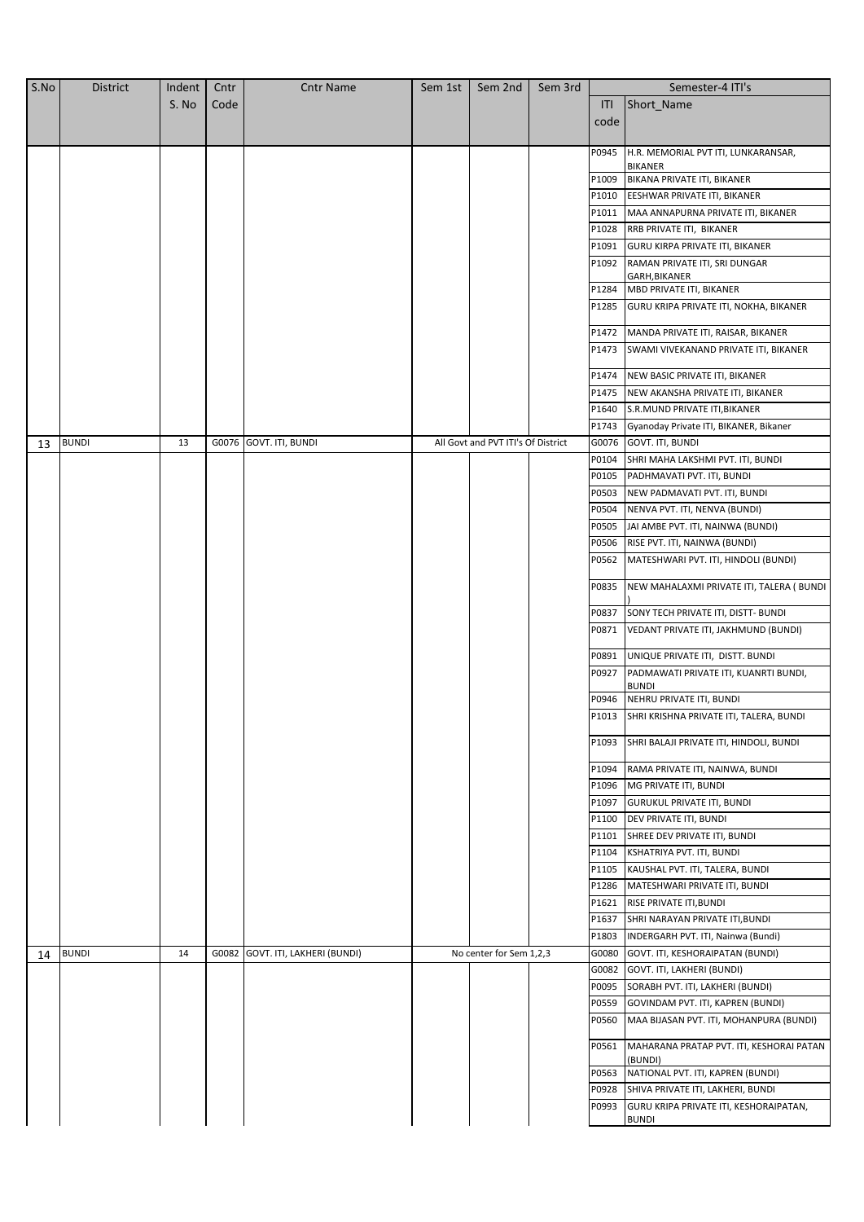| S.No | <b>District</b> | Indent | Cntr  | <b>Cntr Name</b>           | Sem 1st | Sem 2nd                            | Sem 3rd |       | Semester-4 ITI's                                       |
|------|-----------------|--------|-------|----------------------------|---------|------------------------------------|---------|-------|--------------------------------------------------------|
|      |                 | S. No  | Code  |                            |         |                                    |         | ITI   | Short_Name                                             |
|      |                 |        |       |                            |         |                                    |         | code  |                                                        |
|      |                 |        |       |                            |         |                                    |         |       |                                                        |
|      |                 |        |       |                            |         |                                    |         | P0945 | H.R. MEMORIAL PVT ITI, LUNKARANSAR,                    |
|      |                 |        |       |                            |         |                                    |         |       | <b>BIKANER</b>                                         |
|      |                 |        |       |                            |         |                                    |         | P1009 | BIKANA PRIVATE ITI, BIKANER                            |
|      |                 |        |       |                            |         |                                    |         | P1010 | EESHWAR PRIVATE ITI, BIKANER                           |
|      |                 |        |       |                            |         |                                    |         | P1011 | MAA ANNAPURNA PRIVATE ITI, BIKANER                     |
|      |                 |        |       |                            |         |                                    |         | P1028 | RRB PRIVATE ITI, BIKANER                               |
|      |                 |        |       |                            |         |                                    |         | P1091 | GURU KIRPA PRIVATE ITI, BIKANER                        |
|      |                 |        |       |                            |         |                                    |         | P1092 | RAMAN PRIVATE ITI, SRI DUNGAR                          |
|      |                 |        |       |                            |         |                                    |         |       | GARH, BIKANER                                          |
|      |                 |        |       |                            |         |                                    |         | P1284 | MBD PRIVATE ITI, BIKANER                               |
|      |                 |        |       |                            |         |                                    |         | P1285 | GURU KRIPA PRIVATE ITI, NOKHA, BIKANER                 |
|      |                 |        |       |                            |         |                                    |         | P1472 | MANDA PRIVATE ITI, RAISAR, BIKANER                     |
|      |                 |        |       |                            |         |                                    |         | P1473 | SWAMI VIVEKANAND PRIVATE ITI, BIKANER                  |
|      |                 |        |       |                            |         |                                    |         |       |                                                        |
|      |                 |        |       |                            |         |                                    |         | P1474 | NEW BASIC PRIVATE ITI, BIKANER                         |
|      |                 |        |       |                            |         |                                    |         | P1475 | NEW AKANSHA PRIVATE ITI, BIKANER                       |
|      |                 |        |       |                            |         |                                    |         | P1640 | S.R.MUND PRIVATE ITI, BIKANER                          |
|      |                 |        |       |                            |         |                                    |         | P1743 | Gyanoday Private ITI, BIKANER, Bikaner                 |
| 13   | <b>BUNDI</b>    | 13     |       | G0076 GOVT. ITI, BUNDI     |         | All Govt and PVT ITI's Of District |         | G0076 | GOVT. ITI, BUNDI                                       |
|      |                 |        |       |                            |         |                                    |         | P0104 | SHRI MAHA LAKSHMI PVT. ITI, BUNDI                      |
|      |                 |        |       |                            |         |                                    |         | P0105 | PADHMAVATI PVT. ITI, BUNDI                             |
|      |                 |        |       |                            |         |                                    |         | P0503 | NEW PADMAVATI PVT. ITI, BUNDI                          |
|      |                 |        |       |                            |         |                                    |         | P0504 | NENVA PVT. ITI, NENVA (BUNDI)                          |
|      |                 |        |       |                            |         |                                    |         | P0505 | JAI AMBE PVT. ITI, NAINWA (BUNDI)                      |
|      |                 |        |       |                            |         |                                    |         | P0506 | RISE PVT. ITI, NAINWA (BUNDI)                          |
|      |                 |        |       |                            |         |                                    |         | P0562 | MATESHWARI PVT. ITI, HINDOLI (BUNDI)                   |
|      |                 |        |       |                            |         |                                    |         |       |                                                        |
|      |                 |        |       |                            |         |                                    |         | P0835 | NEW MAHALAXMI PRIVATE ITI, TALERA ( BUNDI              |
|      |                 |        |       |                            |         |                                    |         | P0837 | SONY TECH PRIVATE ITI, DISTT- BUNDI                    |
|      |                 |        |       |                            |         |                                    |         | P0871 | VEDANT PRIVATE ITI, JAKHMUND (BUNDI)                   |
|      |                 |        |       |                            |         |                                    |         |       |                                                        |
|      |                 |        |       |                            |         |                                    |         | P0891 | UNIQUE PRIVATE ITI, DISTT. BUNDI                       |
|      |                 |        |       |                            |         |                                    |         | P0927 | PADMAWATI PRIVATE ITI, KUANRTI BUNDI,                  |
|      |                 |        |       |                            |         |                                    |         |       | <b>BUNDI</b>                                           |
|      |                 |        |       |                            |         |                                    |         | P0946 | NEHRU PRIVATE ITI, BUNDI                               |
|      |                 |        |       |                            |         |                                    |         | P1013 | SHRI KRISHNA PRIVATE ITI, TALERA, BUNDI                |
|      |                 |        |       |                            |         |                                    |         | P1093 | SHRI BALAJI PRIVATE ITI, HINDOLI, BUNDI                |
|      |                 |        |       |                            |         |                                    |         | P1094 | RAMA PRIVATE ITI, NAINWA, BUNDI                        |
|      |                 |        |       |                            |         |                                    |         | P1096 | MG PRIVATE ITI, BUNDI                                  |
|      |                 |        |       |                            |         |                                    |         | P1097 | <b>GURUKUL PRIVATE ITI, BUNDI</b>                      |
|      |                 |        |       |                            |         |                                    |         | P1100 | DEV PRIVATE ITI, BUNDI                                 |
|      |                 |        |       |                            |         |                                    |         |       |                                                        |
|      |                 |        |       |                            |         |                                    |         | P1101 | SHREE DEV PRIVATE ITI, BUNDI                           |
|      |                 |        |       |                            |         |                                    |         | P1104 | KSHATRIYA PVT. ITI, BUNDI                              |
|      |                 |        |       |                            |         |                                    |         | P1105 | KAUSHAL PVT. ITI, TALERA, BUNDI                        |
|      |                 |        |       |                            |         |                                    |         | P1286 | MATESHWARI PRIVATE ITI, BUNDI                          |
|      |                 |        |       |                            |         |                                    |         | P1621 | RISE PRIVATE ITI, BUNDI                                |
|      |                 |        |       |                            |         |                                    |         | P1637 | SHRI NARAYAN PRIVATE ITI, BUNDI                        |
|      |                 |        |       |                            |         |                                    |         | P1803 | INDERGARH PVT. ITI, Nainwa (Bundi)                     |
| 14   | <b>BUNDI</b>    | 14     | G0082 | GOVT. ITI, LAKHERI (BUNDI) |         | No center for Sem 1,2,3            |         | G0080 | GOVT. ITI, KESHORAIPATAN (BUNDI)                       |
|      |                 |        |       |                            |         |                                    |         | G0082 | GOVT. ITI, LAKHERI (BUNDI)                             |
|      |                 |        |       |                            |         |                                    |         | P0095 | SORABH PVT. ITI, LAKHERI (BUNDI)                       |
|      |                 |        |       |                            |         |                                    |         | P0559 | GOVINDAM PVT. ITI, KAPREN (BUNDI)                      |
|      |                 |        |       |                            |         |                                    |         | P0560 | MAA BIJASAN PVT. ITI, MOHANPURA (BUNDI)                |
|      |                 |        |       |                            |         |                                    |         | P0561 | MAHARANA PRATAP PVT. ITI, KESHORAI PATAN               |
|      |                 |        |       |                            |         |                                    |         |       | (BUNDI)                                                |
|      |                 |        |       |                            |         |                                    |         | P0563 | NATIONAL PVT. ITI, KAPREN (BUNDI)                      |
|      |                 |        |       |                            |         |                                    |         | P0928 | SHIVA PRIVATE ITI, LAKHERI, BUNDI                      |
|      |                 |        |       |                            |         |                                    |         | P0993 | GURU KRIPA PRIVATE ITI, KESHORAIPATAN,<br><b>BUNDI</b> |
|      |                 |        |       |                            |         |                                    |         |       |                                                        |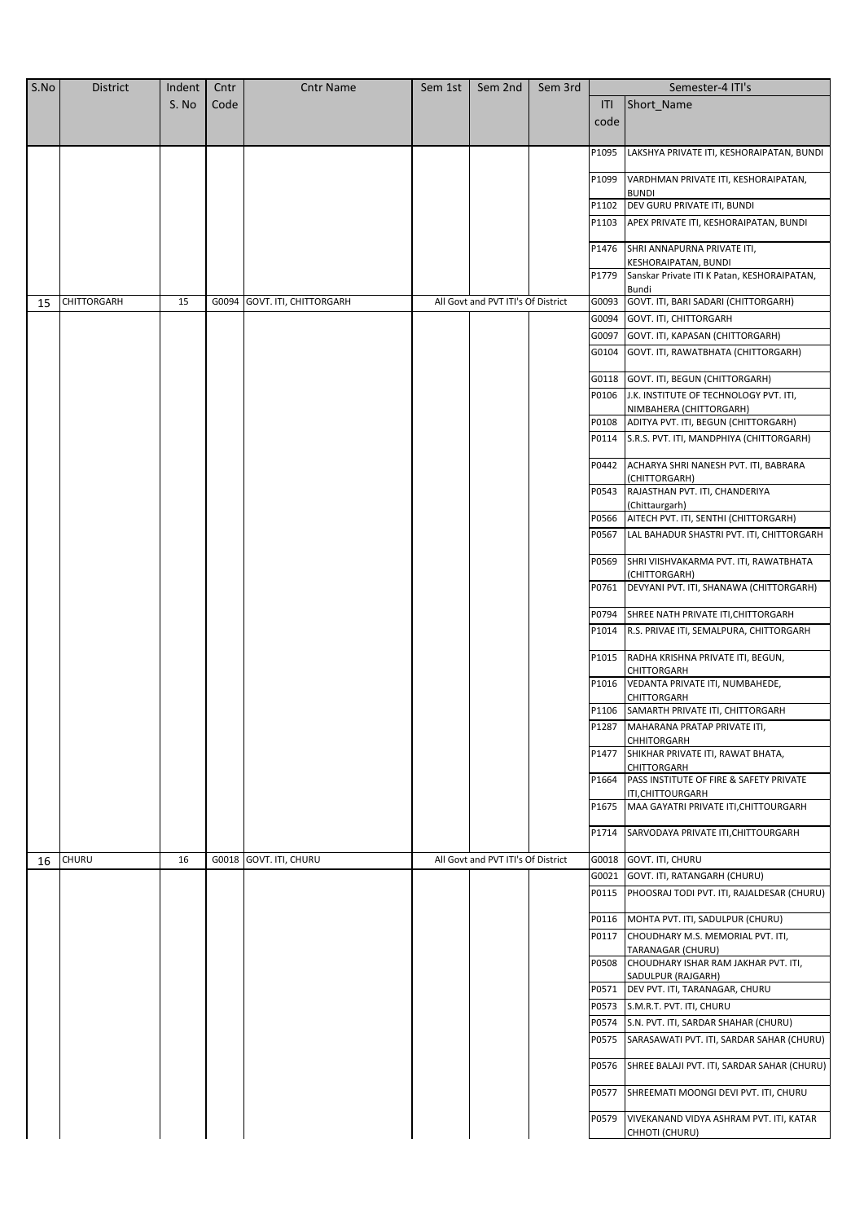| S.No | <b>District</b> | Indent | Cntr  | <b>Cntr Name</b>       | Sem 1st | Sem 2nd                            | Sem 3rd |       | Semester-4 ITI's                                          |
|------|-----------------|--------|-------|------------------------|---------|------------------------------------|---------|-------|-----------------------------------------------------------|
|      |                 | S. No  | Code  |                        |         |                                    |         | ITI   | Short_Name                                                |
|      |                 |        |       |                        |         |                                    |         | code  |                                                           |
|      |                 |        |       |                        |         |                                    |         |       |                                                           |
|      |                 |        |       |                        |         |                                    |         | P1095 | LAKSHYA PRIVATE ITI, KESHORAIPATAN, BUNDI                 |
|      |                 |        |       |                        |         |                                    |         | P1099 | VARDHMAN PRIVATE ITI, KESHORAIPATAN,                      |
|      |                 |        |       |                        |         |                                    |         |       | <b>BUNDI</b>                                              |
|      |                 |        |       |                        |         |                                    |         | P1102 | DEV GURU PRIVATE ITI, BUNDI                               |
|      |                 |        |       |                        |         |                                    |         | P1103 | APEX PRIVATE ITI, KESHORAIPATAN, BUNDI                    |
|      |                 |        |       |                        |         |                                    |         |       |                                                           |
|      |                 |        |       |                        |         |                                    |         | P1476 | SHRI ANNAPURNA PRIVATE ITI,<br>KESHORAIPATAN, BUNDI       |
|      |                 |        |       |                        |         |                                    |         | P1779 | Sanskar Private ITI K Patan, KESHORAIPATAN,               |
|      |                 |        |       |                        |         |                                    |         |       | Bundi                                                     |
| 15   | CHITTORGARH     | 15     | G0094 | GOVT. ITI, CHITTORGARH |         | All Govt and PVT ITI's Of District |         | G0093 | GOVT. ITI, BARI SADARI (CHITTORGARH)                      |
|      |                 |        |       |                        |         |                                    |         | G0094 | GOVT. ITI, CHITTORGARH                                    |
|      |                 |        |       |                        |         |                                    |         | G0097 | GOVT. ITI, KAPASAN (CHITTORGARH)                          |
|      |                 |        |       |                        |         |                                    |         | G0104 | GOVT. ITI, RAWATBHATA (CHITTORGARH)                       |
|      |                 |        |       |                        |         |                                    |         | G0118 | GOVT. ITI, BEGUN (CHITTORGARH)                            |
|      |                 |        |       |                        |         |                                    |         | P0106 | J.K. INSTITUTE OF TECHNOLOGY PVT. ITI,                    |
|      |                 |        |       |                        |         |                                    |         |       | NIMBAHERA (CHITTORGARH)                                   |
|      |                 |        |       |                        |         |                                    |         | P0108 | ADITYA PVT. ITI, BEGUN (CHITTORGARH)                      |
|      |                 |        |       |                        |         |                                    |         | P0114 | S.R.S. PVT. ITI, MANDPHIYA (CHITTORGARH)                  |
|      |                 |        |       |                        |         |                                    |         | P0442 | ACHARYA SHRI NANESH PVT. ITI, BABRARA                     |
|      |                 |        |       |                        |         |                                    |         | P0543 | (CHITTORGARH)<br>RAJASTHAN PVT. ITI, CHANDERIYA           |
|      |                 |        |       |                        |         |                                    |         |       | (Chittaurgarh)                                            |
|      |                 |        |       |                        |         |                                    |         | P0566 | AITECH PVT. ITI, SENTHI (CHITTORGARH)                     |
|      |                 |        |       |                        |         |                                    |         | P0567 | LAL BAHADUR SHASTRI PVT. ITI, CHITTORGARH                 |
|      |                 |        |       |                        |         |                                    |         | P0569 | SHRI VIISHVAKARMA PVT. ITI, RAWATBHATA                    |
|      |                 |        |       |                        |         |                                    |         | P0761 | (CHITTORGARH)<br>DEVYANI PVT. ITI, SHANAWA (CHITTORGARH)  |
|      |                 |        |       |                        |         |                                    |         |       |                                                           |
|      |                 |        |       |                        |         |                                    |         | P0794 | SHREE NATH PRIVATE ITI, CHITTORGARH                       |
|      |                 |        |       |                        |         |                                    |         | P1014 | R.S. PRIVAE ITI, SEMALPURA, CHITTORGARH                   |
|      |                 |        |       |                        |         |                                    |         | P1015 | RADHA KRISHNA PRIVATE ITI, BEGUN,<br>CHITTORGARH          |
|      |                 |        |       |                        |         |                                    |         | P1016 | VEDANTA PRIVATE ITI, NUMBAHEDE,                           |
|      |                 |        |       |                        |         |                                    |         |       | CHITTORGARH<br>P1106 SAMARTH PRIVATE ITI, CHITTORGARH     |
|      |                 |        |       |                        |         |                                    |         |       | P1287 MAHARANA PRATAP PRIVATE ITI,                        |
|      |                 |        |       |                        |         |                                    |         |       | CHHITORGARH                                               |
|      |                 |        |       |                        |         |                                    |         | P1477 | SHIKHAR PRIVATE ITI, RAWAT BHATA,                         |
|      |                 |        |       |                        |         |                                    |         | P1664 | CHITTORGARH<br>PASS INSTITUTE OF FIRE & SAFETY PRIVATE    |
|      |                 |        |       |                        |         |                                    |         |       | ITI, CHITTOURGARH                                         |
|      |                 |        |       |                        |         |                                    |         | P1675 | MAA GAYATRI PRIVATE ITI, CHITTOURGARH                     |
|      |                 |        |       |                        |         |                                    |         | P1714 | SARVODAYA PRIVATE ITI, CHITTOURGARH                       |
| 16   | CHURU           | 16     |       | G0018 GOVT. ITI, CHURU |         | All Govt and PVT ITI's Of District |         |       | G0018 GOVT. ITI, CHURU                                    |
|      |                 |        |       |                        |         |                                    |         |       | G0021 GOVT. ITI, RATANGARH (CHURU)                        |
|      |                 |        |       |                        |         |                                    |         | P0115 | PHOOSRAJ TODI PVT. ITI, RAJALDESAR (CHURU)                |
|      |                 |        |       |                        |         |                                    |         |       |                                                           |
|      |                 |        |       |                        |         |                                    |         |       | P0116 MOHTA PVT. ITI, SADULPUR (CHURU)                    |
|      |                 |        |       |                        |         |                                    |         | P0117 | CHOUDHARY M.S. MEMORIAL PVT. ITI,                         |
|      |                 |        |       |                        |         |                                    |         | P0508 | TARANAGAR (CHURU)<br>CHOUDHARY ISHAR RAM JAKHAR PVT. ITI, |
|      |                 |        |       |                        |         |                                    |         |       | SADULPUR (RAJGARH)                                        |
|      |                 |        |       |                        |         |                                    |         | P0571 | DEV PVT. ITI, TARANAGAR, CHURU                            |
|      |                 |        |       |                        |         |                                    |         | P0573 | S.M.R.T. PVT. ITI, CHURU                                  |
|      |                 |        |       |                        |         |                                    |         | P0574 | S.N. PVT. ITI, SARDAR SHAHAR (CHURU)                      |
|      |                 |        |       |                        |         |                                    |         | P0575 | SARASAWATI PVT. ITI, SARDAR SAHAR (CHURU)                 |
|      |                 |        |       |                        |         |                                    |         | P0576 | SHREE BALAJI PVT. ITI, SARDAR SAHAR (CHURU)               |
|      |                 |        |       |                        |         |                                    |         | P0577 | SHREEMATI MOONGI DEVI PVT. ITI, CHURU                     |
|      |                 |        |       |                        |         |                                    |         | P0579 |                                                           |
|      |                 |        |       |                        |         |                                    |         |       | VIVEKANAND VIDYA ASHRAM PVT. ITI, KATAR<br>CHHOTI (CHURU) |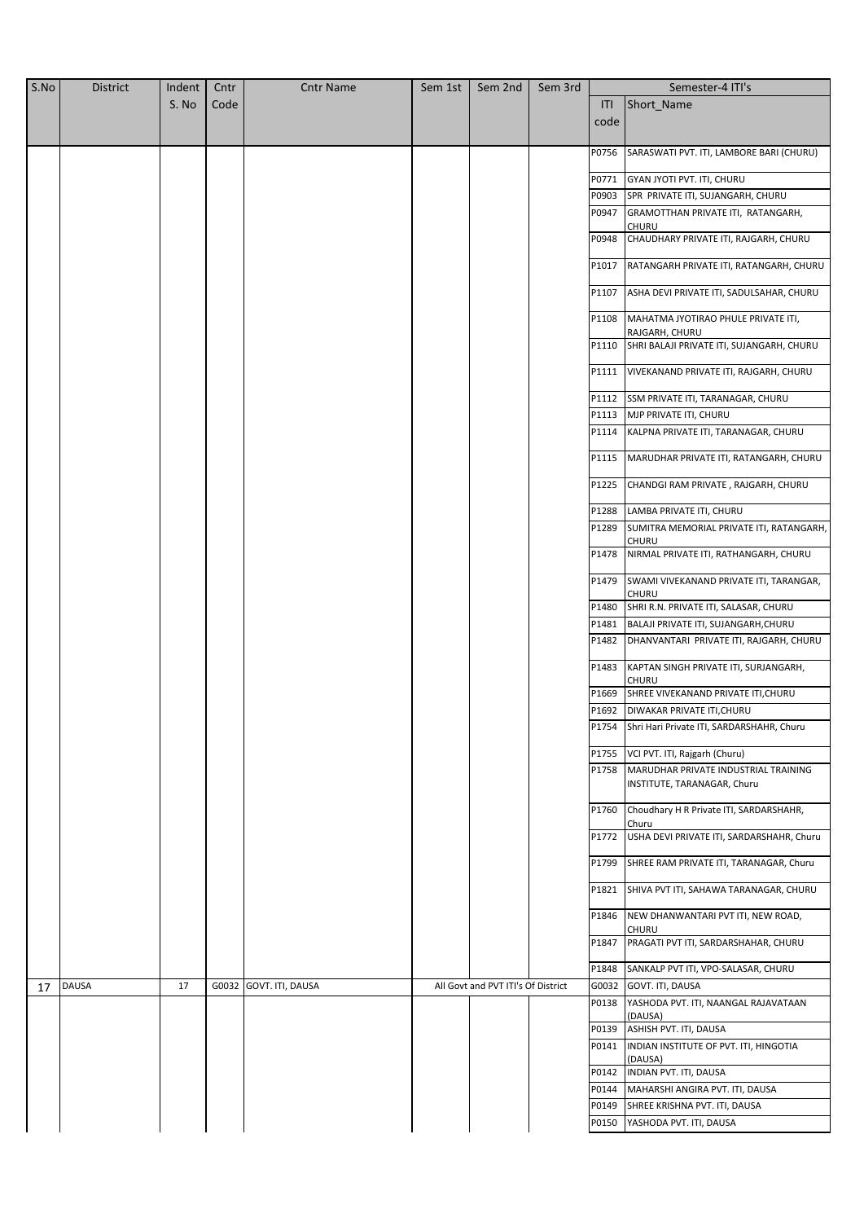| S.No | <b>District</b> | Indent | Cntr | <b>Cntr Name</b>       | Sem 1st | Sem 2nd                            | Sem 3rd |       | Semester-4 ITI's                                   |
|------|-----------------|--------|------|------------------------|---------|------------------------------------|---------|-------|----------------------------------------------------|
|      |                 | S. No  | Code |                        |         |                                    |         | ITI   | Short Name                                         |
|      |                 |        |      |                        |         |                                    |         | code  |                                                    |
|      |                 |        |      |                        |         |                                    |         |       |                                                    |
|      |                 |        |      |                        |         |                                    |         | P0756 | SARASWATI PVT. ITI, LAMBORE BARI (CHURU)           |
|      |                 |        |      |                        |         |                                    |         | P0771 | GYAN JYOTI PVT. ITI, CHURU                         |
|      |                 |        |      |                        |         |                                    |         | P0903 | SPR PRIVATE ITI, SUJANGARH, CHURU                  |
|      |                 |        |      |                        |         |                                    |         | P0947 | GRAMOTTHAN PRIVATE ITI, RATANGARH,                 |
|      |                 |        |      |                        |         |                                    |         |       | <b>CHURU</b>                                       |
|      |                 |        |      |                        |         |                                    |         | P0948 | CHAUDHARY PRIVATE ITI, RAJGARH, CHURU              |
|      |                 |        |      |                        |         |                                    |         | P1017 | RATANGARH PRIVATE ITI, RATANGARH, CHURU            |
|      |                 |        |      |                        |         |                                    |         |       |                                                    |
|      |                 |        |      |                        |         |                                    |         | P1107 | ASHA DEVI PRIVATE ITI, SADULSAHAR, CHURU           |
|      |                 |        |      |                        |         |                                    |         | P1108 | MAHATMA JYOTIRAO PHULE PRIVATE ITI,                |
|      |                 |        |      |                        |         |                                    |         |       | RAJGARH, CHURU                                     |
|      |                 |        |      |                        |         |                                    |         | P1110 | SHRI BALAJI PRIVATE ITI, SUJANGARH, CHURU          |
|      |                 |        |      |                        |         |                                    |         | P1111 | VIVEKANAND PRIVATE ITI, RAJGARH, CHURU             |
|      |                 |        |      |                        |         |                                    |         |       |                                                    |
|      |                 |        |      |                        |         |                                    |         | P1112 | SSM PRIVATE ITI, TARANAGAR, CHURU                  |
|      |                 |        |      |                        |         |                                    |         | P1113 | MJP PRIVATE ITI, CHURU                             |
|      |                 |        |      |                        |         |                                    |         | P1114 | KALPNA PRIVATE ITI, TARANAGAR, CHURU               |
|      |                 |        |      |                        |         |                                    |         | P1115 | MARUDHAR PRIVATE ITI, RATANGARH, CHURU             |
|      |                 |        |      |                        |         |                                    |         | P1225 | CHANDGI RAM PRIVATE, RAJGARH, CHURU                |
|      |                 |        |      |                        |         |                                    |         | P1288 | LAMBA PRIVATE ITI, CHURU                           |
|      |                 |        |      |                        |         |                                    |         | P1289 | SUMITRA MEMORIAL PRIVATE ITI, RATANGARH,           |
|      |                 |        |      |                        |         |                                    |         |       | <b>CHURU</b>                                       |
|      |                 |        |      |                        |         |                                    |         | P1478 | NIRMAL PRIVATE ITI, RATHANGARH, CHURU              |
|      |                 |        |      |                        |         |                                    |         | P1479 | SWAMI VIVEKANAND PRIVATE ITI, TARANGAR,<br>CHURU   |
|      |                 |        |      |                        |         |                                    |         | P1480 | SHRI R.N. PRIVATE ITI, SALASAR, CHURU              |
|      |                 |        |      |                        |         |                                    |         | P1481 | BALAJI PRIVATE ITI, SUJANGARH, CHURU               |
|      |                 |        |      |                        |         |                                    |         | P1482 | DHANVANTARI PRIVATE ITI, RAJGARH, CHURU            |
|      |                 |        |      |                        |         |                                    |         | P1483 | KAPTAN SINGH PRIVATE ITI, SURJANGARH,              |
|      |                 |        |      |                        |         |                                    |         |       | <b>CHURU</b>                                       |
|      |                 |        |      |                        |         |                                    |         | P1669 | SHREE VIVEKANAND PRIVATE ITI, CHURU                |
|      |                 |        |      |                        |         |                                    |         | P1692 | <b>DIWAKAR PRIVATE ITI, CHURU</b>                  |
|      |                 |        |      |                        |         |                                    |         |       | P1754 Shri Hari Private ITI, SARDARSHAHR, Churu    |
|      |                 |        |      |                        |         |                                    |         | P1755 | VCI PVT. ITI, Rajgarh (Churu)                      |
|      |                 |        |      |                        |         |                                    |         | P1758 | MARUDHAR PRIVATE INDUSTRIAL TRAINING               |
|      |                 |        |      |                        |         |                                    |         |       | INSTITUTE, TARANAGAR, Churu                        |
|      |                 |        |      |                        |         |                                    |         | P1760 | Choudhary H R Private ITI, SARDARSHAHR,            |
|      |                 |        |      |                        |         |                                    |         | P1772 | Churu<br>USHA DEVI PRIVATE ITI, SARDARSHAHR, Churu |
|      |                 |        |      |                        |         |                                    |         | P1799 | SHREE RAM PRIVATE ITI, TARANAGAR, Churu            |
|      |                 |        |      |                        |         |                                    |         | P1821 | SHIVA PVT ITI, SAHAWA TARANAGAR, CHURU             |
|      |                 |        |      |                        |         |                                    |         | P1846 | NEW DHANWANTARI PVT ITI, NEW ROAD,                 |
|      |                 |        |      |                        |         |                                    |         |       | CHURU                                              |
|      |                 |        |      |                        |         |                                    |         | P1847 | PRAGATI PVT ITI, SARDARSHAHAR, CHURU               |
|      |                 |        |      |                        |         |                                    |         | P1848 | SANKALP PVT ITI, VPO-SALASAR, CHURU                |
| 17   | <b>DAUSA</b>    | 17     |      | G0032 GOVT. ITI, DAUSA |         | All Govt and PVT ITI's Of District |         | G0032 | GOVT. ITI, DAUSA                                   |
|      |                 |        |      |                        |         |                                    |         | P0138 | YASHODA PVT. ITI, NAANGAL RAJAVATAAN               |
|      |                 |        |      |                        |         |                                    |         |       | (DAUSA)<br>P0139 ASHISH PVT. ITI, DAUSA            |
|      |                 |        |      |                        |         |                                    |         | P0141 | INDIAN INSTITUTE OF PVT. ITI, HINGOTIA             |
|      |                 |        |      |                        |         |                                    |         |       | (DAUSA)                                            |
|      |                 |        |      |                        |         |                                    |         | P0142 | INDIAN PVT. ITI, DAUSA                             |
|      |                 |        |      |                        |         |                                    |         | P0144 | MAHARSHI ANGIRA PVT. ITI, DAUSA                    |
|      |                 |        |      |                        |         |                                    |         | P0149 | SHREE KRISHNA PVT. ITI, DAUSA                      |
|      |                 |        |      |                        |         |                                    |         | P0150 | YASHODA PVT. ITI, DAUSA                            |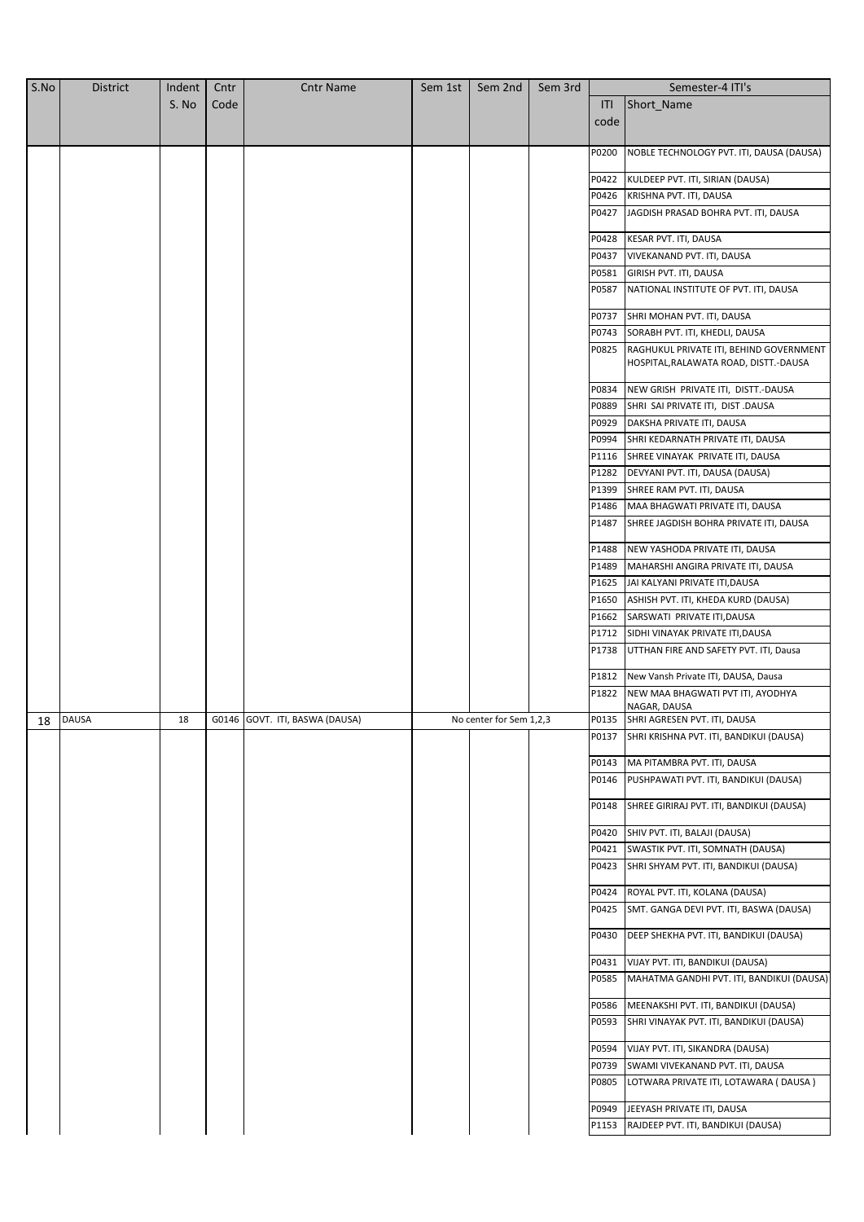| S.No | <b>District</b> | Indent | Cntr | <b>Cntr Name</b>               | Sem 1st | Sem 2nd                 | Sem 3rd |       | Semester-4 ITI's                          |
|------|-----------------|--------|------|--------------------------------|---------|-------------------------|---------|-------|-------------------------------------------|
|      |                 | S. No  | Code |                                |         |                         |         | ITI   | Short_Name                                |
|      |                 |        |      |                                |         |                         |         | code  |                                           |
|      |                 |        |      |                                |         |                         |         |       |                                           |
|      |                 |        |      |                                |         |                         |         | P0200 | NOBLE TECHNOLOGY PVT. ITI, DAUSA (DAUSA)  |
|      |                 |        |      |                                |         |                         |         |       |                                           |
|      |                 |        |      |                                |         |                         |         | P0422 | KULDEEP PVT. ITI, SIRIAN (DAUSA)          |
|      |                 |        |      |                                |         |                         |         | P0426 | KRISHNA PVT. ITI, DAUSA                   |
|      |                 |        |      |                                |         |                         |         | P0427 | JAGDISH PRASAD BOHRA PVT. ITI, DAUSA      |
|      |                 |        |      |                                |         |                         |         |       |                                           |
|      |                 |        |      |                                |         |                         |         | P0428 | KESAR PVT. ITI, DAUSA                     |
|      |                 |        |      |                                |         |                         |         | P0437 | VIVEKANAND PVT. ITI, DAUSA                |
|      |                 |        |      |                                |         |                         |         | P0581 | GIRISH PVT. ITI, DAUSA                    |
|      |                 |        |      |                                |         |                         |         | P0587 | NATIONAL INSTITUTE OF PVT. ITI, DAUSA     |
|      |                 |        |      |                                |         |                         |         | P0737 | SHRI MOHAN PVT. ITI, DAUSA                |
|      |                 |        |      |                                |         |                         |         | P0743 | SORABH PVT. ITI, KHEDLI, DAUSA            |
|      |                 |        |      |                                |         |                         |         | P0825 | RAGHUKUL PRIVATE ITI, BEHIND GOVERNMENT   |
|      |                 |        |      |                                |         |                         |         |       | HOSPITAL, RALAWATA ROAD, DISTT.-DAUSA     |
|      |                 |        |      |                                |         |                         |         | P0834 | NEW GRISH PRIVATE ITI, DISTT.-DAUSA       |
|      |                 |        |      |                                |         |                         |         | P0889 | SHRI SAI PRIVATE ITI, DIST .DAUSA         |
|      |                 |        |      |                                |         |                         |         | P0929 | DAKSHA PRIVATE ITI, DAUSA                 |
|      |                 |        |      |                                |         |                         |         | P0994 | SHRI KEDARNATH PRIVATE ITI, DAUSA         |
|      |                 |        |      |                                |         |                         |         | P1116 | SHREE VINAYAK PRIVATE ITI, DAUSA          |
|      |                 |        |      |                                |         |                         |         |       | DEVYANI PVT. ITI, DAUSA (DAUSA)           |
|      |                 |        |      |                                |         |                         |         | P1282 |                                           |
|      |                 |        |      |                                |         |                         |         | P1399 | SHREE RAM PVT. ITI, DAUSA                 |
|      |                 |        |      |                                |         |                         |         | P1486 | MAA BHAGWATI PRIVATE ITI, DAUSA           |
|      |                 |        |      |                                |         |                         |         | P1487 | SHREE JAGDISH BOHRA PRIVATE ITI, DAUSA    |
|      |                 |        |      |                                |         |                         |         | P1488 | NEW YASHODA PRIVATE ITI, DAUSA            |
|      |                 |        |      |                                |         |                         |         | P1489 | MAHARSHI ANGIRA PRIVATE ITI, DAUSA        |
|      |                 |        |      |                                |         |                         |         | P1625 | JAI KALYANI PRIVATE ITI, DAUSA            |
|      |                 |        |      |                                |         |                         |         | P1650 | ASHISH PVT. ITI, KHEDA KURD (DAUSA)       |
|      |                 |        |      |                                |         |                         |         | P1662 | SARSWATI PRIVATE ITI, DAUSA               |
|      |                 |        |      |                                |         |                         |         | P1712 | SIDHI VINAYAK PRIVATE ITI, DAUSA          |
|      |                 |        |      |                                |         |                         |         | P1738 | UTTHAN FIRE AND SAFETY PVT. ITI, Dausa    |
|      |                 |        |      |                                |         |                         |         | P1812 | New Vansh Private ITI, DAUSA, Dausa       |
|      |                 |        |      |                                |         |                         |         | P1822 | NEW MAA BHAGWATI PVT ITI, AYODHYA         |
|      |                 |        |      |                                |         |                         |         |       | NAGAR, DAUSA                              |
| 18   | <b>DAUSA</b>    | 18     |      | G0146 GOVT. ITI, BASWA (DAUSA) |         | No center for Sem 1,2,3 |         |       | P0135 SHRI AGRESEN PVT. ITI, DAUSA        |
|      |                 |        |      |                                |         |                         |         | P0137 | SHRI KRISHNA PVT. ITI, BANDIKUI (DAUSA)   |
|      |                 |        |      |                                |         |                         |         | P0143 | MA PITAMBRA PVT. ITI, DAUSA               |
|      |                 |        |      |                                |         |                         |         | P0146 | PUSHPAWATI PVT. ITI, BANDIKUI (DAUSA)     |
|      |                 |        |      |                                |         |                         |         | P0148 | SHREE GIRIRAJ PVT. ITI, BANDIKUI (DAUSA)  |
|      |                 |        |      |                                |         |                         |         | P0420 | SHIV PVT. ITI, BALAJI (DAUSA)             |
|      |                 |        |      |                                |         |                         |         | P0421 | SWASTIK PVT. ITI, SOMNATH (DAUSA)         |
|      |                 |        |      |                                |         |                         |         | P0423 | SHRI SHYAM PVT. ITI, BANDIKUI (DAUSA)     |
|      |                 |        |      |                                |         |                         |         |       |                                           |
|      |                 |        |      |                                |         |                         |         | P0424 | ROYAL PVT. ITI, KOLANA (DAUSA)            |
|      |                 |        |      |                                |         |                         |         | P0425 | SMT. GANGA DEVI PVT. ITI, BASWA (DAUSA)   |
|      |                 |        |      |                                |         |                         |         | P0430 | DEEP SHEKHA PVT. ITI, BANDIKUI (DAUSA)    |
|      |                 |        |      |                                |         |                         |         | P0431 | VIJAY PVT. ITI, BANDIKUI (DAUSA)          |
|      |                 |        |      |                                |         |                         |         | P0585 | MAHATMA GANDHI PVT. ITI, BANDIKUI (DAUSA) |
|      |                 |        |      |                                |         |                         |         |       |                                           |
|      |                 |        |      |                                |         |                         |         | P0586 | MEENAKSHI PVT. ITI, BANDIKUI (DAUSA)      |
|      |                 |        |      |                                |         |                         |         | P0593 | SHRI VINAYAK PVT. ITI, BANDIKUI (DAUSA)   |
|      |                 |        |      |                                |         |                         |         | P0594 | VIJAY PVT. ITI, SIKANDRA (DAUSA)          |
|      |                 |        |      |                                |         |                         |         | P0739 | SWAMI VIVEKANAND PVT. ITI, DAUSA          |
|      |                 |        |      |                                |         |                         |         | P0805 | LOTWARA PRIVATE ITI, LOTAWARA (DAUSA)     |
|      |                 |        |      |                                |         |                         |         | P0949 | JEEYASH PRIVATE ITI, DAUSA                |
|      |                 |        |      |                                |         |                         |         | P1153 | RAJDEEP PVT. ITI, BANDIKUI (DAUSA)        |
|      |                 |        |      |                                |         |                         |         |       |                                           |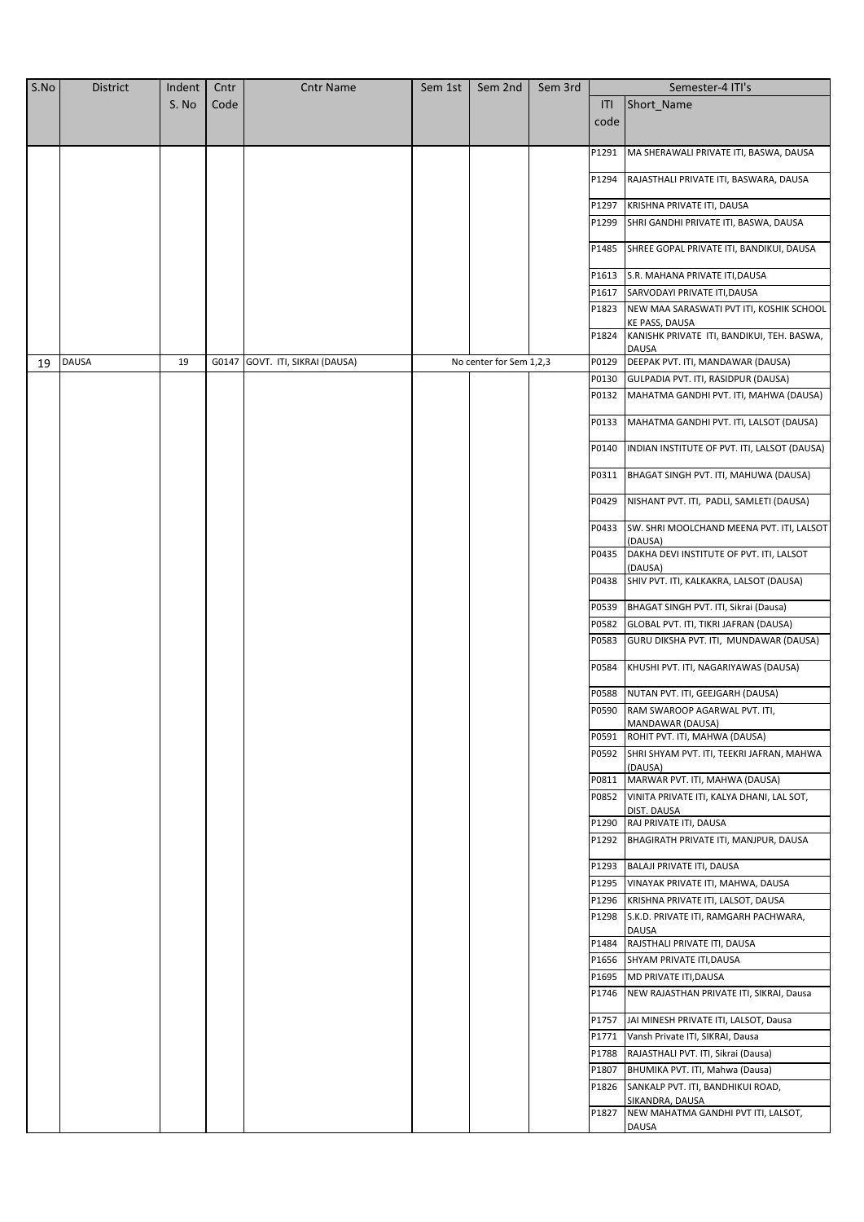| S.No | <b>District</b> | Indent | Cntr  | <b>Cntr Name</b>          | Sem 1st | Sem 2nd                 | Sem 3rd |       | Semester-4 ITI's                                           |
|------|-----------------|--------|-------|---------------------------|---------|-------------------------|---------|-------|------------------------------------------------------------|
|      |                 | S. No  | Code  |                           |         |                         |         | ITI   | Short_Name                                                 |
|      |                 |        |       |                           |         |                         |         | code  |                                                            |
|      |                 |        |       |                           |         |                         |         |       |                                                            |
|      |                 |        |       |                           |         |                         |         | P1291 | MA SHERAWALI PRIVATE ITI, BASWA, DAUSA                     |
|      |                 |        |       |                           |         |                         |         | P1294 | RAJASTHALI PRIVATE ITI, BASWARA, DAUSA                     |
|      |                 |        |       |                           |         |                         |         | P1297 | KRISHNA PRIVATE ITI, DAUSA                                 |
|      |                 |        |       |                           |         |                         |         | P1299 | SHRI GANDHI PRIVATE ITI, BASWA, DAUSA                      |
|      |                 |        |       |                           |         |                         |         | P1485 | SHREE GOPAL PRIVATE ITI, BANDIKUI, DAUSA                   |
|      |                 |        |       |                           |         |                         |         |       |                                                            |
|      |                 |        |       |                           |         |                         |         | P1613 | S.R. MAHANA PRIVATE ITI, DAUSA                             |
|      |                 |        |       |                           |         |                         |         | P1617 | SARVODAYI PRIVATE ITI, DAUSA                               |
|      |                 |        |       |                           |         |                         |         | P1823 | NEW MAA SARASWATI PVT ITI, KOSHIK SCHOOL<br>KE PASS, DAUSA |
|      |                 |        |       |                           |         |                         |         | P1824 | KANISHK PRIVATE ITI, BANDIKUI, TEH. BASWA,<br>DAUSA        |
| 19   | <b>DAUSA</b>    | 19     | G0147 | GOVT. ITI, SIKRAI (DAUSA) |         | No center for Sem 1,2,3 |         | P0129 | DEEPAK PVT. ITI, MANDAWAR (DAUSA)                          |
|      |                 |        |       |                           |         |                         |         | P0130 | GULPADIA PVT. ITI, RASIDPUR (DAUSA)                        |
|      |                 |        |       |                           |         |                         |         | P0132 | MAHATMA GANDHI PVT. ITI, MAHWA (DAUSA)                     |
|      |                 |        |       |                           |         |                         |         | P0133 | MAHATMA GANDHI PVT. ITI, LALSOT (DAUSA)                    |
|      |                 |        |       |                           |         |                         |         | P0140 | INDIAN INSTITUTE OF PVT. ITI, LALSOT (DAUSA)               |
|      |                 |        |       |                           |         |                         |         | P0311 | BHAGAT SINGH PVT. ITI, MAHUWA (DAUSA)                      |
|      |                 |        |       |                           |         |                         |         | P0429 | NISHANT PVT. ITI, PADLI, SAMLETI (DAUSA)                   |
|      |                 |        |       |                           |         |                         |         | P0433 | SW. SHRI MOOLCHAND MEENA PVT. ITI, LALSOT<br>(DAUSA)       |
|      |                 |        |       |                           |         |                         |         | P0435 | DAKHA DEVI INSTITUTE OF PVT. ITI, LALSOT                   |
|      |                 |        |       |                           |         |                         |         | P0438 | (DAUSA)<br>SHIV PVT. ITI, KALKAKRA, LALSOT (DAUSA)         |
|      |                 |        |       |                           |         |                         |         |       |                                                            |
|      |                 |        |       |                           |         |                         |         | P0539 | BHAGAT SINGH PVT. ITI, Sikrai (Dausa)                      |
|      |                 |        |       |                           |         |                         |         | P0582 | GLOBAL PVT. ITI, TIKRI JAFRAN (DAUSA)                      |
|      |                 |        |       |                           |         |                         |         | P0583 | GURU DIKSHA PVT. ITI, MUNDAWAR (DAUSA)                     |
|      |                 |        |       |                           |         |                         |         | P0584 | KHUSHI PVT. ITI, NAGARIYAWAS (DAUSA)                       |
|      |                 |        |       |                           |         |                         |         | P0588 | NUTAN PVT. ITI, GEEJGARH (DAUSA)                           |
|      |                 |        |       |                           |         |                         |         | P0590 | RAM SWAROOP AGARWAL PVT. ITI,<br>MANDAWAR (DAUSA)          |
|      |                 |        |       |                           |         |                         |         | P0591 | ROHIT PVT. ITI, MAHWA (DAUSA)                              |
|      |                 |        |       |                           |         |                         |         | P0592 | SHRI SHYAM PVT. ITI, TEEKRI JAFRAN, MAHWA                  |
|      |                 |        |       |                           |         |                         |         | P0811 | (DAUSA)<br>MARWAR PVT. ITI, MAHWA (DAUSA)                  |
|      |                 |        |       |                           |         |                         |         | P0852 | VINITA PRIVATE ITI, KALYA DHANI, LAL SOT,                  |
|      |                 |        |       |                           |         |                         |         |       | DIST. DAUSA                                                |
|      |                 |        |       |                           |         |                         |         | P1290 | RAJ PRIVATE ITI, DAUSA                                     |
|      |                 |        |       |                           |         |                         |         | P1292 | BHAGIRATH PRIVATE ITI, MANJPUR, DAUSA                      |
|      |                 |        |       |                           |         |                         |         | P1293 | BALAJI PRIVATE ITI, DAUSA                                  |
|      |                 |        |       |                           |         |                         |         | P1295 | VINAYAK PRIVATE ITI, MAHWA, DAUSA                          |
|      |                 |        |       |                           |         |                         |         | P1296 | KRISHNA PRIVATE ITI, LALSOT, DAUSA                         |
|      |                 |        |       |                           |         |                         |         | P1298 | S.K.D. PRIVATE ITI, RAMGARH PACHWARA,<br><b>DAUSA</b>      |
|      |                 |        |       |                           |         |                         |         | P1484 | RAJSTHALI PRIVATE ITI, DAUSA                               |
|      |                 |        |       |                           |         |                         |         | P1656 | SHYAM PRIVATE ITI, DAUSA                                   |
|      |                 |        |       |                           |         |                         |         | P1695 | MD PRIVATE ITI, DAUSA                                      |
|      |                 |        |       |                           |         |                         |         | P1746 | NEW RAJASTHAN PRIVATE ITI, SIKRAI, Dausa                   |
|      |                 |        |       |                           |         |                         |         | P1757 | JAI MINESH PRIVATE ITI, LALSOT, Dausa                      |
|      |                 |        |       |                           |         |                         |         | P1771 | Vansh Private ITI, SIKRAI, Dausa                           |
|      |                 |        |       |                           |         |                         |         | P1788 | RAJASTHALI PVT. ITI, Sikrai (Dausa)                        |
|      |                 |        |       |                           |         |                         |         | P1807 | BHUMIKA PVT. ITI, Mahwa (Dausa)                            |
|      |                 |        |       |                           |         |                         |         | P1826 | SANKALP PVT. ITI, BANDHIKUI ROAD,<br>SIKANDRA, DAUSA       |
|      |                 |        |       |                           |         |                         |         | P1827 | NEW MAHATMA GANDHI PVT ITI, LALSOT,                        |
|      |                 |        |       |                           |         |                         |         |       | DAUSA                                                      |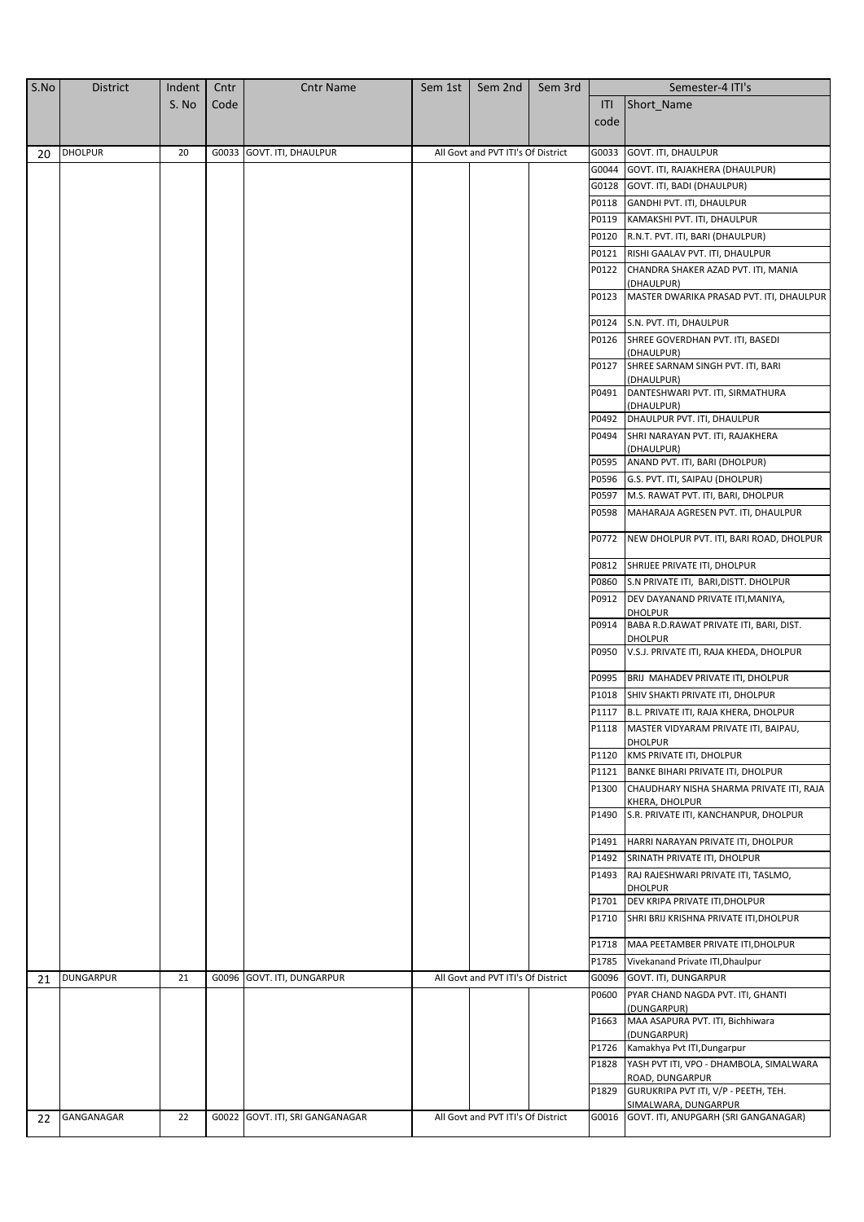| S.No | <b>District</b>  | Indent | Cntr | <b>Cntr Name</b>                | Sem 1st | Sem 2nd                            | Sem 3rd |       | Semester-4 ITI's                                             |
|------|------------------|--------|------|---------------------------------|---------|------------------------------------|---------|-------|--------------------------------------------------------------|
|      |                  | S. No  | Code |                                 |         |                                    |         | ITI   | Short Name                                                   |
|      |                  |        |      |                                 |         |                                    |         | code  |                                                              |
|      | <b>DHOLPUR</b>   | 20     |      | G0033 GOVT. ITI, DHAULPUR       |         | All Govt and PVT ITI's Of District |         | G0033 | <b>GOVT. ITI, DHAULPUR</b>                                   |
| 20   |                  |        |      |                                 |         |                                    |         | G0044 | GOVT. ITI, RAJAKHERA (DHAULPUR)                              |
|      |                  |        |      |                                 |         |                                    |         | G0128 | GOVT. ITI, BADI (DHAULPUR)                                   |
|      |                  |        |      |                                 |         |                                    |         | P0118 | GANDHI PVT. ITI, DHAULPUR                                    |
|      |                  |        |      |                                 |         |                                    |         | P0119 | KAMAKSHI PVT. ITI, DHAULPUR                                  |
|      |                  |        |      |                                 |         |                                    |         | P0120 | R.N.T. PVT. ITI, BARI (DHAULPUR)                             |
|      |                  |        |      |                                 |         |                                    |         | P0121 | RISHI GAALAV PVT. ITI, DHAULPUR                              |
|      |                  |        |      |                                 |         |                                    |         | P0122 | CHANDRA SHAKER AZAD PVT. ITI, MANIA                          |
|      |                  |        |      |                                 |         |                                    |         |       | (DHAULPUR)                                                   |
|      |                  |        |      |                                 |         |                                    |         | P0123 | MASTER DWARIKA PRASAD PVT. ITI, DHAULPUR                     |
|      |                  |        |      |                                 |         |                                    |         | P0124 | S.N. PVT. ITI, DHAULPUR                                      |
|      |                  |        |      |                                 |         |                                    |         | P0126 | SHREE GOVERDHAN PVT. ITI, BASEDI                             |
|      |                  |        |      |                                 |         |                                    |         | P0127 | (DHAULPUR)<br>SHREE SARNAM SINGH PVT. ITI, BARI              |
|      |                  |        |      |                                 |         |                                    |         |       | (DHAULPUR)                                                   |
|      |                  |        |      |                                 |         |                                    |         | P0491 | DANTESHWARI PVT. ITI, SIRMATHURA<br>(DHAULPUR)               |
|      |                  |        |      |                                 |         |                                    |         | P0492 | DHAULPUR PVT. ITI, DHAULPUR                                  |
|      |                  |        |      |                                 |         |                                    |         | P0494 | SHRI NARAYAN PVT. ITI, RAJAKHERA                             |
|      |                  |        |      |                                 |         |                                    |         | P0595 | (DHAULPUR)<br>ANAND PVT. ITI, BARI (DHOLPUR)                 |
|      |                  |        |      |                                 |         |                                    |         | P0596 | G.S. PVT. ITI, SAIPAU (DHOLPUR)                              |
|      |                  |        |      |                                 |         |                                    |         | P0597 | M.S. RAWAT PVT. ITI, BARI, DHOLPUR                           |
|      |                  |        |      |                                 |         |                                    |         | P0598 | MAHARAJA AGRESEN PVT. ITI, DHAULPUR                          |
|      |                  |        |      |                                 |         |                                    |         |       |                                                              |
|      |                  |        |      |                                 |         |                                    |         | P0772 | NEW DHOLPUR PVT. ITI, BARI ROAD, DHOLPUR                     |
|      |                  |        |      |                                 |         |                                    |         | P0812 | SHRIJEE PRIVATE ITI, DHOLPUR                                 |
|      |                  |        |      |                                 |         |                                    |         | P0860 | S.N PRIVATE ITI, BARI, DISTT. DHOLPUR                        |
|      |                  |        |      |                                 |         |                                    |         | P0912 | DEV DAYANAND PRIVATE ITI, MANIYA,<br><b>DHOLPUR</b>          |
|      |                  |        |      |                                 |         |                                    |         | P0914 | BABA R.D.RAWAT PRIVATE ITI, BARI, DIST.<br><b>DHOLPUR</b>    |
|      |                  |        |      |                                 |         |                                    |         | P0950 | V.S.J. PRIVATE ITI, RAJA KHEDA, DHOLPUR                      |
|      |                  |        |      |                                 |         |                                    |         | P0995 | BRIJ MAHADEV PRIVATE ITI, DHOLPUR                            |
|      |                  |        |      |                                 |         |                                    |         | P1018 | SHIV SHAKTI PRIVATE ITI, DHOLPUR                             |
|      |                  |        |      |                                 |         |                                    |         |       | P1117 B.L. PRIVATE ITI, RAJA KHERA, DHOLPUR                  |
|      |                  |        |      |                                 |         |                                    |         |       | P1118   MASTER VIDYARAM PRIVATE ITI, BAIPAU,                 |
|      |                  |        |      |                                 |         |                                    |         | P1120 | <b>DHOLPUR</b><br>KMS PRIVATE ITI, DHOLPUR                   |
|      |                  |        |      |                                 |         |                                    |         | P1121 | BANKE BIHARI PRIVATE ITI, DHOLPUR                            |
|      |                  |        |      |                                 |         |                                    |         | P1300 | CHAUDHARY NISHA SHARMA PRIVATE ITI, RAJA                     |
|      |                  |        |      |                                 |         |                                    |         | P1490 | KHERA, DHOLPUR<br>S.R. PRIVATE ITI, KANCHANPUR, DHOLPUR      |
|      |                  |        |      |                                 |         |                                    |         | P1491 | HARRI NARAYAN PRIVATE ITI, DHOLPUR                           |
|      |                  |        |      |                                 |         |                                    |         | P1492 | SRINATH PRIVATE ITI, DHOLPUR                                 |
|      |                  |        |      |                                 |         |                                    |         | P1493 | RAJ RAJESHWARI PRIVATE ITI, TASLMO,                          |
|      |                  |        |      |                                 |         |                                    |         | P1701 | <b>DHOLPUR</b><br>DEV KRIPA PRIVATE ITI, DHOLPUR             |
|      |                  |        |      |                                 |         |                                    |         | P1710 | SHRI BRIJ KRISHNA PRIVATE ITI, DHOLPUR                       |
|      |                  |        |      |                                 |         |                                    |         | P1718 | MAA PEETAMBER PRIVATE ITI, DHOLPUR                           |
|      |                  |        |      |                                 |         |                                    |         | P1785 | Vivekanand Private ITI, Dhaulpur                             |
| 21   | <b>DUNGARPUR</b> | 21     |      | G0096 GOVT. ITI, DUNGARPUR      |         | All Govt and PVT ITI's Of District |         | G0096 | GOVT. ITI, DUNGARPUR                                         |
|      |                  |        |      |                                 |         |                                    |         | P0600 | PYAR CHAND NAGDA PVT. ITI, GHANTI                            |
|      |                  |        |      |                                 |         |                                    |         | P1663 | (DUNGARPUR)<br>MAA ASAPURA PVT. ITI, Bichhiwara              |
|      |                  |        |      |                                 |         |                                    |         |       | (DUNGARPUR)                                                  |
|      |                  |        |      |                                 |         |                                    |         | P1726 | Kamakhya Pvt ITI, Dungarpur                                  |
|      |                  |        |      |                                 |         |                                    |         | P1828 | YASH PVT ITI, VPO - DHAMBOLA, SIMALWARA<br>ROAD, DUNGARPUR   |
|      |                  |        |      |                                 |         |                                    |         | P1829 | GURUKRIPA PVT ITI, V/P - PEETH, TEH.<br>SIMALWARA, DUNGARPUR |
| 22   | GANGANAGAR       | 22     |      | G0022 GOVT. ITI, SRI GANGANAGAR |         | All Govt and PVT ITI's Of District |         | G0016 | GOVT. ITI, ANUPGARH (SRI GANGANAGAR)                         |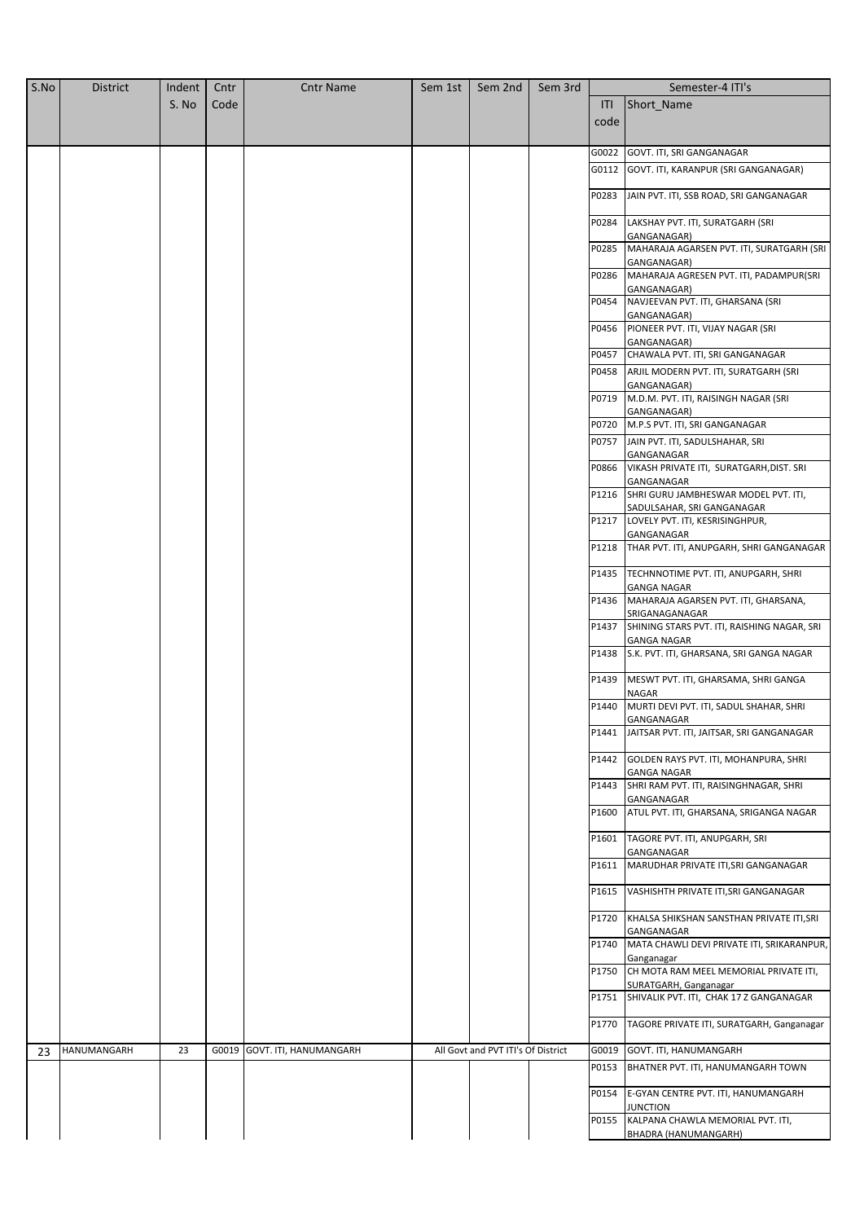| S.No | <b>District</b> | Indent | Cntr | <b>Cntr Name</b>             | Sem 1st | Sem 2nd                            | Sem 3rd |       | Semester-4 ITI's                                                   |
|------|-----------------|--------|------|------------------------------|---------|------------------------------------|---------|-------|--------------------------------------------------------------------|
|      |                 | S. No  | Code |                              |         |                                    |         | ITI   | Short Name                                                         |
|      |                 |        |      |                              |         |                                    |         | code  |                                                                    |
|      |                 |        |      |                              |         |                                    |         |       |                                                                    |
|      |                 |        |      |                              |         |                                    |         | G0022 | GOVT. ITI, SRI GANGANAGAR                                          |
|      |                 |        |      |                              |         |                                    |         | G0112 | GOVT. ITI, KARANPUR (SRI GANGANAGAR)                               |
|      |                 |        |      |                              |         |                                    |         | P0283 | JAIN PVT. ITI, SSB ROAD, SRI GANGANAGAR                            |
|      |                 |        |      |                              |         |                                    |         | P0284 | LAKSHAY PVT. ITI, SURATGARH (SRI<br>GANGANAGAR)                    |
|      |                 |        |      |                              |         |                                    |         | P0285 | MAHARAJA AGARSEN PVT. ITI, SURATGARH (SRI<br>GANGANAGAR)           |
|      |                 |        |      |                              |         |                                    |         | P0286 | MAHARAJA AGRESEN PVT. ITI, PADAMPUR(SRI<br>GANGANAGAR)             |
|      |                 |        |      |                              |         |                                    |         | P0454 | NAVJEEVAN PVT. ITI, GHARSANA (SRI<br>GANGANAGAR)                   |
|      |                 |        |      |                              |         |                                    |         | P0456 | PIONEER PVT. ITI, VIJAY NAGAR (SRI<br>GANGANAGAR)                  |
|      |                 |        |      |                              |         |                                    |         | P0457 | CHAWALA PVT. ITI, SRI GANGANAGAR                                   |
|      |                 |        |      |                              |         |                                    |         | P0458 | ARJIL MODERN PVT. ITI, SURATGARH (SRI<br>GANGANAGAR)               |
|      |                 |        |      |                              |         |                                    |         | P0719 | M.D.M. PVT. ITI, RAISINGH NAGAR (SRI<br>GANGANAGAR)                |
|      |                 |        |      |                              |         |                                    |         |       | P0720 M.P.S PVT. ITI, SRI GANGANAGAR                               |
|      |                 |        |      |                              |         |                                    |         | P0757 | JAIN PVT. ITI, SADULSHAHAR, SRI<br>GANGANAGAR                      |
|      |                 |        |      |                              |         |                                    |         | P0866 | VIKASH PRIVATE ITI, SURATGARH, DIST. SRI<br>GANGANAGAR             |
|      |                 |        |      |                              |         |                                    |         | P1216 | SHRI GURU JAMBHESWAR MODEL PVT. ITI,<br>SADULSAHAR, SRI GANGANAGAR |
|      |                 |        |      |                              |         |                                    |         | P1217 | LOVELY PVT. ITI, KESRISINGHPUR,<br>GANGANAGAR                      |
|      |                 |        |      |                              |         |                                    |         | P1218 | THAR PVT. ITI, ANUPGARH, SHRI GANGANAGAR                           |
|      |                 |        |      |                              |         |                                    |         | P1435 | TECHNNOTIME PVT. ITI, ANUPGARH, SHRI<br><b>GANGA NAGAR</b>         |
|      |                 |        |      |                              |         |                                    |         | P1436 | MAHARAJA AGARSEN PVT. ITI, GHARSANA,<br>SRIGANAGANAGAR             |
|      |                 |        |      |                              |         |                                    |         | P1437 | SHINING STARS PVT. ITI, RAISHING NAGAR, SRI<br><b>GANGA NAGAR</b>  |
|      |                 |        |      |                              |         |                                    |         | P1438 | S.K. PVT. ITI, GHARSANA, SRI GANGA NAGAR                           |
|      |                 |        |      |                              |         |                                    |         | P1439 | MESWT PVT. ITI, GHARSAMA, SHRI GANGA<br><b>NAGAR</b>               |
|      |                 |        |      |                              |         |                                    |         | P1440 | MURTI DEVI PVT. ITI, SADUL SHAHAR, SHRI<br>GANGANAGAR              |
|      |                 |        |      |                              |         |                                    |         |       | P1441   JAITSAR PVT. ITI, JAITSAR, SRI GANGANAGAR                  |
|      |                 |        |      |                              |         |                                    |         | P1442 | GOLDEN RAYS PVT. ITI, MOHANPURA, SHRI<br><b>GANGA NAGAR</b>        |
|      |                 |        |      |                              |         |                                    |         |       | P1443 SHRI RAM PVT. ITI, RAISINGHNAGAR, SHRI<br>GANGANAGAR         |
|      |                 |        |      |                              |         |                                    |         | P1600 | ATUL PVT. ITI, GHARSANA, SRIGANGA NAGAR                            |
|      |                 |        |      |                              |         |                                    |         | P1601 | TAGORE PVT. ITI, ANUPGARH, SRI<br>GANGANAGAR                       |
|      |                 |        |      |                              |         |                                    |         | P1611 | MARUDHAR PRIVATE ITI, SRI GANGANAGAR                               |
|      |                 |        |      |                              |         |                                    |         | P1615 | VASHISHTH PRIVATE ITI, SRI GANGANAGAR                              |
|      |                 |        |      |                              |         |                                    |         | P1720 | KHALSA SHIKSHAN SANSTHAN PRIVATE ITI, SRI<br>GANGANAGAR            |
|      |                 |        |      |                              |         |                                    |         | P1740 | MATA CHAWLI DEVI PRIVATE ITI, SRIKARANPUR,<br>Ganganagar           |
|      |                 |        |      |                              |         |                                    |         | P1750 | CH MOTA RAM MEEL MEMORIAL PRIVATE ITI,<br>SURATGARH, Ganganagar    |
|      |                 |        |      |                              |         |                                    |         | P1751 | SHIVALIK PVT. ITI, CHAK 17 Z GANGANAGAR                            |
|      |                 |        |      |                              |         |                                    |         | P1770 | TAGORE PRIVATE ITI, SURATGARH, Ganganagar                          |
| 23   | HANUMANGARH     | 23     |      | G0019 GOVT. ITI, HANUMANGARH |         | All Govt and PVT ITI's Of District |         | G0019 | GOVT. ITI, HANUMANGARH                                             |
|      |                 |        |      |                              |         |                                    |         | P0153 | BHATNER PVT. ITI, HANUMANGARH TOWN                                 |
|      |                 |        |      |                              |         |                                    |         | P0154 | E-GYAN CENTRE PVT. ITI, HANUMANGARH<br>JUNCTION                    |
|      |                 |        |      |                              |         |                                    |         | P0155 | KALPANA CHAWLA MEMORIAL PVT. ITI,<br>BHADRA (HANUMANGARH)          |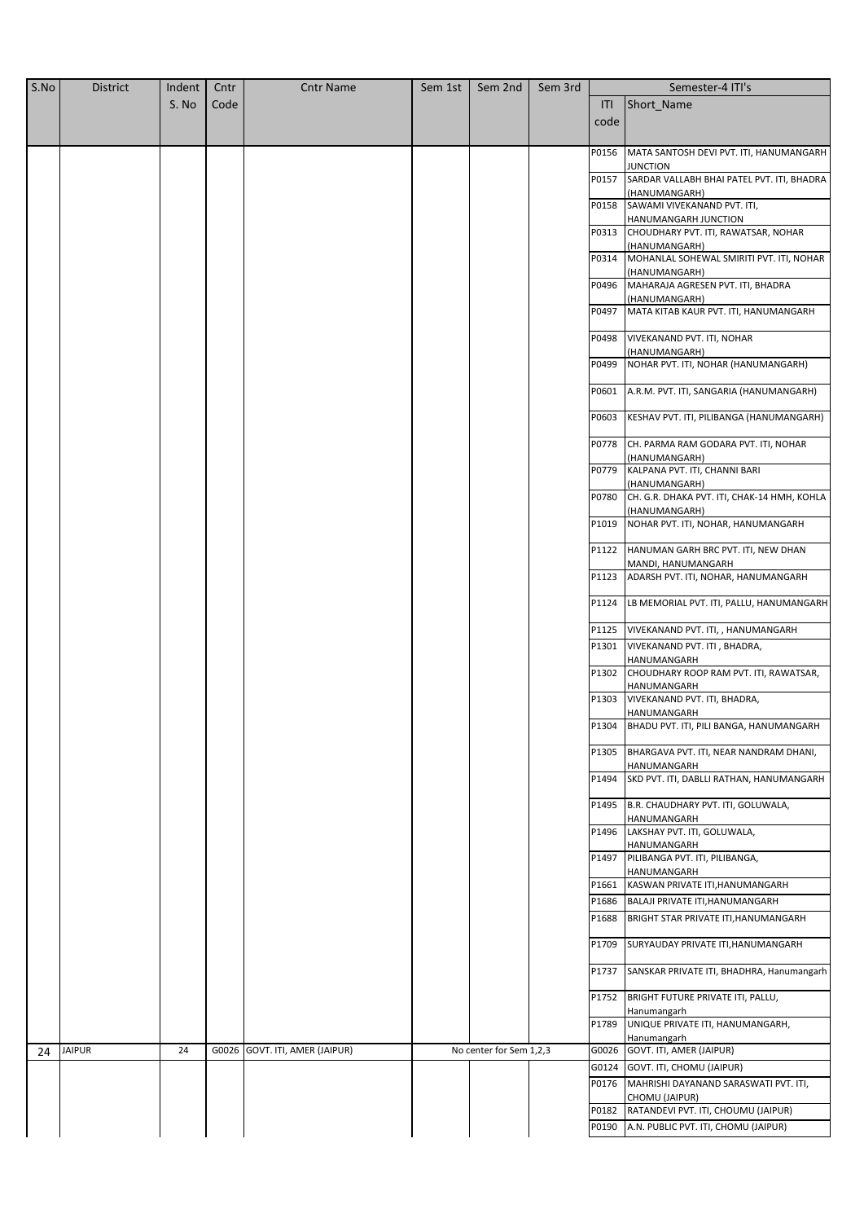| S.No | <b>District</b> | Indent | Cntr | <b>Cntr Name</b>               | Sem 1st | Sem 2nd                 | Sem 3rd |                | Semester-4 ITI's                                             |
|------|-----------------|--------|------|--------------------------------|---------|-------------------------|---------|----------------|--------------------------------------------------------------|
|      |                 | S. No  | Code |                                |         |                         |         | ITI            | Short_Name                                                   |
|      |                 |        |      |                                |         |                         |         | code           |                                                              |
|      |                 |        |      |                                |         |                         |         |                |                                                              |
|      |                 |        |      |                                |         |                         |         | P0156          | MATA SANTOSH DEVI PVT. ITI, HANUMANGARH<br>JUNCTION          |
|      |                 |        |      |                                |         |                         |         | P0157          | SARDAR VALLABH BHAI PATEL PVT. ITI, BHADRA                   |
|      |                 |        |      |                                |         |                         |         |                | (HANUMANGARH)                                                |
|      |                 |        |      |                                |         |                         |         | P0158          | SAWAMI VIVEKANAND PVT. ITI,<br>HANUMANGARH JUNCTION          |
|      |                 |        |      |                                |         |                         |         | P0313          | CHOUDHARY PVT. ITI, RAWATSAR, NOHAR                          |
|      |                 |        |      |                                |         |                         |         | P0314          | (HANUMANGARH)<br>MOHANLAL SOHEWAL SMIRITI PVT. ITI, NOHAR    |
|      |                 |        |      |                                |         |                         |         |                | (HANUMANGARH)                                                |
|      |                 |        |      |                                |         |                         |         | P0496          | MAHARAJA AGRESEN PVT. ITI, BHADRA                            |
|      |                 |        |      |                                |         |                         |         | P0497          | (HANUMANGARH)<br>MATA KITAB KAUR PVT. ITI, HANUMANGARH       |
|      |                 |        |      |                                |         |                         |         |                |                                                              |
|      |                 |        |      |                                |         |                         |         | P0498          | VIVEKANAND PVT. ITI, NOHAR                                   |
|      |                 |        |      |                                |         |                         |         | P0499          | (HANUMANGARH)<br>NOHAR PVT. ITI, NOHAR (HANUMANGARH)         |
|      |                 |        |      |                                |         |                         |         |                |                                                              |
|      |                 |        |      |                                |         |                         |         | P0601          | A.R.M. PVT. ITI, SANGARIA (HANUMANGARH)                      |
|      |                 |        |      |                                |         |                         |         | P0603          | KESHAV PVT. ITI, PILIBANGA (HANUMANGARH)                     |
|      |                 |        |      |                                |         |                         |         | P0778          | CH. PARMA RAM GODARA PVT. ITI, NOHAR<br>(HANUMANGARH)        |
|      |                 |        |      |                                |         |                         |         | P0779          | KALPANA PVT. ITI, CHANNI BARI<br>(HANUMANGARH)               |
|      |                 |        |      |                                |         |                         |         | P0780          | CH. G.R. DHAKA PVT. ITI, CHAK-14 HMH, KOHLA<br>(HANUMANGARH) |
|      |                 |        |      |                                |         |                         |         | P1019          | NOHAR PVT. ITI, NOHAR, HANUMANGARH                           |
|      |                 |        |      |                                |         |                         |         | P1122          | HANUMAN GARH BRC PVT. ITI, NEW DHAN<br>MANDI, HANUMANGARH    |
|      |                 |        |      |                                |         |                         |         | P1123          | ADARSH PVT. ITI, NOHAR, HANUMANGARH                          |
|      |                 |        |      |                                |         |                         |         | P1124          | LB MEMORIAL PVT. ITI, PALLU, HANUMANGARH                     |
|      |                 |        |      |                                |         |                         |         |                |                                                              |
|      |                 |        |      |                                |         |                         |         | P1125<br>P1301 | VIVEKANAND PVT. ITI, , HANUMANGARH                           |
|      |                 |        |      |                                |         |                         |         |                | VIVEKANAND PVT. ITI, BHADRA,<br>HANUMANGARH                  |
|      |                 |        |      |                                |         |                         |         | P1302          | CHOUDHARY ROOP RAM PVT. ITI, RAWATSAR,<br>HANUMANGARH        |
|      |                 |        |      |                                |         |                         |         | P1303          | VIVEKANAND PVT. ITI, BHADRA,<br>HANUMANGARH                  |
|      |                 |        |      |                                |         |                         |         |                | P1304 BHADU PVT. ITI, PILI BANGA, HANUMANGARH                |
|      |                 |        |      |                                |         |                         |         | P1305          | BHARGAVA PVT. ITI, NEAR NANDRAM DHANI,<br>HANUMANGARH        |
|      |                 |        |      |                                |         |                         |         | P1494          | SKD PVT. ITI, DABLLI RATHAN, HANUMANGARH                     |
|      |                 |        |      |                                |         |                         |         | P1495          | B.R. CHAUDHARY PVT. ITI, GOLUWALA,<br>HANUMANGARH            |
|      |                 |        |      |                                |         |                         |         |                | P1496 LAKSHAY PVT. ITI, GOLUWALA,                            |
|      |                 |        |      |                                |         |                         |         |                | HANUMANGARH<br>P1497 PILIBANGA PVT. ITI, PILIBANGA,          |
|      |                 |        |      |                                |         |                         |         |                | HANUMANGARH                                                  |
|      |                 |        |      |                                |         |                         |         | P1661          | KASWAN PRIVATE ITI, HANUMANGARH                              |
|      |                 |        |      |                                |         |                         |         | P1686          | BALAJI PRIVATE ITI, HANUMANGARH                              |
|      |                 |        |      |                                |         |                         |         | P1688          | BRIGHT STAR PRIVATE ITI, HANUMANGARH                         |
|      |                 |        |      |                                |         |                         |         | P1709          | SURYAUDAY PRIVATE ITI, HANUMANGARH                           |
|      |                 |        |      |                                |         |                         |         | P1737          | SANSKAR PRIVATE ITI, BHADHRA, Hanumangarh                    |
|      |                 |        |      |                                |         |                         |         | P1752          | BRIGHT FUTURE PRIVATE ITI, PALLU,<br>Hanumangarh             |
|      |                 |        |      |                                |         |                         |         | P1789          | UNIQUE PRIVATE ITI, HANUMANGARH,<br>Hanumangarh              |
| 24   | <b>JAIPUR</b>   | 24     |      | G0026 GOVT. ITI, AMER (JAIPUR) |         | No center for Sem 1,2,3 |         |                | G0026 GOVT. ITI, AMER (JAIPUR)                               |
|      |                 |        |      |                                |         |                         |         |                | G0124 GOVT. ITI, CHOMU (JAIPUR)                              |
|      |                 |        |      |                                |         |                         |         | P0176          | MAHRISHI DAYANAND SARASWATI PVT. ITI,<br>CHOMU (JAIPUR)      |
|      |                 |        |      |                                |         |                         |         |                | P0182 RATANDEVI PVT. ITI, CHOUMU (JAIPUR)                    |
|      |                 |        |      |                                |         |                         |         | P0190          | A.N. PUBLIC PVT. ITI, CHOMU (JAIPUR)                         |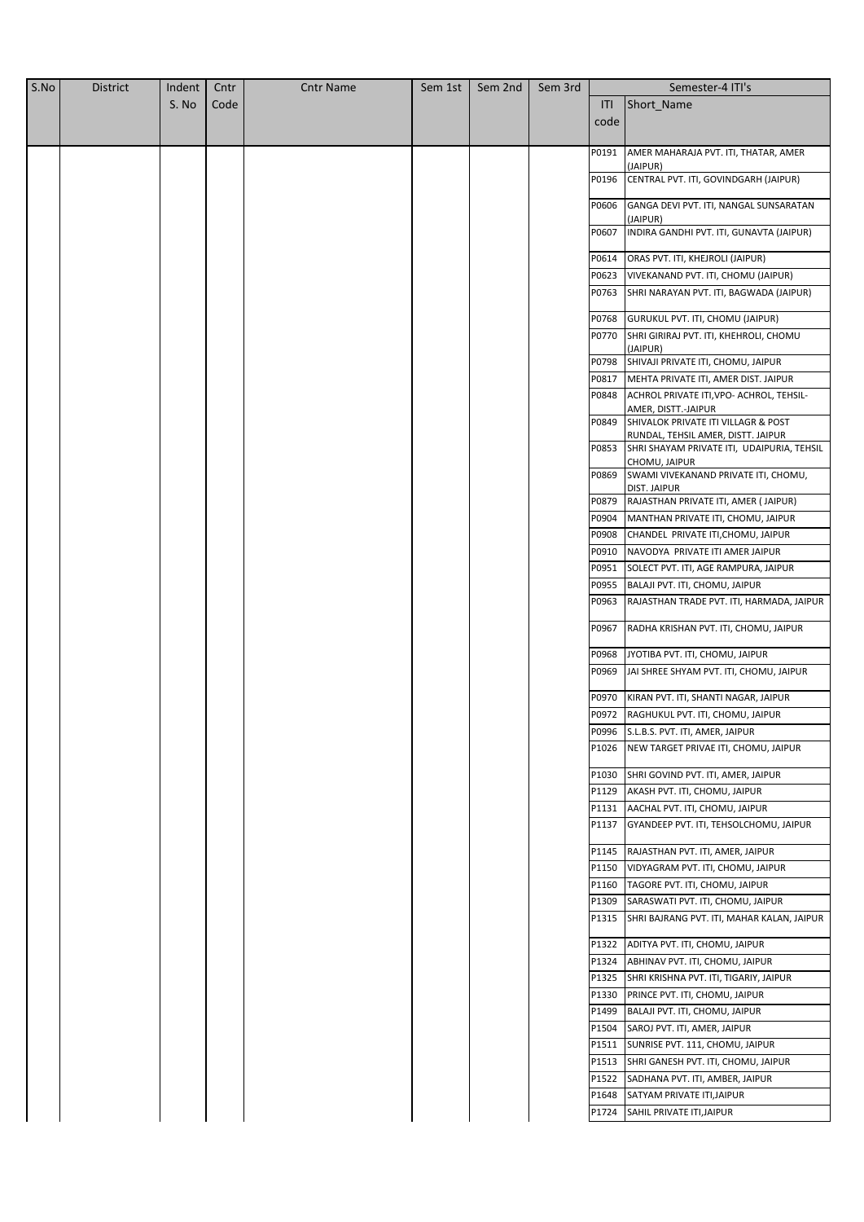| S.No | <b>District</b> | Indent | Cntr | <b>Cntr Name</b> | Sem 1st | Sem 2nd | Sem 3rd |       | Semester-4 ITI's                                                          |
|------|-----------------|--------|------|------------------|---------|---------|---------|-------|---------------------------------------------------------------------------|
|      |                 | S. No  | Code |                  |         |         |         | ITI   | Short_Name                                                                |
|      |                 |        |      |                  |         |         |         | code  |                                                                           |
|      |                 |        |      |                  |         |         |         |       |                                                                           |
|      |                 |        |      |                  |         |         |         | P0191 | AMER MAHARAJA PVT. ITI, THATAR, AMER                                      |
|      |                 |        |      |                  |         |         |         |       | (JAIPUR)                                                                  |
|      |                 |        |      |                  |         |         |         | P0196 | CENTRAL PVT. ITI, GOVINDGARH (JAIPUR)                                     |
|      |                 |        |      |                  |         |         |         | P0606 | GANGA DEVI PVT. ITI, NANGAL SUNSARATAN                                    |
|      |                 |        |      |                  |         |         |         |       | (JAIPUR)                                                                  |
|      |                 |        |      |                  |         |         |         | P0607 | INDIRA GANDHI PVT. ITI, GUNAVTA (JAIPUR)                                  |
|      |                 |        |      |                  |         |         |         |       |                                                                           |
|      |                 |        |      |                  |         |         |         | P0614 | ORAS PVT. ITI, KHEJROLI (JAIPUR)                                          |
|      |                 |        |      |                  |         |         |         | P0623 | VIVEKANAND PVT. ITI, CHOMU (JAIPUR)                                       |
|      |                 |        |      |                  |         |         |         | P0763 | SHRI NARAYAN PVT. ITI, BAGWADA (JAIPUR)                                   |
|      |                 |        |      |                  |         |         |         | P0768 | GURUKUL PVT. ITI, CHOMU (JAIPUR)                                          |
|      |                 |        |      |                  |         |         |         | P0770 | SHRI GIRIRAJ PVT. ITI, KHEHROLI, CHOMU                                    |
|      |                 |        |      |                  |         |         |         |       | (JAIPUR)                                                                  |
|      |                 |        |      |                  |         |         |         | P0798 | SHIVAJI PRIVATE ITI, CHOMU, JAIPUR                                        |
|      |                 |        |      |                  |         |         |         | P0817 | MEHTA PRIVATE ITI, AMER DIST. JAIPUR                                      |
|      |                 |        |      |                  |         |         |         | P0848 | ACHROL PRIVATE ITI, VPO- ACHROL, TEHSIL-                                  |
|      |                 |        |      |                  |         |         |         | P0849 | AMER, DISTT.-JAIPUR                                                       |
|      |                 |        |      |                  |         |         |         |       | SHIVALOK PRIVATE ITI VILLAGR & POST<br>RUNDAL, TEHSIL AMER, DISTT. JAIPUR |
|      |                 |        |      |                  |         |         |         | P0853 | SHRI SHAYAM PRIVATE ITI, UDAIPURIA, TEHSIL                                |
|      |                 |        |      |                  |         |         |         |       | CHOMU, JAIPUR                                                             |
|      |                 |        |      |                  |         |         |         | P0869 | SWAMI VIVEKANAND PRIVATE ITI, CHOMU,                                      |
|      |                 |        |      |                  |         |         |         | P0879 | DIST. JAIPUR<br>RAJASTHAN PRIVATE ITI, AMER (JAIPUR)                      |
|      |                 |        |      |                  |         |         |         | P0904 | MANTHAN PRIVATE ITI, CHOMU, JAIPUR                                        |
|      |                 |        |      |                  |         |         |         | P0908 | CHANDEL PRIVATE ITI, CHOMU, JAIPUR                                        |
|      |                 |        |      |                  |         |         |         | P0910 | NAVODYA PRIVATE ITI AMER JAIPUR                                           |
|      |                 |        |      |                  |         |         |         | P0951 | SOLECT PVT. ITI, AGE RAMPURA, JAIPUR                                      |
|      |                 |        |      |                  |         |         |         | P0955 | BALAJI PVT. ITI, CHOMU, JAIPUR                                            |
|      |                 |        |      |                  |         |         |         | P0963 | RAJASTHAN TRADE PVT. ITI, HARMADA, JAIPUR                                 |
|      |                 |        |      |                  |         |         |         |       |                                                                           |
|      |                 |        |      |                  |         |         |         | P0967 | RADHA KRISHAN PVT. ITI, CHOMU, JAIPUR                                     |
|      |                 |        |      |                  |         |         |         |       |                                                                           |
|      |                 |        |      |                  |         |         |         | P0968 | JYOTIBA PVT. ITI, CHOMU, JAIPUR                                           |
|      |                 |        |      |                  |         |         |         | P0969 | JAI SHREE SHYAM PVT. ITI, CHOMU, JAIPUR                                   |
|      |                 |        |      |                  |         |         |         | P0970 | KIRAN PVT. ITI, SHANTI NAGAR, JAIPUR                                      |
|      |                 |        |      |                  |         |         |         | P0972 | RAGHUKUL PVT. ITI, CHOMU, JAIPUR                                          |
|      |                 |        |      |                  |         |         |         |       | P0996 S.L.B.S. PVT. ITI, AMER, JAIPUR                                     |
|      |                 |        |      |                  |         |         |         | P1026 | NEW TARGET PRIVAE ITI, CHOMU, JAIPUR                                      |
|      |                 |        |      |                  |         |         |         |       |                                                                           |
|      |                 |        |      |                  |         |         |         | P1030 | SHRI GOVIND PVT. ITI, AMER, JAIPUR                                        |
|      |                 |        |      |                  |         |         |         |       | P1129 AKASH PVT. ITI, CHOMU, JAIPUR                                       |
|      |                 |        |      |                  |         |         |         |       | P1131 AACHAL PVT. ITI, CHOMU, JAIPUR                                      |
|      |                 |        |      |                  |         |         |         | P1137 | GYANDEEP PVT. ITI, TEHSOLCHOMU, JAIPUR                                    |
|      |                 |        |      |                  |         |         |         | P1145 | RAJASTHAN PVT. ITI, AMER, JAIPUR                                          |
|      |                 |        |      |                  |         |         |         | P1150 | VIDYAGRAM PVT. ITI, CHOMU, JAIPUR                                         |
|      |                 |        |      |                  |         |         |         | P1160 | TAGORE PVT. ITI, CHOMU, JAIPUR                                            |
|      |                 |        |      |                  |         |         |         | P1309 | SARASWATI PVT. ITI, CHOMU, JAIPUR                                         |
|      |                 |        |      |                  |         |         |         |       |                                                                           |
|      |                 |        |      |                  |         |         |         | P1315 | SHRI BAJRANG PVT. ITI, MAHAR KALAN, JAIPUR                                |
|      |                 |        |      |                  |         |         |         | P1322 | ADITYA PVT. ITI, CHOMU, JAIPUR                                            |
|      |                 |        |      |                  |         |         |         | P1324 | ABHINAV PVT. ITI, CHOMU, JAIPUR                                           |
|      |                 |        |      |                  |         |         |         | P1325 | SHRI KRISHNA PVT. ITI, TIGARIY, JAIPUR                                    |
|      |                 |        |      |                  |         |         |         | P1330 | PRINCE PVT. ITI, CHOMU, JAIPUR                                            |
|      |                 |        |      |                  |         |         |         | P1499 | BALAJI PVT. ITI, CHOMU, JAIPUR                                            |
|      |                 |        |      |                  |         |         |         |       | P1504 SAROJ PVT. ITI, AMER, JAIPUR                                        |
|      |                 |        |      |                  |         |         |         |       | P1511 SUNRISE PVT. 111, CHOMU, JAIPUR                                     |
|      |                 |        |      |                  |         |         |         |       | P1513 SHRI GANESH PVT. ITI, CHOMU, JAIPUR                                 |
|      |                 |        |      |                  |         |         |         |       | P1522 SADHANA PVT. ITI, AMBER, JAIPUR                                     |
|      |                 |        |      |                  |         |         |         | P1648 | SATYAM PRIVATE ITI, JAIPUR                                                |
|      |                 |        |      |                  |         |         |         | P1724 | SAHIL PRIVATE ITI, JAIPUR                                                 |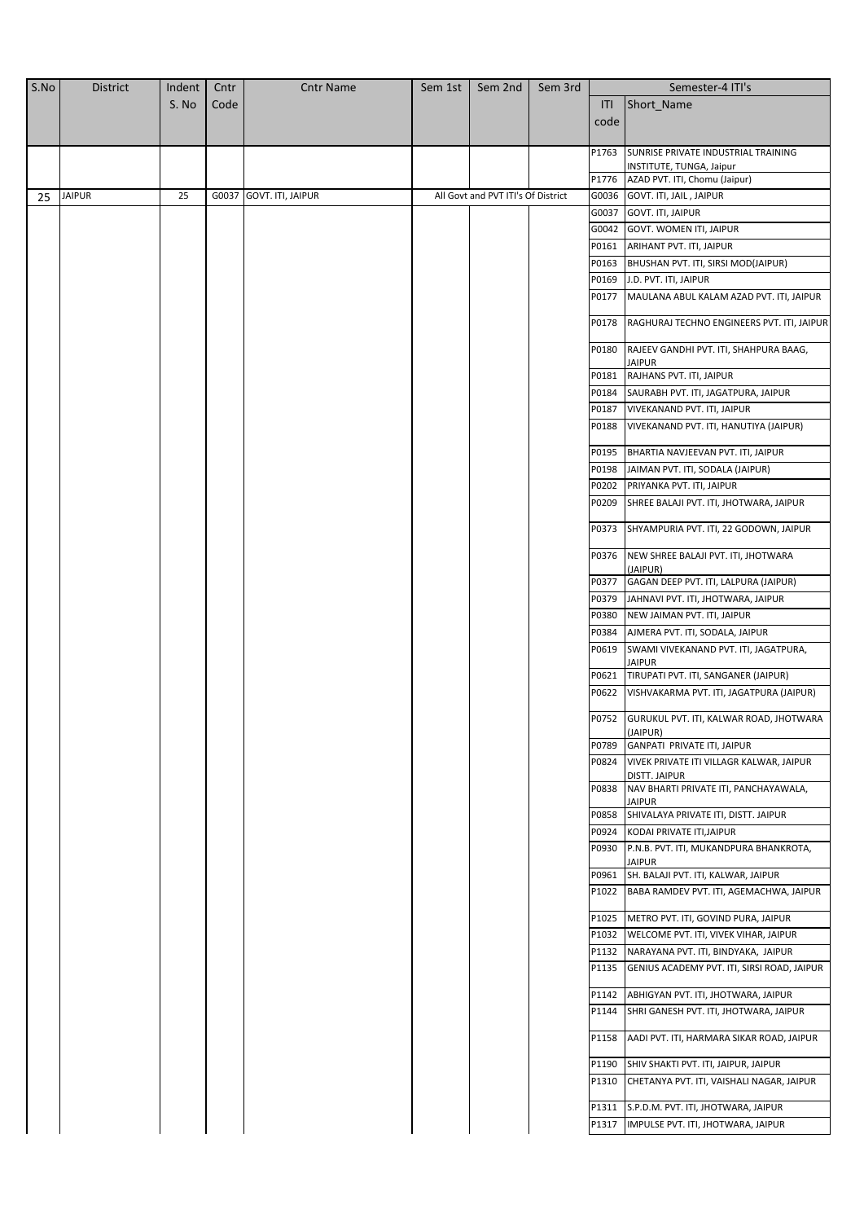| S.No | <b>District</b> | Indent | Cntr  | <b>Cntr Name</b>  | Sem 1st | Sem 2nd                            | Sem 3rd |                | Semester-4 ITI's                                                                  |
|------|-----------------|--------|-------|-------------------|---------|------------------------------------|---------|----------------|-----------------------------------------------------------------------------------|
|      |                 | S. No  | Code  |                   |         |                                    |         | ITI            | Short_Name                                                                        |
|      |                 |        |       |                   |         |                                    |         | code           |                                                                                   |
|      |                 |        |       |                   |         |                                    |         |                |                                                                                   |
|      |                 |        |       |                   |         |                                    |         | P1763          | SUNRISE PRIVATE INDUSTRIAL TRAINING                                               |
|      |                 |        |       |                   |         |                                    |         | P1776          | INSTITUTE, TUNGA, Jaipur<br>AZAD PVT. ITI, Chomu (Jaipur)                         |
| 25   | <b>JAIPUR</b>   | 25     | G0037 | GOVT. ITI, JAIPUR |         | All Govt and PVT ITI's Of District |         | G0036          | GOVT. ITI, JAIL, JAIPUR                                                           |
|      |                 |        |       |                   |         |                                    |         | G0037          | GOVT. ITI, JAIPUR                                                                 |
|      |                 |        |       |                   |         |                                    |         | G0042          | <b>GOVT. WOMEN ITI, JAIPUR</b>                                                    |
|      |                 |        |       |                   |         |                                    |         | P0161          | ARIHANT PVT. ITI, JAIPUR                                                          |
|      |                 |        |       |                   |         |                                    |         | P0163          | BHUSHAN PVT. ITI, SIRSI MOD(JAIPUR)                                               |
|      |                 |        |       |                   |         |                                    |         | P0169          | J.D. PVT. ITI, JAIPUR                                                             |
|      |                 |        |       |                   |         |                                    |         | P0177          | MAULANA ABUL KALAM AZAD PVT. ITI, JAIPUR                                          |
|      |                 |        |       |                   |         |                                    |         | P0178          | RAGHURAJ TECHNO ENGINEERS PVT. ITI, JAIPUR                                        |
|      |                 |        |       |                   |         |                                    |         | P0180          | RAJEEV GANDHI PVT. ITI, SHAHPURA BAAG,                                            |
|      |                 |        |       |                   |         |                                    |         |                | <b>JAIPUR</b>                                                                     |
|      |                 |        |       |                   |         |                                    |         | P0181          | RAJHANS PVT. ITI, JAIPUR                                                          |
|      |                 |        |       |                   |         |                                    |         | P0184          | SAURABH PVT. ITI, JAGATPURA, JAIPUR                                               |
|      |                 |        |       |                   |         |                                    |         | P0187          | VIVEKANAND PVT. ITI, JAIPUR                                                       |
|      |                 |        |       |                   |         |                                    |         | P0188          | VIVEKANAND PVT. ITI, HANUTIYA (JAIPUR)                                            |
|      |                 |        |       |                   |         |                                    |         | P0195          | BHARTIA NAVJEEVAN PVT. ITI, JAIPUR                                                |
|      |                 |        |       |                   |         |                                    |         | P0198          | JAIMAN PVT. ITI, SODALA (JAIPUR)                                                  |
|      |                 |        |       |                   |         |                                    |         | P0202          | PRIYANKA PVT. ITI, JAIPUR                                                         |
|      |                 |        |       |                   |         |                                    |         | P0209          | SHREE BALAJI PVT. ITI, JHOTWARA, JAIPUR                                           |
|      |                 |        |       |                   |         |                                    |         | P0373          | SHYAMPURIA PVT. ITI, 22 GODOWN, JAIPUR                                            |
|      |                 |        |       |                   |         |                                    |         | P0376          | NEW SHREE BALAJI PVT. ITI, JHOTWARA<br>(JAIPUR)                                   |
|      |                 |        |       |                   |         |                                    |         | P0377          | GAGAN DEEP PVT. ITI, LALPURA (JAIPUR)                                             |
|      |                 |        |       |                   |         |                                    |         | P0379          | JAHNAVI PVT. ITI, JHOTWARA, JAIPUR                                                |
|      |                 |        |       |                   |         |                                    |         | P0380          | NEW JAIMAN PVT. ITI, JAIPUR                                                       |
|      |                 |        |       |                   |         |                                    |         | P0384          | AJMERA PVT. ITI, SODALA, JAIPUR                                                   |
|      |                 |        |       |                   |         |                                    |         | P0619          | SWAMI VIVEKANAND PVT. ITI, JAGATPURA,<br>JAIPUR                                   |
|      |                 |        |       |                   |         |                                    |         | P0621          | TIRUPATI PVT. ITI, SANGANER (JAIPUR)                                              |
|      |                 |        |       |                   |         |                                    |         | P0622          | VISHVAKARMA PVT. ITI, JAGATPURA (JAIPUR)                                          |
|      |                 |        |       |                   |         |                                    |         | P0752          | GURUKUL PVT. ITI, KALWAR ROAD, JHOTWARA<br>(JAIPUR)                               |
|      |                 |        |       |                   |         |                                    |         | P0789          | GANPATI PRIVATE ITI, JAIPUR                                                       |
|      |                 |        |       |                   |         |                                    |         | P0824          | VIVEK PRIVATE ITI VILLAGR KALWAR, JAIPUR<br>DISTT. JAIPUR                         |
|      |                 |        |       |                   |         |                                    |         | P0838          | NAV BHARTI PRIVATE ITI, PANCHAYAWALA,<br>JAIPUR                                   |
|      |                 |        |       |                   |         |                                    |         | P0858          | SHIVALAYA PRIVATE ITI, DISTT. JAIPUR                                              |
|      |                 |        |       |                   |         |                                    |         | P0924          | KODAI PRIVATE ITI, JAIPUR                                                         |
|      |                 |        |       |                   |         |                                    |         | P0930          | P.N.B. PVT. ITI, MUKANDPURA BHANKROTA,<br><b>JAIPUR</b>                           |
|      |                 |        |       |                   |         |                                    |         | P0961          | SH. BALAJI PVT. ITI, KALWAR, JAIPUR                                               |
|      |                 |        |       |                   |         |                                    |         | P1022          | BABA RAMDEV PVT. ITI, AGEMACHWA, JAIPUR                                           |
|      |                 |        |       |                   |         |                                    |         | P1025          | METRO PVT. ITI, GOVIND PURA, JAIPUR                                               |
|      |                 |        |       |                   |         |                                    |         | P1032          | WELCOME PVT. ITI, VIVEK VIHAR, JAIPUR                                             |
|      |                 |        |       |                   |         |                                    |         | P1132          | NARAYANA PVT. ITI, BINDYAKA, JAIPUR                                               |
|      |                 |        |       |                   |         |                                    |         | P1135          | GENIUS ACADEMY PVT. ITI, SIRSI ROAD, JAIPUR                                       |
|      |                 |        |       |                   |         |                                    |         | P1142          | ABHIGYAN PVT. ITI, JHOTWARA, JAIPUR                                               |
|      |                 |        |       |                   |         |                                    |         | P1144          | SHRI GANESH PVT. ITI, JHOTWARA, JAIPUR                                            |
|      |                 |        |       |                   |         |                                    |         | P1158          | AADI PVT. ITI, HARMARA SIKAR ROAD, JAIPUR                                         |
|      |                 |        |       |                   |         |                                    |         | P1190<br>P1310 | SHIV SHAKTI PVT. ITI, JAIPUR, JAIPUR<br>CHETANYA PVT. ITI, VAISHALI NAGAR, JAIPUR |
|      |                 |        |       |                   |         |                                    |         |                |                                                                                   |
|      |                 |        |       |                   |         |                                    |         | P1311          | S.P.D.M. PVT. ITI, JHOTWARA, JAIPUR                                               |
|      |                 |        |       |                   |         |                                    |         | P1317          | IMPULSE PVT. ITI, JHOTWARA, JAIPUR                                                |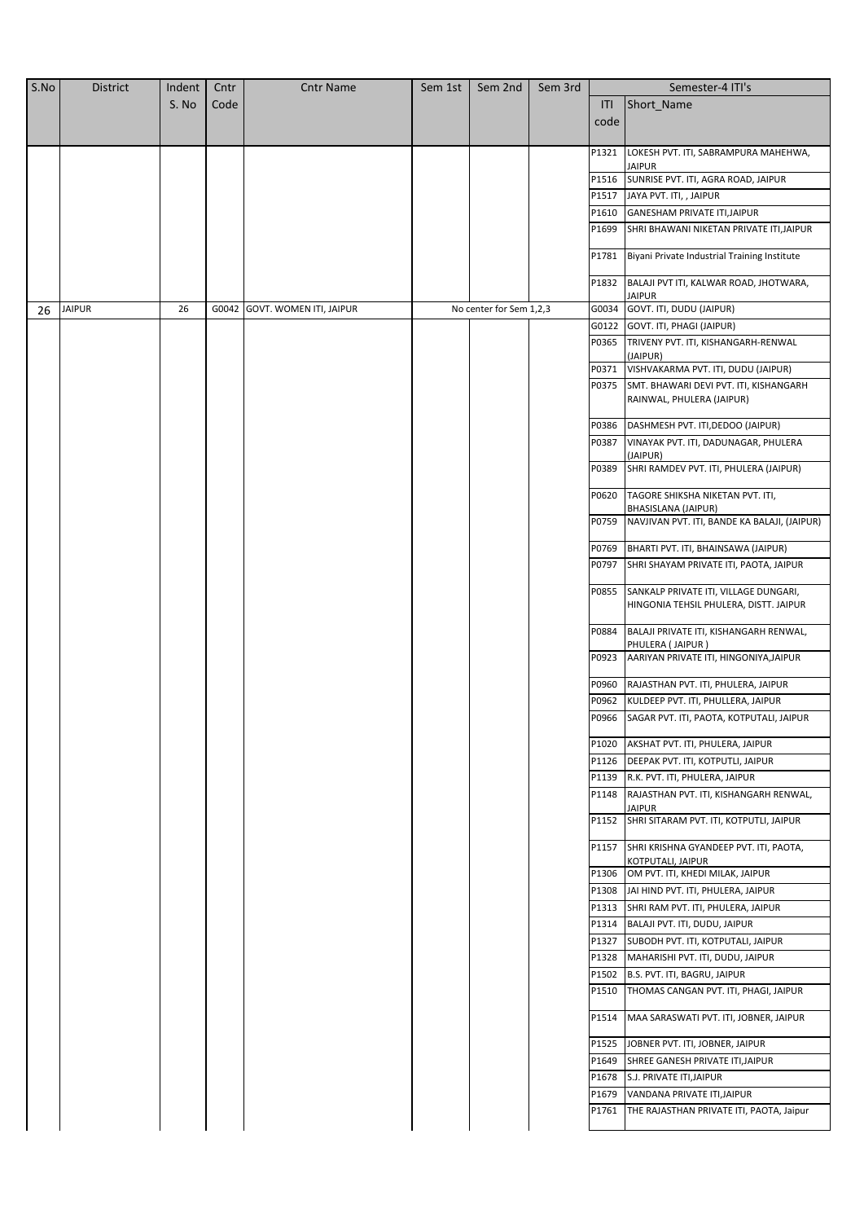| S.No | <b>District</b> | Indent | Cntr  | <b>Cntr Name</b>        | Sem 1st | Sem 2nd                 | Sem 3rd |                | Semester-4 ITI's                                                                |
|------|-----------------|--------|-------|-------------------------|---------|-------------------------|---------|----------------|---------------------------------------------------------------------------------|
|      |                 | S. No  | Code  |                         |         |                         |         | ITI            | Short_Name                                                                      |
|      |                 |        |       |                         |         |                         |         | code           |                                                                                 |
|      |                 |        |       |                         |         |                         |         |                |                                                                                 |
|      |                 |        |       |                         |         |                         |         | P1321          | LOKESH PVT. ITI, SABRAMPURA MAHEHWA,                                            |
|      |                 |        |       |                         |         |                         |         | P1516          | JAIPUR<br>SUNRISE PVT. ITI, AGRA ROAD, JAIPUR                                   |
|      |                 |        |       |                         |         |                         |         | P1517          | JAYA PVT. ITI, , JAIPUR                                                         |
|      |                 |        |       |                         |         |                         |         | P1610          | GANESHAM PRIVATE ITI, JAIPUR                                                    |
|      |                 |        |       |                         |         |                         |         | P1699          | SHRI BHAWANI NIKETAN PRIVATE ITI, JAIPUR                                        |
|      |                 |        |       |                         |         |                         |         |                |                                                                                 |
|      |                 |        |       |                         |         |                         |         | P1781          | Biyani Private Industrial Training Institute                                    |
|      |                 |        |       |                         |         |                         |         | P1832          | BALAJI PVT ITI, KALWAR ROAD, JHOTWARA,                                          |
|      |                 |        |       |                         |         |                         |         |                | IAIPUR                                                                          |
| 26   | <b>JAIPUR</b>   | 26     | G0042 | GOVT. WOMEN ITI, JAIPUR |         | No center for Sem 1,2,3 |         | G0034          | GOVT. ITI, DUDU (JAIPUR)                                                        |
|      |                 |        |       |                         |         |                         |         | G0122          | GOVT. ITI, PHAGI (JAIPUR)                                                       |
|      |                 |        |       |                         |         |                         |         | P0365          | TRIVENY PVT. ITI, KISHANGARH-RENWAL<br>(JAIPUR)                                 |
|      |                 |        |       |                         |         |                         |         | P0371          | VISHVAKARMA PVT. ITI, DUDU (JAIPUR)                                             |
|      |                 |        |       |                         |         |                         |         | P0375          | SMT. BHAWARI DEVI PVT. ITI, KISHANGARH                                          |
|      |                 |        |       |                         |         |                         |         |                | RAINWAL, PHULERA (JAIPUR)                                                       |
|      |                 |        |       |                         |         |                         |         | P0386          | DASHMESH PVT. ITI, DEDOO (JAIPUR)                                               |
|      |                 |        |       |                         |         |                         |         | P0387          | VINAYAK PVT. ITI, DADUNAGAR, PHULERA                                            |
|      |                 |        |       |                         |         |                         |         |                | (JAIPUR)                                                                        |
|      |                 |        |       |                         |         |                         |         | P0389          | SHRI RAMDEV PVT. ITI, PHULERA (JAIPUR)                                          |
|      |                 |        |       |                         |         |                         |         | P0620          | TAGORE SHIKSHA NIKETAN PVT. ITI,<br>BHASISLANA (JAIPUR)                         |
|      |                 |        |       |                         |         |                         |         | P0759          | NAVJIVAN PVT. ITI, BANDE KA BALAJI, (JAIPUR)                                    |
|      |                 |        |       |                         |         |                         |         | P0769          | BHARTI PVT. ITI, BHAINSAWA (JAIPUR)                                             |
|      |                 |        |       |                         |         |                         |         | P0797          | SHRI SHAYAM PRIVATE ITI, PAOTA, JAIPUR                                          |
|      |                 |        |       |                         |         |                         |         | P0855          | SANKALP PRIVATE ITI, VILLAGE DUNGARI,<br>HINGONIA TEHSIL PHULERA, DISTT. JAIPUR |
|      |                 |        |       |                         |         |                         |         | P0884          | BALAJI PRIVATE ITI, KISHANGARH RENWAL,<br>PHULERA (JAIPUR)                      |
|      |                 |        |       |                         |         |                         |         | P0923          | AARIYAN PRIVATE ITI, HINGONIYA, JAIPUR                                          |
|      |                 |        |       |                         |         |                         |         | P0960          | RAJASTHAN PVT. ITI, PHULERA, JAIPUR                                             |
|      |                 |        |       |                         |         |                         |         | P0962          | KULDEEP PVT. ITI, PHULLERA, JAIPUR                                              |
|      |                 |        |       |                         |         |                         |         | P0966          | SAGAR PVT. ITI, PAOTA, KOTPUTALI, JAIPUR                                        |
|      |                 |        |       |                         |         |                         |         | P1020          | AKSHAT PVT. ITI, PHULERA, JAIPUR                                                |
|      |                 |        |       |                         |         |                         |         | P1126          | DEEPAK PVT. ITI, KOTPUTLI, JAIPUR                                               |
|      |                 |        |       |                         |         |                         |         | P1139          | R.K. PVT. ITI, PHULERA, JAIPUR                                                  |
|      |                 |        |       |                         |         |                         |         | P1148          | RAJASTHAN PVT. ITI, KISHANGARH RENWAL,<br><b>JAIPUR</b>                         |
|      |                 |        |       |                         |         |                         |         | P1152          | SHRI SITARAM PVT. ITI, KOTPUTLI, JAIPUR                                         |
|      |                 |        |       |                         |         |                         |         | P1157          | SHRI KRISHNA GYANDEEP PVT. ITI, PAOTA,<br>KOTPUTALI, JAIPUR                     |
|      |                 |        |       |                         |         |                         |         | P1306          | OM PVT. ITI, KHEDI MILAK, JAIPUR                                                |
|      |                 |        |       |                         |         |                         |         | P1308          | JAI HIND PVT. ITI, PHULERA, JAIPUR                                              |
|      |                 |        |       |                         |         |                         |         | P1313          | SHRI RAM PVT. ITI, PHULERA, JAIPUR                                              |
|      |                 |        |       |                         |         |                         |         | P1314<br>P1327 | BALAJI PVT. ITI, DUDU, JAIPUR<br>SUBODH PVT. ITI, KOTPUTALI, JAIPUR             |
|      |                 |        |       |                         |         |                         |         | P1328          | MAHARISHI PVT. ITI, DUDU, JAIPUR                                                |
|      |                 |        |       |                         |         |                         |         | P1502          | B.S. PVT. ITI, BAGRU, JAIPUR                                                    |
|      |                 |        |       |                         |         |                         |         | P1510          | THOMAS CANGAN PVT. ITI, PHAGI, JAIPUR                                           |
|      |                 |        |       |                         |         |                         |         | P1514          | MAA SARASWATI PVT. ITI, JOBNER, JAIPUR                                          |
|      |                 |        |       |                         |         |                         |         | P1525          | JOBNER PVT. ITI, JOBNER, JAIPUR                                                 |
|      |                 |        |       |                         |         |                         |         | P1649          | SHREE GANESH PRIVATE ITI, JAIPUR                                                |
|      |                 |        |       |                         |         |                         |         | P1678          | S.J. PRIVATE ITI, JAIPUR                                                        |
|      |                 |        |       |                         |         |                         |         | P1679          | VANDANA PRIVATE ITI, JAIPUR                                                     |
|      |                 |        |       |                         |         |                         |         | P1761          | THE RAJASTHAN PRIVATE ITI, PAOTA, Jaipur                                        |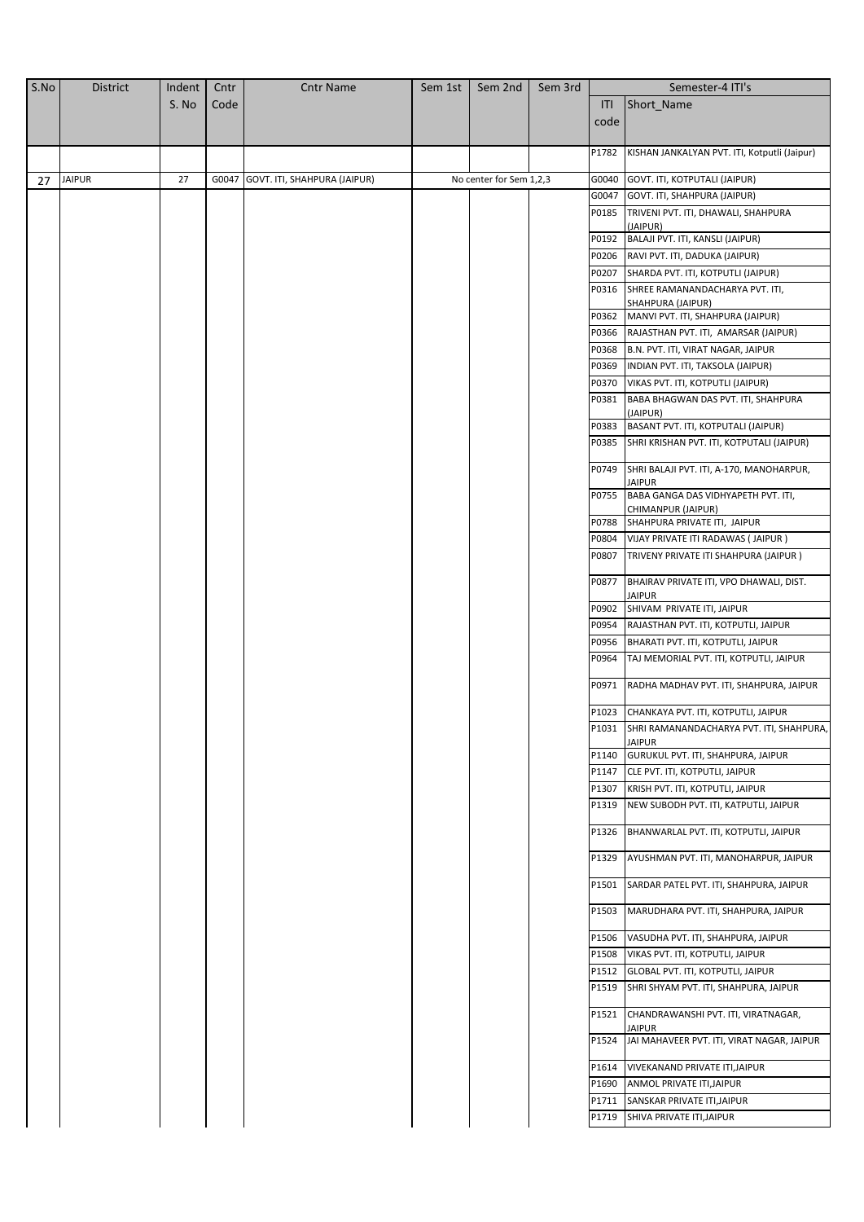| S.No | <b>District</b> | Indent | Cntr | <b>Cntr Name</b>                   | Sem 1st | Sem 2nd                 | Sem 3rd |                | Semester-4 ITI's                                                                 |
|------|-----------------|--------|------|------------------------------------|---------|-------------------------|---------|----------------|----------------------------------------------------------------------------------|
|      |                 | S. No  | Code |                                    |         |                         |         | ITI            | Short Name                                                                       |
|      |                 |        |      |                                    |         |                         |         | code           |                                                                                  |
|      |                 |        |      |                                    |         |                         |         |                |                                                                                  |
|      |                 |        |      |                                    |         |                         |         | P1782          | KISHAN JANKALYAN PVT. ITI, Kotputli (Jaipur)                                     |
| 27   | <b>JAIPUR</b>   | 27     |      | G0047 GOVT. ITI, SHAHPURA (JAIPUR) |         | No center for Sem 1,2,3 |         | G0040          | GOVT. ITI, KOTPUTALI (JAIPUR)                                                    |
|      |                 |        |      |                                    |         |                         |         | G0047          | GOVT. ITI, SHAHPURA (JAIPUR)                                                     |
|      |                 |        |      |                                    |         |                         |         | P0185          | TRIVENI PVT. ITI, DHAWALI, SHAHPURA                                              |
|      |                 |        |      |                                    |         |                         |         |                | (JAIPUR)                                                                         |
|      |                 |        |      |                                    |         |                         |         | P0192          | BALAJI PVT. ITI, KANSLI (JAIPUR)                                                 |
|      |                 |        |      |                                    |         |                         |         | P0206          | RAVI PVT. ITI, DADUKA (JAIPUR)                                                   |
|      |                 |        |      |                                    |         |                         |         | P0207          | SHARDA PVT. ITI, KOTPUTLI (JAIPUR)                                               |
|      |                 |        |      |                                    |         |                         |         | P0316          | SHREE RAMANANDACHARYA PVT. ITI,<br>SHAHPURA (JAIPUR)                             |
|      |                 |        |      |                                    |         |                         |         | P0362          | MANVI PVT. ITI, SHAHPURA (JAIPUR)                                                |
|      |                 |        |      |                                    |         |                         |         | P0366          | RAJASTHAN PVT. ITI, AMARSAR (JAIPUR)                                             |
|      |                 |        |      |                                    |         |                         |         | P0368          | B.N. PVT. ITI, VIRAT NAGAR, JAIPUR                                               |
|      |                 |        |      |                                    |         |                         |         | P0369          | INDIAN PVT. ITI, TAKSOLA (JAIPUR)                                                |
|      |                 |        |      |                                    |         |                         |         | P0370          | VIKAS PVT. ITI, KOTPUTLI (JAIPUR)                                                |
|      |                 |        |      |                                    |         |                         |         | P0381          | BABA BHAGWAN DAS PVT. ITI, SHAHPURA                                              |
|      |                 |        |      |                                    |         |                         |         |                | (JAIPUR)                                                                         |
|      |                 |        |      |                                    |         |                         |         | P0383<br>P0385 | BASANT PVT. ITI, KOTPUTALI (JAIPUR)<br>SHRI KRISHAN PVT. ITI, KOTPUTALI (JAIPUR) |
|      |                 |        |      |                                    |         |                         |         |                |                                                                                  |
|      |                 |        |      |                                    |         |                         |         | P0749          | SHRI BALAJI PVT. ITI, A-170, MANOHARPUR,<br><b>JAIPUR</b>                        |
|      |                 |        |      |                                    |         |                         |         | P0755          | BABA GANGA DAS VIDHYAPETH PVT. ITI,<br>CHIMANPUR (JAIPUR)                        |
|      |                 |        |      |                                    |         |                         |         | P0788          | SHAHPURA PRIVATE ITI, JAIPUR                                                     |
|      |                 |        |      |                                    |         |                         |         | P0804          | VIJAY PRIVATE ITI RADAWAS (JAIPUR)                                               |
|      |                 |        |      |                                    |         |                         |         | P0807          | TRIVENY PRIVATE ITI SHAHPURA (JAIPUR)                                            |
|      |                 |        |      |                                    |         |                         |         | P0877          | BHAIRAV PRIVATE ITI, VPO DHAWALI, DIST.                                          |
|      |                 |        |      |                                    |         |                         |         |                | <b>JAIPUR</b>                                                                    |
|      |                 |        |      |                                    |         |                         |         | P0902          | SHIVAM PRIVATE ITI, JAIPUR                                                       |
|      |                 |        |      |                                    |         |                         |         | P0954          | RAJASTHAN PVT. ITI, KOTPUTLI, JAIPUR                                             |
|      |                 |        |      |                                    |         |                         |         | P0956          | BHARATI PVT. ITI, KOTPUTLI, JAIPUR                                               |
|      |                 |        |      |                                    |         |                         |         | P0964          | TAJ MEMORIAL PVT. ITI, KOTPUTLI, JAIPUR                                          |
|      |                 |        |      |                                    |         |                         |         | P0971          | RADHA MADHAV PVT. ITI, SHAHPURA, JAIPUR                                          |
|      |                 |        |      |                                    |         |                         |         | P1023          | CHANKAYA PVT. ITI, KOTPUTLI, JAIPUR                                              |
|      |                 |        |      |                                    |         |                         |         |                | P1031 SHRI RAMANANDACHARYA PVT. ITI, SHAHPURA,<br>JAIPUR                         |
|      |                 |        |      |                                    |         |                         |         | P1140          | GURUKUL PVT. ITI, SHAHPURA, JAIPUR                                               |
|      |                 |        |      |                                    |         |                         |         | P1147          | CLE PVT. ITI, KOTPUTLI, JAIPUR                                                   |
|      |                 |        |      |                                    |         |                         |         | P1307          | KRISH PVT. ITI, KOTPUTLI, JAIPUR                                                 |
|      |                 |        |      |                                    |         |                         |         | P1319          | NEW SUBODH PVT. ITI, KATPUTLI, JAIPUR                                            |
|      |                 |        |      |                                    |         |                         |         | P1326          | BHANWARLAL PVT. ITI, KOTPUTLI, JAIPUR                                            |
|      |                 |        |      |                                    |         |                         |         | P1329          | AYUSHMAN PVT. ITI, MANOHARPUR, JAIPUR                                            |
|      |                 |        |      |                                    |         |                         |         | P1501          | SARDAR PATEL PVT. ITI, SHAHPURA, JAIPUR                                          |
|      |                 |        |      |                                    |         |                         |         | P1503          | MARUDHARA PVT. ITI, SHAHPURA, JAIPUR                                             |
|      |                 |        |      |                                    |         |                         |         | P1506          | VASUDHA PVT. ITI, SHAHPURA, JAIPUR                                               |
|      |                 |        |      |                                    |         |                         |         | P1508          | VIKAS PVT. ITI, KOTPUTLI, JAIPUR                                                 |
|      |                 |        |      |                                    |         |                         |         | P1512<br>P1519 | GLOBAL PVT. ITI, KOTPUTLI, JAIPUR                                                |
|      |                 |        |      |                                    |         |                         |         |                | SHRI SHYAM PVT. ITI, SHAHPURA, JAIPUR                                            |
|      |                 |        |      |                                    |         |                         |         | P1521          | CHANDRAWANSHI PVT. ITI, VIRATNAGAR,<br>JAIPUR                                    |
|      |                 |        |      |                                    |         |                         |         | P1524          | JAI MAHAVEER PVT. ITI, VIRAT NAGAR, JAIPUR                                       |
|      |                 |        |      |                                    |         |                         |         | P1614          | VIVEKANAND PRIVATE ITI, JAIPUR                                                   |
|      |                 |        |      |                                    |         |                         |         | P1690          | ANMOL PRIVATE ITI, JAIPUR                                                        |
|      |                 |        |      |                                    |         |                         |         | P1711          | SANSKAR PRIVATE ITI, JAIPUR                                                      |
|      |                 |        |      |                                    |         |                         |         | P1719          | SHIVA PRIVATE ITI, JAIPUR                                                        |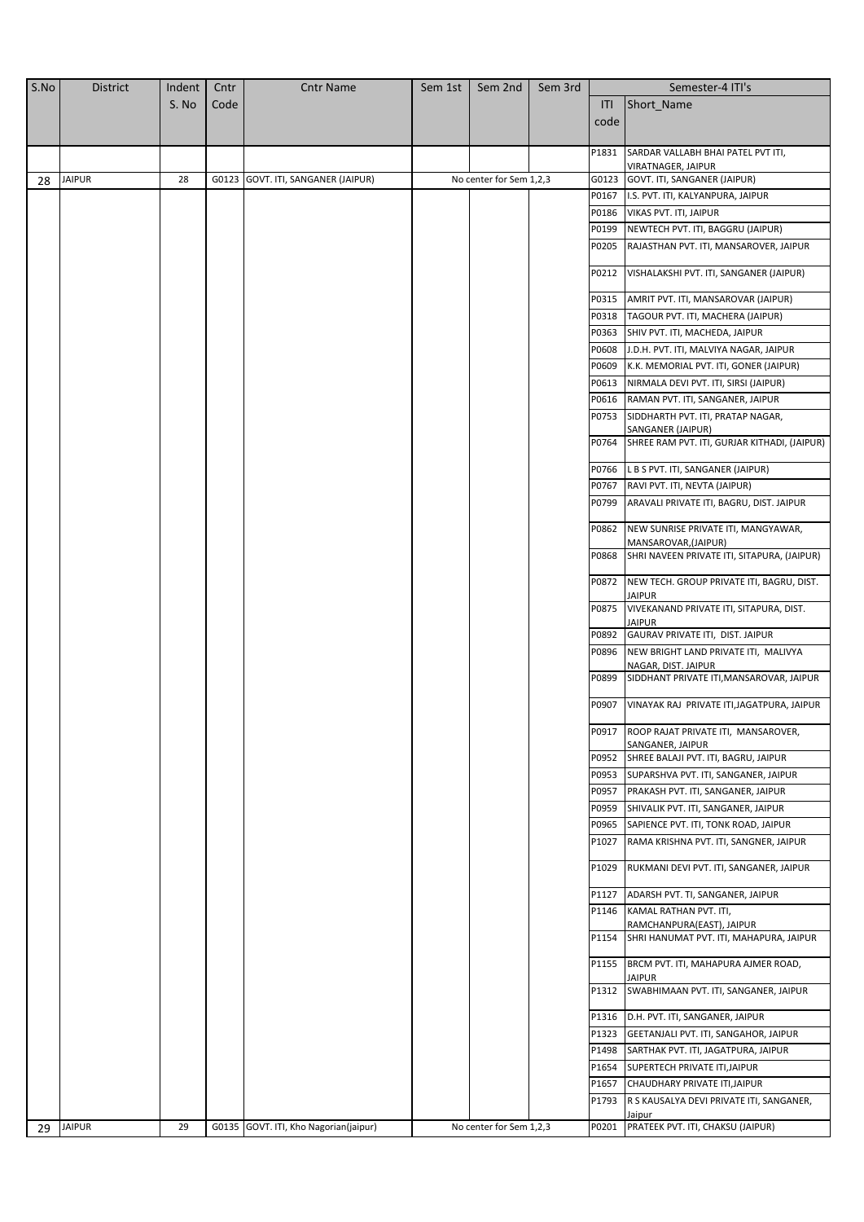| S.No | <b>District</b> | Indent | Cntr | <b>Cntr Name</b>                      | Sem 1st | Sem 2nd                 | Sem 3rd |                | Semester-4 ITI's                                              |
|------|-----------------|--------|------|---------------------------------------|---------|-------------------------|---------|----------------|---------------------------------------------------------------|
|      |                 | S. No  | Code |                                       |         |                         |         | ITI            | Short Name                                                    |
|      |                 |        |      |                                       |         |                         |         | code           |                                                               |
|      |                 |        |      |                                       |         |                         |         |                |                                                               |
|      |                 |        |      |                                       |         |                         |         | P1831          | SARDAR VALLABH BHAI PATEL PVT ITI,                            |
|      |                 |        |      |                                       |         |                         |         |                | VIRATNAGER, JAIPUR                                            |
| 28   | <b>JAIPUR</b>   | 28     |      | G0123 GOVT. ITI, SANGANER (JAIPUR)    |         | No center for Sem 1,2,3 |         | G0123          | GOVT. ITI, SANGANER (JAIPUR)                                  |
|      |                 |        |      |                                       |         |                         |         | P0167          | I.S. PVT. ITI, KALYANPURA, JAIPUR                             |
|      |                 |        |      |                                       |         |                         |         | P0186          | VIKAS PVT. ITI, JAIPUR                                        |
|      |                 |        |      |                                       |         |                         |         | P0199          | NEWTECH PVT. ITI, BAGGRU (JAIPUR)                             |
|      |                 |        |      |                                       |         |                         |         | P0205          | RAJASTHAN PVT. ITI, MANSAROVER, JAIPUR                        |
|      |                 |        |      |                                       |         |                         |         | P0212          | VISHALAKSHI PVT. ITI, SANGANER (JAIPUR)                       |
|      |                 |        |      |                                       |         |                         |         | P0315          | AMRIT PVT. ITI, MANSAROVAR (JAIPUR)                           |
|      |                 |        |      |                                       |         |                         |         | P0318          | TAGOUR PVT. ITI, MACHERA (JAIPUR)                             |
|      |                 |        |      |                                       |         |                         |         | P0363          | SHIV PVT. ITI, MACHEDA, JAIPUR                                |
|      |                 |        |      |                                       |         |                         |         | P0608          | J.D.H. PVT. ITI, MALVIYA NAGAR, JAIPUR                        |
|      |                 |        |      |                                       |         |                         |         | P0609          | K.K. MEMORIAL PVT. ITI, GONER (JAIPUR)                        |
|      |                 |        |      |                                       |         |                         |         | P0613          | NIRMALA DEVI PVT. ITI, SIRSI (JAIPUR)                         |
|      |                 |        |      |                                       |         |                         |         |                | P0616 RAMAN PVT. ITI, SANGANER, JAIPUR                        |
|      |                 |        |      |                                       |         |                         |         | P0753          | SIDDHARTH PVT. ITI, PRATAP NAGAR,                             |
|      |                 |        |      |                                       |         |                         |         |                | SANGANER (JAIPUR)                                             |
|      |                 |        |      |                                       |         |                         |         | P0764          | SHREE RAM PVT. ITI, GURJAR KITHADI, (JAIPUR)                  |
|      |                 |        |      |                                       |         |                         |         | P0766          | L B S PVT. ITI, SANGANER (JAIPUR)                             |
|      |                 |        |      |                                       |         |                         |         | P0767          | RAVI PVT. ITI, NEVTA (JAIPUR)                                 |
|      |                 |        |      |                                       |         |                         |         | P0799          | ARAVALI PRIVATE ITI, BAGRU, DIST. JAIPUR                      |
|      |                 |        |      |                                       |         |                         |         | P0862          | NEW SUNRISE PRIVATE ITI, MANGYAWAR,<br>MANSAROVAR, (JAIPUR)   |
|      |                 |        |      |                                       |         |                         |         | P0868          | SHRI NAVEEN PRIVATE ITI, SITAPURA, (JAIPUR)                   |
|      |                 |        |      |                                       |         |                         |         | P0872          | NEW TECH. GROUP PRIVATE ITI, BAGRU, DIST.<br><b>JAIPUR</b>    |
|      |                 |        |      |                                       |         |                         |         | P0875          | VIVEKANAND PRIVATE ITI, SITAPURA, DIST.<br><b>JAIPUR</b>      |
|      |                 |        |      |                                       |         |                         |         | P0892          | GAURAV PRIVATE ITI, DIST. JAIPUR                              |
|      |                 |        |      |                                       |         |                         |         | P0896          | NEW BRIGHT LAND PRIVATE ITI, MALIVYA<br>NAGAR, DIST. JAIPUR   |
|      |                 |        |      |                                       |         |                         |         | P0899          | SIDDHANT PRIVATE ITI, MANSAROVAR, JAIPUR                      |
|      |                 |        |      |                                       |         |                         |         | P0907          | VINAYAK RAJ PRIVATE ITI, JAGATPURA, JAIPUR                    |
|      |                 |        |      |                                       |         |                         |         |                | P0917 ROOP RAJAT PRIVATE ITI, MANSAROVER,<br>SANGANER, JAIPUR |
|      |                 |        |      |                                       |         |                         |         | P0952          | SHREE BALAJI PVT. ITI, BAGRU, JAIPUR                          |
|      |                 |        |      |                                       |         |                         |         |                | P0953 SUPARSHVA PVT. ITI, SANGANER, JAIPUR                    |
|      |                 |        |      |                                       |         |                         |         |                | P0957 PRAKASH PVT. ITI, SANGANER, JAIPUR                      |
|      |                 |        |      |                                       |         |                         |         | P0959          | SHIVALIK PVT. ITI, SANGANER, JAIPUR                           |
|      |                 |        |      |                                       |         |                         |         | P0965          | SAPIENCE PVT. ITI, TONK ROAD, JAIPUR                          |
|      |                 |        |      |                                       |         |                         |         | P1027          | RAMA KRISHNA PVT. ITI, SANGNER, JAIPUR                        |
|      |                 |        |      |                                       |         |                         |         | P1029          | RUKMANI DEVI PVT. ITI, SANGANER, JAIPUR                       |
|      |                 |        |      |                                       |         |                         |         | P1127<br>P1146 | ADARSH PVT. TI, SANGANER, JAIPUR<br>KAMAL RATHAN PVT. ITI,    |
|      |                 |        |      |                                       |         |                         |         |                | RAMCHANPURA(EAST), JAIPUR                                     |
|      |                 |        |      |                                       |         |                         |         | P1154          | SHRI HANUMAT PVT. ITI, MAHAPURA, JAIPUR                       |
|      |                 |        |      |                                       |         |                         |         | P1155          | BRCM PVT. ITI, MAHAPURA AJMER ROAD,<br><b>JAIPUR</b>          |
|      |                 |        |      |                                       |         |                         |         | P1312          | SWABHIMAAN PVT. ITI, SANGANER, JAIPUR                         |
|      |                 |        |      |                                       |         |                         |         |                | P1316   D.H. PVT. ITI, SANGANER, JAIPUR                       |
|      |                 |        |      |                                       |         |                         |         | P1323          | GEETANJALI PVT. ITI, SANGAHOR, JAIPUR                         |
|      |                 |        |      |                                       |         |                         |         | P1498          | SARTHAK PVT. ITI, JAGATPURA, JAIPUR                           |
|      |                 |        |      |                                       |         |                         |         | P1654          | SUPERTECH PRIVATE ITI, JAIPUR                                 |
|      |                 |        |      |                                       |         |                         |         | P1657          | CHAUDHARY PRIVATE ITI, JAIPUR                                 |
|      |                 |        |      |                                       |         |                         |         | P1793          | R S KAUSALYA DEVI PRIVATE ITI, SANGANER,                      |
| 29   | <b>JAIPUR</b>   | 29     |      | G0135 GOVT. ITI, Kho Nagorian(jaipur) |         | No center for Sem 1,2,3 |         | P0201          | Jaipur<br>PRATEEK PVT. ITI, CHAKSU (JAIPUR)                   |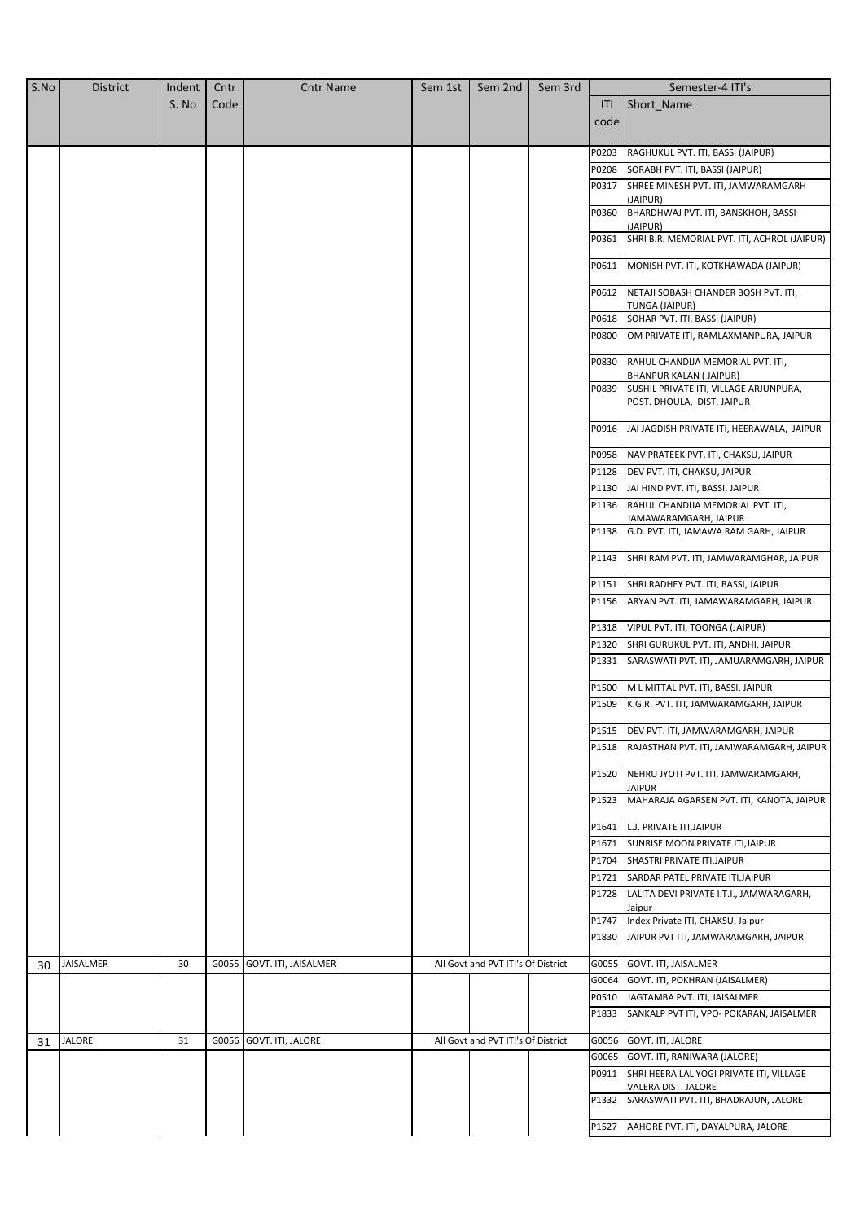| S.No | <b>District</b> | Indent | Cntr  | <b>Cntr Name</b>        | Sem 1st | Sem 2nd                            | Sem 3rd |       | Semester-4 ITI's                                                        |
|------|-----------------|--------|-------|-------------------------|---------|------------------------------------|---------|-------|-------------------------------------------------------------------------|
|      |                 | S. No  | Code  |                         |         |                                    |         | ITI   | Short_Name                                                              |
|      |                 |        |       |                         |         |                                    |         | code  |                                                                         |
|      |                 |        |       |                         |         |                                    |         |       |                                                                         |
|      |                 |        |       |                         |         |                                    |         | P0203 | RAGHUKUL PVT. ITI, BASSI (JAIPUR)                                       |
|      |                 |        |       |                         |         |                                    |         | P0208 | SORABH PVT. ITI, BASSI (JAIPUR)                                         |
|      |                 |        |       |                         |         |                                    |         | P0317 | SHREE MINESH PVT. ITI, JAMWARAMGARH<br>(JAIPUR)                         |
|      |                 |        |       |                         |         |                                    |         | P0360 | BHARDHWAJ PVT. ITI, BANSKHOH, BASSI                                     |
|      |                 |        |       |                         |         |                                    |         | P0361 | (JAIPUR)<br>SHRI B.R. MEMORIAL PVT. ITI, ACHROL (JAIPUR)                |
|      |                 |        |       |                         |         |                                    |         | P0611 | MONISH PVT. ITI, KOTKHAWADA (JAIPUR)                                    |
|      |                 |        |       |                         |         |                                    |         | P0612 | NETAJI SOBASH CHANDER BOSH PVT. ITI,                                    |
|      |                 |        |       |                         |         |                                    |         |       | TUNGA (JAIPUR)                                                          |
|      |                 |        |       |                         |         |                                    |         | P0618 | SOHAR PVT. ITI, BASSI (JAIPUR)                                          |
|      |                 |        |       |                         |         |                                    |         | P0800 | OM PRIVATE ITI, RAMLAXMANPURA, JAIPUR                                   |
|      |                 |        |       |                         |         |                                    |         | P0830 | RAHUL CHANDIJA MEMORIAL PVT. ITI,                                       |
|      |                 |        |       |                         |         |                                    |         | P0839 | <b>BHANPUR KALAN (JAIPUR)</b><br>SUSHIL PRIVATE ITI, VILLAGE ARJUNPURA, |
|      |                 |        |       |                         |         |                                    |         |       | POST. DHOULA, DIST. JAIPUR                                              |
|      |                 |        |       |                         |         |                                    |         | P0916 | JAI JAGDISH PRIVATE ITI, HEERAWALA, JAIPUR                              |
|      |                 |        |       |                         |         |                                    |         | P0958 | NAV PRATEEK PVT. ITI, CHAKSU, JAIPUR                                    |
|      |                 |        |       |                         |         |                                    |         | P1128 | DEV PVT. ITI, CHAKSU, JAIPUR                                            |
|      |                 |        |       |                         |         |                                    |         | P1130 | JAI HIND PVT. ITI, BASSI, JAIPUR                                        |
|      |                 |        |       |                         |         |                                    |         | P1136 | RAHUL CHANDIJA MEMORIAL PVT. ITI,                                       |
|      |                 |        |       |                         |         |                                    |         | P1138 | JAMAWARAMGARH, JAIPUR<br>G.D. PVT. ITI, JAMAWA RAM GARH, JAIPUR         |
|      |                 |        |       |                         |         |                                    |         | P1143 | SHRI RAM PVT. ITI, JAMWARAMGHAR, JAIPUR                                 |
|      |                 |        |       |                         |         |                                    |         |       |                                                                         |
|      |                 |        |       |                         |         |                                    |         | P1151 | SHRI RADHEY PVT. ITI, BASSI, JAIPUR                                     |
|      |                 |        |       |                         |         |                                    |         | P1156 | ARYAN PVT. ITI, JAMAWARAMGARH, JAIPUR                                   |
|      |                 |        |       |                         |         |                                    |         | P1318 | VIPUL PVT. ITI, TOONGA (JAIPUR)                                         |
|      |                 |        |       |                         |         |                                    |         | P1320 | SHRI GURUKUL PVT. ITI, ANDHI, JAIPUR                                    |
|      |                 |        |       |                         |         |                                    |         | P1331 | SARASWATI PVT. ITI, JAMUARAMGARH, JAIPUR                                |
|      |                 |        |       |                         |         |                                    |         | P1500 | M L MITTAL PVT. ITI, BASSI, JAIPUR                                      |
|      |                 |        |       |                         |         |                                    |         | P1509 | K.G.R. PVT. ITI, JAMWARAMGARH, JAIPUR                                   |
|      |                 |        |       |                         |         |                                    |         |       | P1515 DEV PVT. ITI, JAMWARAMGARH, JAIPUR                                |
|      |                 |        |       |                         |         |                                    |         | P1518 | RAJASTHAN PVT. ITI, JAMWARAMGARH, JAIPUR                                |
|      |                 |        |       |                         |         |                                    |         | P1520 | NEHRU JYOTI PVT. ITI, JAMWARAMGARH,                                     |
|      |                 |        |       |                         |         |                                    |         | P1523 | <b>JAIPUR</b><br>MAHARAJA AGARSEN PVT. ITI, KANOTA, JAIPUR              |
|      |                 |        |       |                         |         |                                    |         | P1641 | L.J. PRIVATE ITI, JAIPUR                                                |
|      |                 |        |       |                         |         |                                    |         | P1671 | SUNRISE MOON PRIVATE ITI, JAIPUR                                        |
|      |                 |        |       |                         |         |                                    |         | P1704 | SHASTRI PRIVATE ITI, JAIPUR                                             |
|      |                 |        |       |                         |         |                                    |         | P1721 | SARDAR PATEL PRIVATE ITI, JAIPUR                                        |
|      |                 |        |       |                         |         |                                    |         | P1728 | LALITA DEVI PRIVATE I.T.I., JAMWARAGARH,                                |
|      |                 |        |       |                         |         |                                    |         | P1747 | Jaipur<br>Index Private ITI, CHAKSU, Jaipur                             |
|      |                 |        |       |                         |         |                                    |         | P1830 | JAIPUR PVT ITI, JAMWARAMGARH, JAIPUR                                    |
| 30   | JAISALMER       | 30     | G0055 | GOVT. ITI, JAISALMER    |         | All Govt and PVT ITI's Of District |         | G0055 | GOVT. ITI, JAISALMER                                                    |
|      |                 |        |       |                         |         |                                    |         | G0064 | <b>GOVT. ITI, POKHRAN (JAISALMER)</b>                                   |
|      |                 |        |       |                         |         |                                    |         | P0510 | JAGTAMBA PVT. ITI, JAISALMER                                            |
|      |                 |        |       |                         |         |                                    |         | P1833 | SANKALP PVT ITI, VPO- POKARAN, JAISALMER                                |
| 31   | JALORE          | 31     |       | G0056 GOVT. ITI, JALORE |         | All Govt and PVT ITI's Of District |         | G0056 | GOVT. ITI, JALORE                                                       |
|      |                 |        |       |                         |         |                                    |         | G0065 | GOVT. ITI, RANIWARA (JALORE)                                            |
|      |                 |        |       |                         |         |                                    |         | P0911 | SHRI HEERA LAL YOGI PRIVATE ITI, VILLAGE<br>VALERA DIST. JALORE         |
|      |                 |        |       |                         |         |                                    |         | P1332 | SARASWATI PVT. ITI, BHADRAJUN, JALORE                                   |
|      |                 |        |       |                         |         |                                    |         | P1527 | AAHORE PVT. ITI, DAYALPURA, JALORE                                      |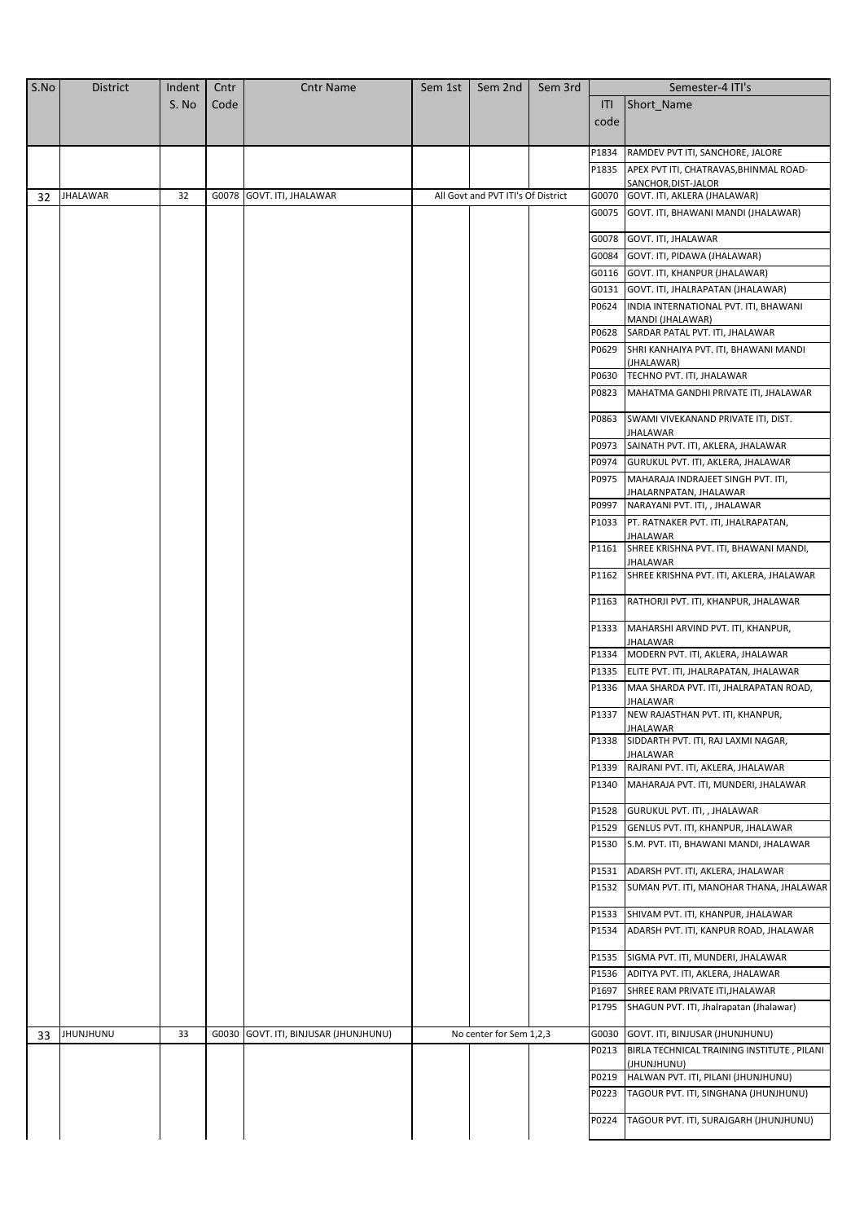| S.No | <b>District</b>  | Indent | Cntr  | <b>Cntr Name</b>                | Sem 1st | Sem 2nd                            | Sem 3rd |                | Semester-4 ITI's                                             |
|------|------------------|--------|-------|---------------------------------|---------|------------------------------------|---------|----------------|--------------------------------------------------------------|
|      |                  | S. No  | Code  |                                 |         |                                    |         | ITI            | Short Name                                                   |
|      |                  |        |       |                                 |         |                                    |         | code           |                                                              |
|      |                  |        |       |                                 |         |                                    |         |                |                                                              |
|      |                  |        |       |                                 |         |                                    |         | P1834          | RAMDEV PVT ITI, SANCHORE, JALORE                             |
|      |                  |        |       |                                 |         |                                    |         | P1835          | APEX PVT ITI, CHATRAVAS, BHINMAL ROAD-                       |
| 32   | <b>JHALAWAR</b>  | 32     |       | G0078 GOVT. ITI, JHALAWAR       |         | All Govt and PVT ITI's Of District |         | G0070          | SANCHOR, DIST-JALOR<br>GOVT. ITI, AKLERA (JHALAWAR)          |
|      |                  |        |       |                                 |         |                                    |         | G0075          | GOVT. ITI, BHAWANI MANDI (JHALAWAR)                          |
|      |                  |        |       |                                 |         |                                    |         |                |                                                              |
|      |                  |        |       |                                 |         |                                    |         | G0078          | GOVT. ITI, JHALAWAR                                          |
|      |                  |        |       |                                 |         |                                    |         | G0084          | GOVT. ITI, PIDAWA (JHALAWAR)                                 |
|      |                  |        |       |                                 |         |                                    |         | G0116          | GOVT. ITI, KHANPUR (JHALAWAR)                                |
|      |                  |        |       |                                 |         |                                    |         | G0131          | GOVT. ITI, JHALRAPATAN (JHALAWAR)                            |
|      |                  |        |       |                                 |         |                                    |         | P0624          | INDIA INTERNATIONAL PVT. ITI, BHAWANI                        |
|      |                  |        |       |                                 |         |                                    |         | P0628          | MANDI (JHALAWAR)<br>SARDAR PATAL PVT. ITI, JHALAWAR          |
|      |                  |        |       |                                 |         |                                    |         | P0629          | SHRI KANHAIYA PVT. ITI, BHAWANI MANDI                        |
|      |                  |        |       |                                 |         |                                    |         |                | (JHALAWAR)                                                   |
|      |                  |        |       |                                 |         |                                    |         | P0630          | TECHNO PVT. ITI, JHALAWAR                                    |
|      |                  |        |       |                                 |         |                                    |         | P0823          | MAHATMA GANDHI PRIVATE ITI, JHALAWAR                         |
|      |                  |        |       |                                 |         |                                    |         |                | P0863 SWAMI VIVEKANAND PRIVATE ITI, DIST.                    |
|      |                  |        |       |                                 |         |                                    |         |                | JHALAWAR                                                     |
|      |                  |        |       |                                 |         |                                    |         |                | P0973 SAINATH PVT. ITI, AKLERA, JHALAWAR                     |
|      |                  |        |       |                                 |         |                                    |         | P0974          | GURUKUL PVT. ITI, AKLERA, JHALAWAR                           |
|      |                  |        |       |                                 |         |                                    |         | P0975          | MAHARAJA INDRAJEET SINGH PVT. ITI,                           |
|      |                  |        |       |                                 |         |                                    |         |                | JHALARNPATAN, JHALAWAR                                       |
|      |                  |        |       |                                 |         |                                    |         | P0997          | NARAYANI PVT. ITI, , JHALAWAR                                |
|      |                  |        |       |                                 |         |                                    |         |                | P1033 PT. RATNAKER PVT. ITI, JHALRAPATAN,<br><b>JHALAWAR</b> |
|      |                  |        |       |                                 |         |                                    |         | P1161          | SHREE KRISHNA PVT. ITI, BHAWANI MANDI,<br>JHALAWAR           |
|      |                  |        |       |                                 |         |                                    |         | P1162          | SHREE KRISHNA PVT. ITI, AKLERA, JHALAWAR                     |
|      |                  |        |       |                                 |         |                                    |         | P1163          | RATHORJI PVT. ITI, KHANPUR, JHALAWAR                         |
|      |                  |        |       |                                 |         |                                    |         | P1333          | MAHARSHI ARVIND PVT. ITI, KHANPUR,<br>JHALAWAR               |
|      |                  |        |       |                                 |         |                                    |         | P1334          | MODERN PVT. ITI, AKLERA, JHALAWAR                            |
|      |                  |        |       |                                 |         |                                    |         | P1335          | ELITE PVT. ITI, JHALRAPATAN, JHALAWAR                        |
|      |                  |        |       |                                 |         |                                    |         | P1336          | MAA SHARDA PVT. ITI, JHALRAPATAN ROAD,                       |
|      |                  |        |       |                                 |         |                                    |         | P1337          | JHALAWAR<br>NEW RAJASTHAN PVT. ITI, KHANPUR,                 |
|      |                  |        |       |                                 |         |                                    |         | P1338          | JHALAWAR<br>SIDDARTH PVT. ITI, RAJ LAXMI NAGAR,              |
|      |                  |        |       |                                 |         |                                    |         |                | JHALAWAR                                                     |
|      |                  |        |       |                                 |         |                                    |         | P1339          | RAJRANI PVT. ITI, AKLERA, JHALAWAR                           |
|      |                  |        |       |                                 |         |                                    |         | P1340          | MAHARAJA PVT. ITI, MUNDERI, JHALAWAR                         |
|      |                  |        |       |                                 |         |                                    |         | P1528          | GURUKUL PVT. ITI, , JHALAWAR                                 |
|      |                  |        |       |                                 |         |                                    |         | P1529          | GENLUS PVT. ITI, KHANPUR, JHALAWAR                           |
|      |                  |        |       |                                 |         |                                    |         | P1530          | S.M. PVT. ITI, BHAWANI MANDI, JHALAWAR                       |
|      |                  |        |       |                                 |         |                                    |         |                | ADARSH PVT. ITI, AKLERA, JHALAWAR                            |
|      |                  |        |       |                                 |         |                                    |         | P1531<br>P1532 | SUMAN PVT. ITI, MANOHAR THANA, JHALAWAR                      |
|      |                  |        |       |                                 |         |                                    |         | P1533          | SHIVAM PVT. ITI, KHANPUR, JHALAWAR                           |
|      |                  |        |       |                                 |         |                                    |         | P1534          | ADARSH PVT. ITI, KANPUR ROAD, JHALAWAR                       |
|      |                  |        |       |                                 |         |                                    |         | P1535          | SIGMA PVT. ITI, MUNDERI, JHALAWAR                            |
|      |                  |        |       |                                 |         |                                    |         | P1536          | ADITYA PVT. ITI, AKLERA, JHALAWAR                            |
|      |                  |        |       |                                 |         |                                    |         | P1697          | SHREE RAM PRIVATE ITI, JHALAWAR                              |
|      |                  |        |       |                                 |         |                                    |         | P1795          | SHAGUN PVT. ITI, Jhalrapatan (Jhalawar)                      |
| 33   | <b>JHUNJHUNU</b> | 33     | G0030 | GOVT. ITI, BINJUSAR (JHUNJHUNU) |         | No center for Sem 1,2,3            |         | G0030          | GOVT. ITI, BINJUSAR (JHUNJHUNU)                              |
|      |                  |        |       |                                 |         |                                    |         | P0213          | BIRLA TECHNICAL TRAINING INSTITUTE, PILANI                   |
|      |                  |        |       |                                 |         |                                    |         |                | (JHUNJHUNU)                                                  |
|      |                  |        |       |                                 |         |                                    |         | P0219          | HALWAN PVT. ITI, PILANI (JHUNJHUNU)                          |
|      |                  |        |       |                                 |         |                                    |         | P0223          | TAGOUR PVT. ITI, SINGHANA (JHUNJHUNU)                        |
|      |                  |        |       |                                 |         |                                    |         | P0224          | TAGOUR PVT. ITI, SURAJGARH (JHUNJHUNU)                       |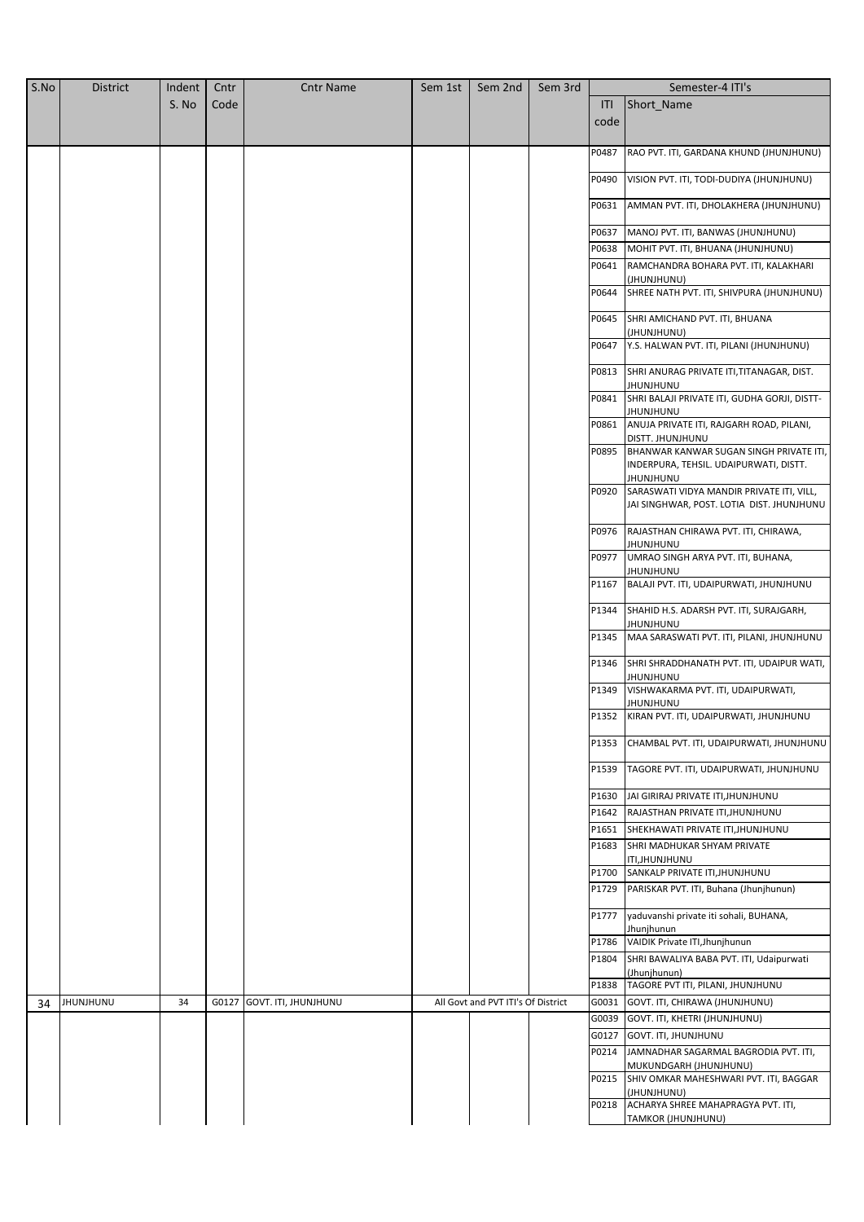| S.No | <b>District</b> | Indent | Cntr | <b>Cntr Name</b>           | Sem 1st | Sem 2nd                            | Sem 3rd |       | Semester-4 ITI's                                                                               |
|------|-----------------|--------|------|----------------------------|---------|------------------------------------|---------|-------|------------------------------------------------------------------------------------------------|
|      |                 | S. No  | Code |                            |         |                                    |         | ITI   | Short_Name                                                                                     |
|      |                 |        |      |                            |         |                                    |         | code  |                                                                                                |
|      |                 |        |      |                            |         |                                    |         |       |                                                                                                |
|      |                 |        |      |                            |         |                                    |         | P0487 | RAO PVT. ITI, GARDANA KHUND (JHUNJHUNU)                                                        |
|      |                 |        |      |                            |         |                                    |         | P0490 | VISION PVT. ITI, TODI-DUDIYA (JHUNJHUNU)                                                       |
|      |                 |        |      |                            |         |                                    |         |       |                                                                                                |
|      |                 |        |      |                            |         |                                    |         | P0631 | AMMAN PVT. ITI, DHOLAKHERA (JHUNJHUNU)                                                         |
|      |                 |        |      |                            |         |                                    |         | P0637 | MANOJ PVT. ITI, BANWAS (JHUNJHUNU)                                                             |
|      |                 |        |      |                            |         |                                    |         | P0638 | MOHIT PVT. ITI, BHUANA (JHUNJHUNU)                                                             |
|      |                 |        |      |                            |         |                                    |         | P0641 | RAMCHANDRA BOHARA PVT. ITI, KALAKHARI                                                          |
|      |                 |        |      |                            |         |                                    |         | P0644 | (JHUNJHUNU)<br>SHREE NATH PVT. ITI, SHIVPURA (JHUNJHUNU)                                       |
|      |                 |        |      |                            |         |                                    |         | P0645 | SHRI AMICHAND PVT. ITI, BHUANA<br>(JHUNJHUNU)                                                  |
|      |                 |        |      |                            |         |                                    |         | P0647 | Y.S. HALWAN PVT. ITI, PILANI (JHUNJHUNU)                                                       |
|      |                 |        |      |                            |         |                                    |         | P0813 | SHRI ANURAG PRIVATE ITI, TITANAGAR, DIST.<br>JHUNJHUNU                                         |
|      |                 |        |      |                            |         |                                    |         | P0841 | SHRI BALAJI PRIVATE ITI, GUDHA GORJI, DISTT-<br>JHUNJHUNU                                      |
|      |                 |        |      |                            |         |                                    |         | P0861 | ANUJA PRIVATE ITI, RAJGARH ROAD, PILANI,<br>DISTT. JHUNJHUNU                                   |
|      |                 |        |      |                            |         |                                    |         | P0895 | BHANWAR KANWAR SUGAN SINGH PRIVATE ITI,<br>INDERPURA, TEHSIL. UDAIPURWATI, DISTT.<br>JHUNJHUNU |
|      |                 |        |      |                            |         |                                    |         | P0920 | SARASWATI VIDYA MANDIR PRIVATE ITI, VILL,<br>JAI SINGHWAR, POST. LOTIA DIST. JHUNJHUNU         |
|      |                 |        |      |                            |         |                                    |         | P0976 | RAJASTHAN CHIRAWA PVT. ITI, CHIRAWA,<br>JHUNJHUNU                                              |
|      |                 |        |      |                            |         |                                    |         | P0977 | UMRAO SINGH ARYA PVT. ITI, BUHANA,<br>JHUNJHUNU                                                |
|      |                 |        |      |                            |         |                                    |         | P1167 | BALAJI PVT. ITI, UDAIPURWATI, JHUNJHUNU                                                        |
|      |                 |        |      |                            |         |                                    |         | P1344 | SHAHID H.S. ADARSH PVT. ITI, SURAJGARH,                                                        |
|      |                 |        |      |                            |         |                                    |         | P1345 | JHUNJHUNU<br>MAA SARASWATI PVT. ITI, PILANI, JHUNJHUNU                                         |
|      |                 |        |      |                            |         |                                    |         | P1346 | SHRI SHRADDHANATH PVT. ITI, UDAIPUR WATI,<br>JHUNJHUNU                                         |
|      |                 |        |      |                            |         |                                    |         | P1349 | VISHWAKARMA PVT. ITI, UDAIPURWATI,<br>JHUNJHUNU                                                |
|      |                 |        |      |                            |         |                                    |         | P1352 | KIRAN PVT. ITI, UDAIPURWATI, JHUNJHUNU                                                         |
|      |                 |        |      |                            |         |                                    |         | P1353 | CHAMBAL PVT. ITI, UDAIPURWATI, JHUNJHUNU                                                       |
|      |                 |        |      |                            |         |                                    |         | P1539 | TAGORE PVT. ITI, UDAIPURWATI, JHUNJHUNU                                                        |
|      |                 |        |      |                            |         |                                    |         | P1630 | JAI GIRIRAJ PRIVATE ITI, JHUNJHUNU                                                             |
|      |                 |        |      |                            |         |                                    |         | P1642 | RAJASTHAN PRIVATE ITI, JHUNJHUNU                                                               |
|      |                 |        |      |                            |         |                                    |         | P1651 | SHEKHAWATI PRIVATE ITI, JHUNJHUNU                                                              |
|      |                 |        |      |                            |         |                                    |         | P1683 | SHRI MADHUKAR SHYAM PRIVATE                                                                    |
|      |                 |        |      |                            |         |                                    |         | P1700 | ITI, JHUNJHUNU<br>SANKALP PRIVATE ITI, JHUNJHUNU                                               |
|      |                 |        |      |                            |         |                                    |         | P1729 | PARISKAR PVT. ITI, Buhana (Jhunjhunun)                                                         |
|      |                 |        |      |                            |         |                                    |         | P1777 | yaduvanshi private iti sohali, BUHANA,<br>Jhunjhunun                                           |
|      |                 |        |      |                            |         |                                    |         | P1786 | VAIDIK Private ITI, Jhunjhunun                                                                 |
|      |                 |        |      |                            |         |                                    |         | P1804 | SHRI BAWALIYA BABA PVT. ITI, Udaipurwati<br>(Jhunjhunun)                                       |
|      |                 |        |      |                            |         |                                    |         | P1838 | TAGORE PVT ITI, PILANI, JHUNJHUNU                                                              |
| 34   | JHUNJHUNU       | 34     |      | G0127 GOVT. ITI, JHUNJHUNU |         | All Govt and PVT ITI's Of District |         | G0031 | GOVT. ITI, CHIRAWA (JHUNJHUNU)                                                                 |
|      |                 |        |      |                            |         |                                    |         | G0039 | GOVT. ITI, KHETRI (JHUNJHUNU)                                                                  |
|      |                 |        |      |                            |         |                                    |         | G0127 | GOVT. ITI, JHUNJHUNU                                                                           |
|      |                 |        |      |                            |         |                                    |         | P0214 | JAMNADHAR SAGARMAL BAGRODIA PVT. ITI,                                                          |
|      |                 |        |      |                            |         |                                    |         |       | MUKUNDGARH (JHUNJHUNU)<br>P0215 SHIV OMKAR MAHESHWARI PVT. ITI, BAGGAR                         |
|      |                 |        |      |                            |         |                                    |         | P0218 | (JHUNJHUNU)<br>ACHARYA SHREE MAHAPRAGYA PVT. ITI,                                              |
|      |                 |        |      |                            |         |                                    |         |       | TAMKOR (JHUNJHUNU)                                                                             |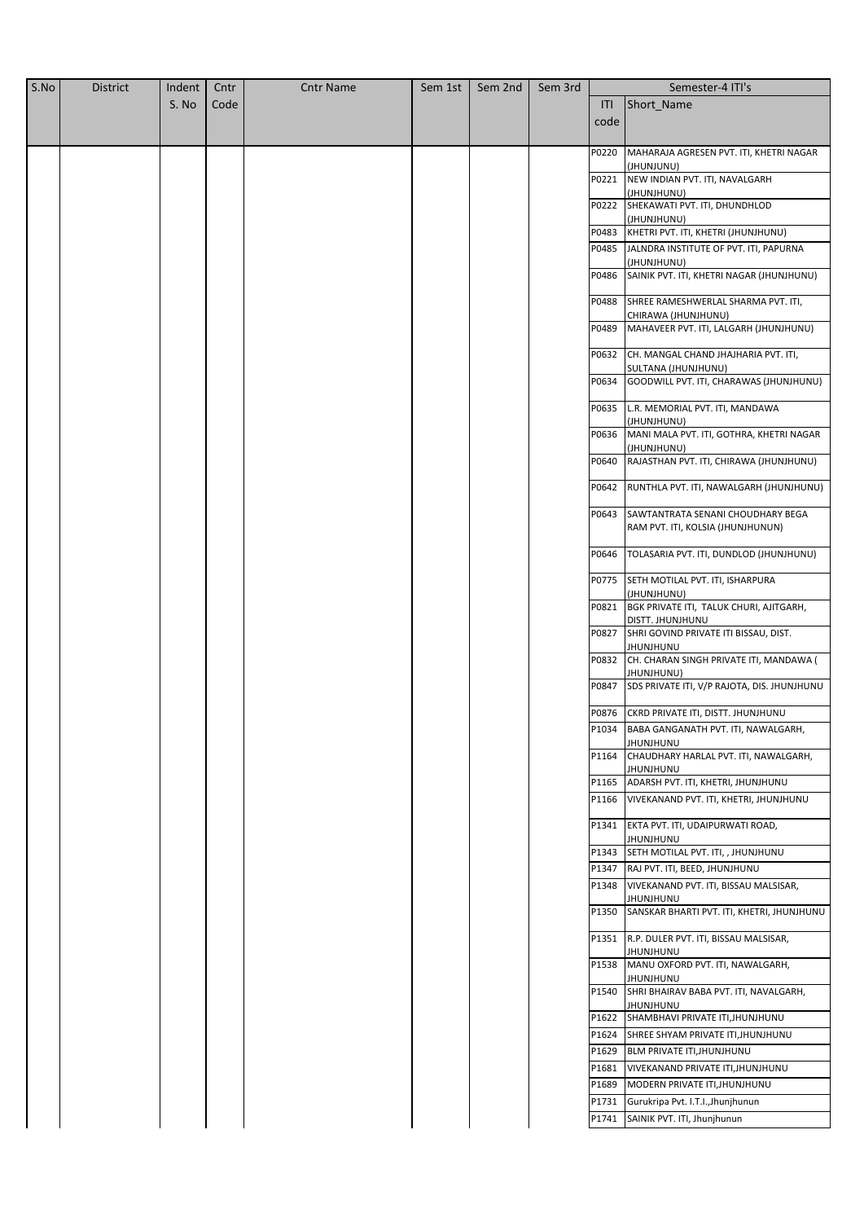| S.No | <b>District</b> | Indent | Cntr | <b>Cntr Name</b> | Sem 1st | Sem 2nd | Sem 3rd |       | Semester-4 ITI's                                              |
|------|-----------------|--------|------|------------------|---------|---------|---------|-------|---------------------------------------------------------------|
|      |                 | S. No  | Code |                  |         |         |         | ITI   | Short Name                                                    |
|      |                 |        |      |                  |         |         |         | code  |                                                               |
|      |                 |        |      |                  |         |         |         |       |                                                               |
|      |                 |        |      |                  |         |         |         | P0220 | MAHARAJA AGRESEN PVT. ITI, KHETRI NAGAR                       |
|      |                 |        |      |                  |         |         |         | P0221 | (JHUNJUNU)<br>NEW INDIAN PVT. ITI, NAVALGARH                  |
|      |                 |        |      |                  |         |         |         |       | (JHUNJHUNU)                                                   |
|      |                 |        |      |                  |         |         |         |       | P0222 SHEKAWATI PVT. ITI, DHUNDHLOD                           |
|      |                 |        |      |                  |         |         |         | P0483 | (JHUNJHUNU)<br>KHETRI PVT. ITI, KHETRI (JHUNJHUNU)            |
|      |                 |        |      |                  |         |         |         | P0485 | JALNDRA INSTITUTE OF PVT. ITI, PAPURNA                        |
|      |                 |        |      |                  |         |         |         |       | (JHUNJHUNU)                                                   |
|      |                 |        |      |                  |         |         |         | P0486 | SAINIK PVT. ITI, KHETRI NAGAR (JHUNJHUNU)                     |
|      |                 |        |      |                  |         |         |         | P0488 |                                                               |
|      |                 |        |      |                  |         |         |         |       | SHREE RAMESHWERLAL SHARMA PVT. ITI,<br>CHIRAWA (JHUNJHUNU)    |
|      |                 |        |      |                  |         |         |         | P0489 | MAHAVEER PVT. ITI, LALGARH (JHUNJHUNU)                        |
|      |                 |        |      |                  |         |         |         |       |                                                               |
|      |                 |        |      |                  |         |         |         | P0632 | CH. MANGAL CHAND JHAJHARIA PVT. ITI,<br>SULTANA (JHUNJHUNU)   |
|      |                 |        |      |                  |         |         |         | P0634 | GOODWILL PVT. ITI, CHARAWAS (JHUNJHUNU)                       |
|      |                 |        |      |                  |         |         |         |       |                                                               |
|      |                 |        |      |                  |         |         |         | P0635 | L.R. MEMORIAL PVT. ITI, MANDAWA                               |
|      |                 |        |      |                  |         |         |         | P0636 | (JHUNJHUNU)<br>MANI MALA PVT. ITI, GOTHRA, KHETRI NAGAR       |
|      |                 |        |      |                  |         |         |         |       | (JHUNJHUNU)                                                   |
|      |                 |        |      |                  |         |         |         | P0640 | RAJASTHAN PVT. ITI, CHIRAWA (JHUNJHUNU)                       |
|      |                 |        |      |                  |         |         |         | P0642 | RUNTHLA PVT. ITI, NAWALGARH (JHUNJHUNU)                       |
|      |                 |        |      |                  |         |         |         |       |                                                               |
|      |                 |        |      |                  |         |         |         | P0643 | SAWTANTRATA SENANI CHOUDHARY BEGA                             |
|      |                 |        |      |                  |         |         |         |       | RAM PVT. ITI, KOLSIA (JHUNJHUNUN)                             |
|      |                 |        |      |                  |         |         |         | P0646 | TOLASARIA PVT. ITI, DUNDLOD (JHUNJHUNU)                       |
|      |                 |        |      |                  |         |         |         |       |                                                               |
|      |                 |        |      |                  |         |         |         | P0775 | SETH MOTILAL PVT. ITI, ISHARPURA                              |
|      |                 |        |      |                  |         |         |         | P0821 | (JHUNJHUNU)<br>BGK PRIVATE ITI, TALUK CHURI, AJITGARH,        |
|      |                 |        |      |                  |         |         |         |       | DISTT. JHUNJHUNU                                              |
|      |                 |        |      |                  |         |         |         | P0827 | SHRI GOVIND PRIVATE ITI BISSAU, DIST.                         |
|      |                 |        |      |                  |         |         |         |       | JHUNJHUNU                                                     |
|      |                 |        |      |                  |         |         |         | P0832 | CH. CHARAN SINGH PRIVATE ITI, MANDAWA (<br>JHUNJHUNU)         |
|      |                 |        |      |                  |         |         |         | P0847 | SDS PRIVATE ITI, V/P RAJOTA, DIS. JHUNJHUNU                   |
|      |                 |        |      |                  |         |         |         |       |                                                               |
|      |                 |        |      |                  |         |         |         |       | P0876 CKRD PRIVATE ITI, DISTT. JHUNJHUNU                      |
|      |                 |        |      |                  |         |         |         |       | P1034 BABA GANGANATH PVT. ITI, NAWALGARH,<br><b>JHUNJHUNU</b> |
|      |                 |        |      |                  |         |         |         | P1164 | CHAUDHARY HARLAL PVT. ITI, NAWALGARH,                         |
|      |                 |        |      |                  |         |         |         |       | JHUNJHUNU                                                     |
|      |                 |        |      |                  |         |         |         | P1165 | ADARSH PVT. ITI, KHETRI, JHUNJHUNU                            |
|      |                 |        |      |                  |         |         |         | P1166 | VIVEKANAND PVT. ITI, KHETRI, JHUNJHUNU                        |
|      |                 |        |      |                  |         |         |         |       | P1341 EKTA PVT. ITI, UDAIPURWATI ROAD,                        |
|      |                 |        |      |                  |         |         |         |       | JHUNJHUNU                                                     |
|      |                 |        |      |                  |         |         |         |       | P1343 SETH MOTILAL PVT. ITI, , JHUNJHUNU                      |
|      |                 |        |      |                  |         |         |         |       | P1347 RAJ PVT. ITI, BEED, JHUNJHUNU                           |
|      |                 |        |      |                  |         |         |         | P1348 | VIVEKANAND PVT. ITI, BISSAU MALSISAR,<br>JHUNJHUNU            |
|      |                 |        |      |                  |         |         |         | P1350 | SANSKAR BHARTI PVT. ITI, KHETRI, JHUNJHUNU                    |
|      |                 |        |      |                  |         |         |         |       |                                                               |
|      |                 |        |      |                  |         |         |         |       | P1351 R.P. DULER PVT. ITI, BISSAU MALSISAR,                   |
|      |                 |        |      |                  |         |         |         |       | JHUNJHUNU<br>P1538 MANU OXFORD PVT. ITI, NAWALGARH,           |
|      |                 |        |      |                  |         |         |         |       | JHUNJHUNU                                                     |
|      |                 |        |      |                  |         |         |         | P1540 | SHRI BHAIRAV BABA PVT. ITI, NAVALGARH,                        |
|      |                 |        |      |                  |         |         |         |       | JHUNJHUNU<br>P1622 SHAMBHAVI PRIVATE ITI, JHUNJHUNU           |
|      |                 |        |      |                  |         |         |         | P1624 | SHREE SHYAM PRIVATE ITI, JHUNJHUNU                            |
|      |                 |        |      |                  |         |         |         | P1629 | BLM PRIVATE ITI, JHUNJHUNU                                    |
|      |                 |        |      |                  |         |         |         | P1681 | VIVEKANAND PRIVATE ITI, JHUNJHUNU                             |
|      |                 |        |      |                  |         |         |         | P1689 | MODERN PRIVATE ITI, JHUNJHUNU                                 |
|      |                 |        |      |                  |         |         |         | P1731 | Gurukripa Pvt. I.T.I., Jhunjhunun                             |
|      |                 |        |      |                  |         |         |         |       | P1741 SAINIK PVT. ITI, Jhunjhunun                             |
|      |                 |        |      |                  |         |         |         |       |                                                               |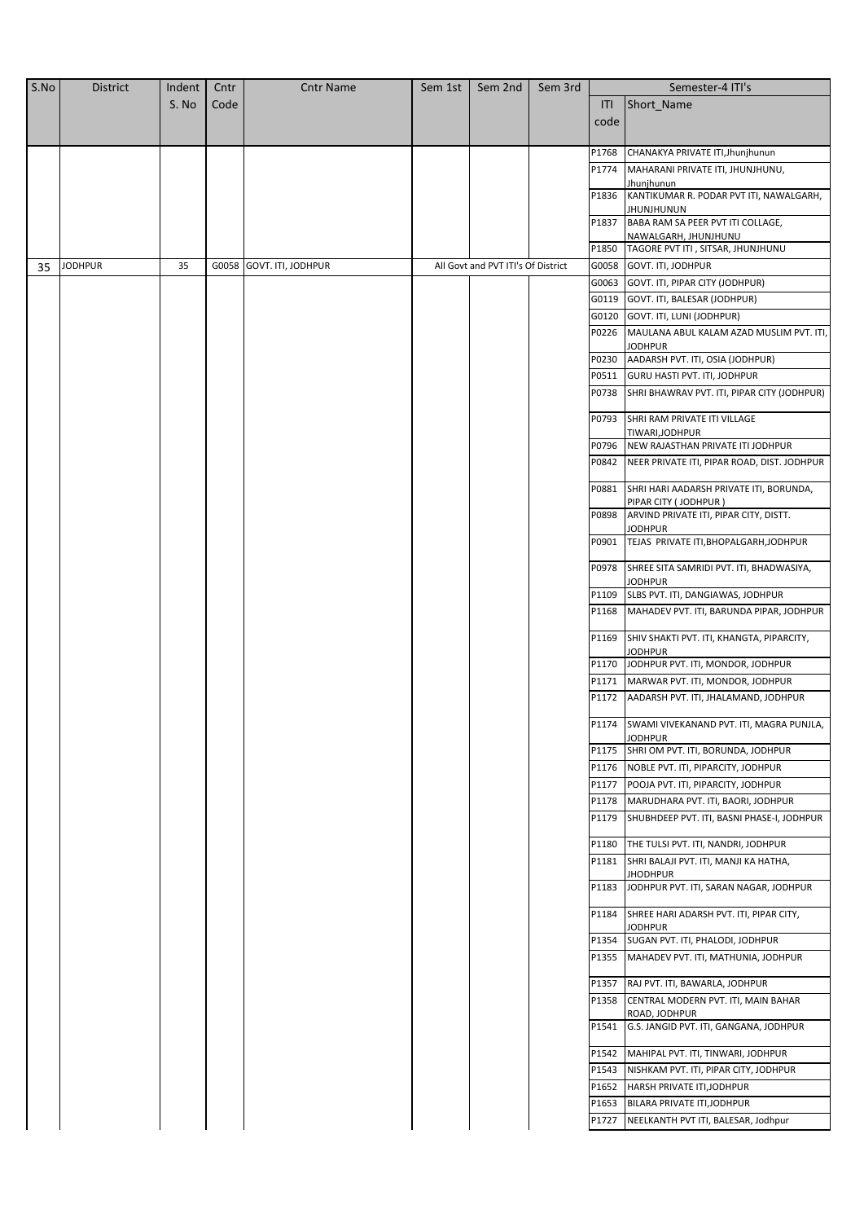| S.No | <b>District</b> | Indent | Cntr | <b>Cntr Name</b>         | Sem 1st | Sem 2nd                            | Sem 3rd |       | Semester-4 ITI's                                                          |
|------|-----------------|--------|------|--------------------------|---------|------------------------------------|---------|-------|---------------------------------------------------------------------------|
|      |                 | S. No  | Code |                          |         |                                    |         | ITI   | Short_Name                                                                |
|      |                 |        |      |                          |         |                                    |         | code  |                                                                           |
|      |                 |        |      |                          |         |                                    |         |       |                                                                           |
|      |                 |        |      |                          |         |                                    |         | P1768 | CHANAKYA PRIVATE ITI, Jhunjhunun                                          |
|      |                 |        |      |                          |         |                                    |         | P1774 | MAHARANI PRIVATE ITI, JHUNJHUNU,                                          |
|      |                 |        |      |                          |         |                                    |         | P1836 | Jhunjhunun<br>KANTIKUMAR R. PODAR PVT ITI, NAWALGARH,                     |
|      |                 |        |      |                          |         |                                    |         |       | JHUNJHUNUN                                                                |
|      |                 |        |      |                          |         |                                    |         | P1837 | BABA RAM SA PEER PVT ITI COLLAGE,                                         |
|      |                 |        |      |                          |         |                                    |         | P1850 | NAWALGARH, JHUNJHUNU<br>TAGORE PVT ITI, SITSAR, JHUNJHUNU                 |
| 35   | <b>JODHPUR</b>  | 35     |      | G0058 GOVT. ITI, JODHPUR |         | All Govt and PVT ITI's Of District |         | G0058 | GOVT. ITI, JODHPUR                                                        |
|      |                 |        |      |                          |         |                                    |         | G0063 | GOVT. ITI, PIPAR CITY (JODHPUR)                                           |
|      |                 |        |      |                          |         |                                    |         |       | G0119 GOVT. ITI, BALESAR (JODHPUR)                                        |
|      |                 |        |      |                          |         |                                    |         | G0120 | GOVT. ITI, LUNI (JODHPUR)                                                 |
|      |                 |        |      |                          |         |                                    |         | P0226 | MAULANA ABUL KALAM AZAD MUSLIM PVT. ITI,                                  |
|      |                 |        |      |                          |         |                                    |         |       | <b>JODHPUR</b>                                                            |
|      |                 |        |      |                          |         |                                    |         | P0230 | AADARSH PVT. ITI, OSIA (JODHPUR)                                          |
|      |                 |        |      |                          |         |                                    |         | P0511 | GURU HASTI PVT. ITI, JODHPUR                                              |
|      |                 |        |      |                          |         |                                    |         | P0738 | SHRI BHAWRAV PVT. ITI, PIPAR CITY (JODHPUR)                               |
|      |                 |        |      |                          |         |                                    |         | P0793 | SHRI RAM PRIVATE ITI VILLAGE<br>TIWARI, JODHPUR                           |
|      |                 |        |      |                          |         |                                    |         | P0796 | NEW RAJASTHAN PRIVATE ITI JODHPUR                                         |
|      |                 |        |      |                          |         |                                    |         | P0842 | NEER PRIVATE ITI, PIPAR ROAD, DIST. JODHPUR                               |
|      |                 |        |      |                          |         |                                    |         | P0881 | SHRI HARI AADARSH PRIVATE ITI, BORUNDA,                                   |
|      |                 |        |      |                          |         |                                    |         | P0898 | PIPAR CITY (JODHPUR)<br>ARVIND PRIVATE ITI, PIPAR CITY, DISTT.<br>JODHPUR |
|      |                 |        |      |                          |         |                                    |         | P0901 | TEJAS PRIVATE ITI, BHOPALGARH, JODHPUR                                    |
|      |                 |        |      |                          |         |                                    |         | P0978 | SHREE SITA SAMRIDI PVT. ITI, BHADWASIYA,<br><b>JODHPUR</b>                |
|      |                 |        |      |                          |         |                                    |         | P1109 | SLBS PVT. ITI, DANGIAWAS, JODHPUR                                         |
|      |                 |        |      |                          |         |                                    |         | P1168 | MAHADEV PVT. ITI, BARUNDA PIPAR, JODHPUR                                  |
|      |                 |        |      |                          |         |                                    |         | P1169 | SHIV SHAKTI PVT. ITI, KHANGTA, PIPARCITY,<br><b>JODHPUR</b>               |
|      |                 |        |      |                          |         |                                    |         | P1170 | JODHPUR PVT. ITI, MONDOR, JODHPUR                                         |
|      |                 |        |      |                          |         |                                    |         | P1171 | MARWAR PVT. ITI, MONDOR, JODHPUR                                          |
|      |                 |        |      |                          |         |                                    |         | P1172 | AADARSH PVT. ITI, JHALAMAND, JODHPUR                                      |
|      |                 |        |      |                          |         |                                    |         |       | P1174 SWAMI VIVEKANAND PVT. ITI, MAGRA PUNJLA,<br><b>JODHPUR</b>          |
|      |                 |        |      |                          |         |                                    |         | P1175 | SHRI OM PVT. ITI, BORUNDA, JODHPUR                                        |
|      |                 |        |      |                          |         |                                    |         | P1176 | NOBLE PVT. ITI, PIPARCITY, JODHPUR                                        |
|      |                 |        |      |                          |         |                                    |         | P1177 | POOJA PVT. ITI, PIPARCITY, JODHPUR                                        |
|      |                 |        |      |                          |         |                                    |         | P1178 | MARUDHARA PVT. ITI, BAORI, JODHPUR                                        |
|      |                 |        |      |                          |         |                                    |         | P1179 | SHUBHDEEP PVT. ITI, BASNI PHASE-I, JODHPUR                                |
|      |                 |        |      |                          |         |                                    |         | P1180 | THE TULSI PVT. ITI, NANDRI, JODHPUR                                       |
|      |                 |        |      |                          |         |                                    |         | P1181 | SHRI BALAJI PVT. ITI, MANJI KA HATHA,                                     |
|      |                 |        |      |                          |         |                                    |         | P1183 | <b>JHODHPUR</b><br>JODHPUR PVT. ITI, SARAN NAGAR, JODHPUR                 |
|      |                 |        |      |                          |         |                                    |         | P1184 | SHREE HARI ADARSH PVT. ITI, PIPAR CITY,                                   |
|      |                 |        |      |                          |         |                                    |         | P1354 | <b>JODHPUR</b><br>SUGAN PVT. ITI, PHALODI, JODHPUR                        |
|      |                 |        |      |                          |         |                                    |         | P1355 | MAHADEV PVT. ITI, MATHUNIA, JODHPUR                                       |
|      |                 |        |      |                          |         |                                    |         | P1357 | RAJ PVT. ITI, BAWARLA, JODHPUR                                            |
|      |                 |        |      |                          |         |                                    |         | P1358 | CENTRAL MODERN PVT. ITI, MAIN BAHAR                                       |
|      |                 |        |      |                          |         |                                    |         | P1541 | ROAD, JODHPUR<br>G.S. JANGID PVT. ITI, GANGANA, JODHPUR                   |
|      |                 |        |      |                          |         |                                    |         | P1542 | MAHIPAL PVT. ITI, TINWARI, JODHPUR                                        |
|      |                 |        |      |                          |         |                                    |         | P1543 | NISHKAM PVT. ITI, PIPAR CITY, JODHPUR                                     |
|      |                 |        |      |                          |         |                                    |         |       | P1652   HARSH PRIVATE ITI, JODHPUR                                        |
|      |                 |        |      |                          |         |                                    |         | P1653 | BILARA PRIVATE ITI, JODHPUR                                               |
|      |                 |        |      |                          |         |                                    |         | P1727 | NEELKANTH PVT ITI, BALESAR, Jodhpur                                       |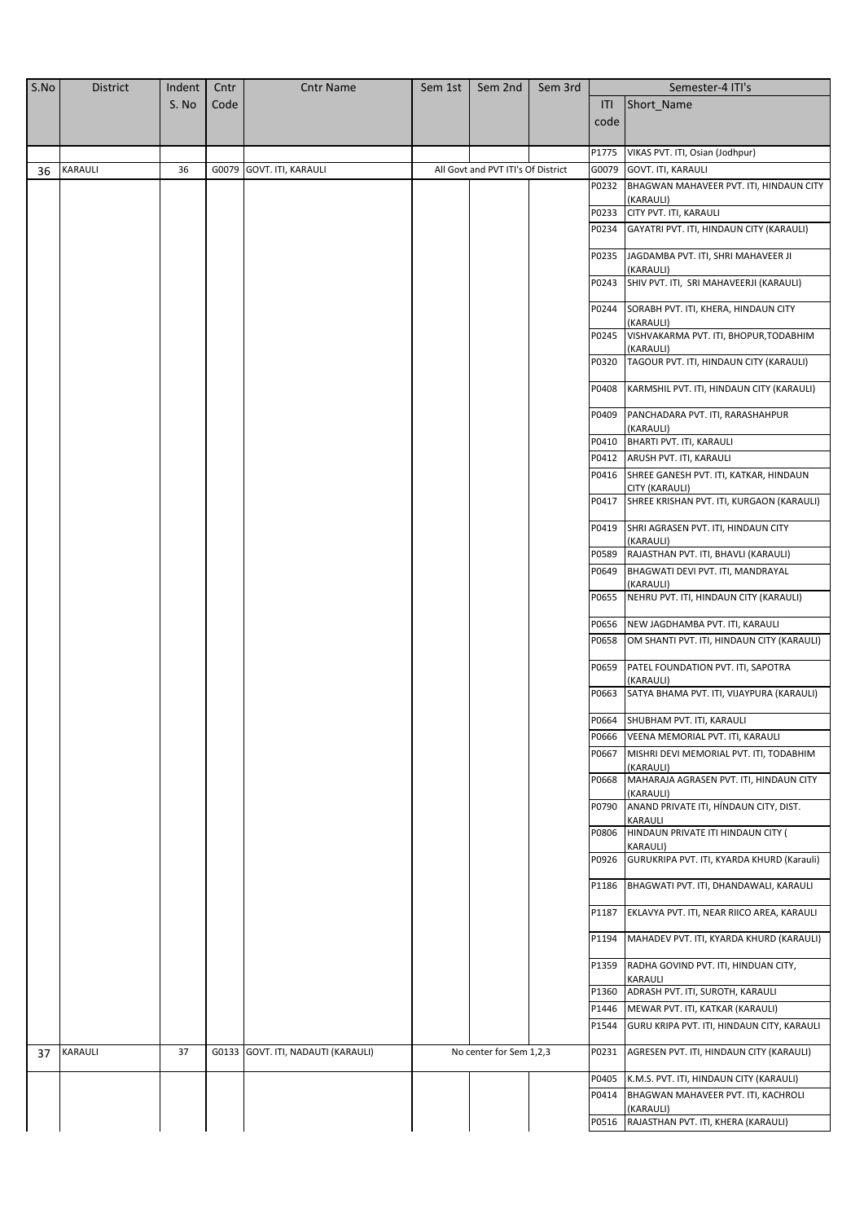| S.No | <b>District</b> | Indent | Cntr | <b>Cntr Name</b>                   | Sem 1st | Sem 2nd                            | Sem 3rd | Semester-4 ITI's |                                                                               |
|------|-----------------|--------|------|------------------------------------|---------|------------------------------------|---------|------------------|-------------------------------------------------------------------------------|
|      |                 | S. No  | Code |                                    |         |                                    |         | ITI              | Short Name                                                                    |
|      |                 |        |      |                                    |         |                                    |         | code             |                                                                               |
|      |                 |        |      |                                    |         |                                    |         |                  |                                                                               |
|      |                 |        |      |                                    |         |                                    |         | P1775            | VIKAS PVT. ITI, Osian (Jodhpur)                                               |
| 36   | KARAULI         | 36     |      | G0079 GOVT. ITI, KARAULI           |         | All Govt and PVT ITI's Of District |         | G0079            | GOVT. ITI, KARAULI                                                            |
|      |                 |        |      |                                    |         |                                    |         | P0232            | BHAGWAN MAHAVEER PVT. ITI, HINDAUN CITY                                       |
|      |                 |        |      |                                    |         |                                    |         | P0233            | (KARAULI)<br>CITY PVT. ITI, KARAULI                                           |
|      |                 |        |      |                                    |         |                                    |         | P0234            | GAYATRI PVT. ITI, HINDAUN CITY (KARAULI)                                      |
|      |                 |        |      |                                    |         |                                    |         |                  |                                                                               |
|      |                 |        |      |                                    |         |                                    |         | P0235            | JAGDAMBA PVT. ITI, SHRI MAHAVEER JI                                           |
|      |                 |        |      |                                    |         |                                    |         | P0243            | (KARAULI)<br>SHIV PVT. ITI, SRI MAHAVEERJI (KARAULI)                          |
|      |                 |        |      |                                    |         |                                    |         |                  |                                                                               |
|      |                 |        |      |                                    |         |                                    |         | P0244            | SORABH PVT. ITI, KHERA, HINDAUN CITY                                          |
|      |                 |        |      |                                    |         |                                    |         | P0245            | (KARAULI)<br>VISHVAKARMA PVT. ITI, BHOPUR, TODABHIM                           |
|      |                 |        |      |                                    |         |                                    |         |                  | (KARAULI)                                                                     |
|      |                 |        |      |                                    |         |                                    |         | P0320            | TAGOUR PVT. ITI, HINDAUN CITY (KARAULI)                                       |
|      |                 |        |      |                                    |         |                                    |         | P0408            | KARMSHIL PVT. ITI, HINDAUN CITY (KARAULI)                                     |
|      |                 |        |      |                                    |         |                                    |         |                  |                                                                               |
|      |                 |        |      |                                    |         |                                    |         | P0409            | PANCHADARA PVT. ITI, RARASHAHPUR                                              |
|      |                 |        |      |                                    |         |                                    |         | P0410            | (KARAULI)<br>BHARTI PVT. ITI, KARAULI                                         |
|      |                 |        |      |                                    |         |                                    |         | P0412            | ARUSH PVT. ITI, KARAULI                                                       |
|      |                 |        |      |                                    |         |                                    |         | P0416            | SHREE GANESH PVT. ITI, KATKAR, HINDAUN                                        |
|      |                 |        |      |                                    |         |                                    |         |                  | CITY (KARAULI)                                                                |
|      |                 |        |      |                                    |         |                                    |         | P0417            | SHREE KRISHAN PVT. ITI, KURGAON (KARAULI)                                     |
|      |                 |        |      |                                    |         |                                    |         | P0419            | SHRI AGRASEN PVT. ITI, HINDAUN CITY                                           |
|      |                 |        |      |                                    |         |                                    |         |                  | (KARAULI)                                                                     |
|      |                 |        |      |                                    |         |                                    |         | P0589            | RAJASTHAN PVT. ITI, BHAVLI (KARAULI)                                          |
|      |                 |        |      |                                    |         |                                    |         | P0649            | BHAGWATI DEVI PVT. ITI, MANDRAYAL<br>(KARAULI)                                |
|      |                 |        |      |                                    |         |                                    |         | P0655            | NEHRU PVT. ITI, HINDAUN CITY (KARAULI)                                        |
|      |                 |        |      |                                    |         |                                    |         | P0656            |                                                                               |
|      |                 |        |      |                                    |         |                                    |         | P0658            | NEW JAGDHAMBA PVT. ITI, KARAULI<br>OM SHANTI PVT. ITI, HINDAUN CITY (KARAULI) |
|      |                 |        |      |                                    |         |                                    |         |                  |                                                                               |
|      |                 |        |      |                                    |         |                                    |         | P0659            | PATEL FOUNDATION PVT. ITI, SAPOTRA                                            |
|      |                 |        |      |                                    |         |                                    |         | P0663            | (KARAULI)<br>SATYA BHAMA PVT. ITI, VIJAYPURA (KARAULI)                        |
|      |                 |        |      |                                    |         |                                    |         |                  |                                                                               |
|      |                 |        |      |                                    |         |                                    |         | P0664            | SHUBHAM PVT. ITI, KARAULI                                                     |
|      |                 |        |      |                                    |         |                                    |         | P0666            | VEENA MEMORIAL PVT. ITI, KARAULI                                              |
|      |                 |        |      |                                    |         |                                    |         | P0667            | MISHRI DEVI MEMORIAL PVT. ITI, TODABHIM<br>(KARAULI)                          |
|      |                 |        |      |                                    |         |                                    |         | P0668            | MAHARAJA AGRASEN PVT. ITI, HINDAUN CITY                                       |
|      |                 |        |      |                                    |         |                                    |         |                  | (KARAULI)                                                                     |
|      |                 |        |      |                                    |         |                                    |         | P0790            | ANAND PRIVATE ITI, HÍNDAUN CITY, DIST.<br>KARAULI                             |
|      |                 |        |      |                                    |         |                                    |         | P0806            | HINDAUN PRIVATE ITI HINDAUN CITY (                                            |
|      |                 |        |      |                                    |         |                                    |         |                  | KARAULI)                                                                      |
|      |                 |        |      |                                    |         |                                    |         | P0926            | GURUKRIPA PVT. ITI, KYARDA KHURD (Karauli)                                    |
|      |                 |        |      |                                    |         |                                    |         | P1186            | BHAGWATI PVT. ITI, DHANDAWALI, KARAULI                                        |
|      |                 |        |      |                                    |         |                                    |         | P1187            | EKLAVYA PVT. ITI, NEAR RIICO AREA, KARAULI                                    |
|      |                 |        |      |                                    |         |                                    |         |                  |                                                                               |
|      |                 |        |      |                                    |         |                                    |         | P1194            | MAHADEV PVT. ITI, KYARDA KHURD (KARAULI)                                      |
|      |                 |        |      |                                    |         |                                    |         | P1359            | RADHA GOVIND PVT. ITI, HINDUAN CITY,                                          |
|      |                 |        |      |                                    |         |                                    |         | P1360            | KARAULI<br>ADRASH PVT. ITI, SUROTH, KARAULI                                   |
|      |                 |        |      |                                    |         |                                    |         | P1446            | MEWAR PVT. ITI, KATKAR (KARAULI)                                              |
|      |                 |        |      |                                    |         |                                    |         | P1544            | GURU KRIPA PVT. ITI, HINDAUN CITY, KARAULI                                    |
|      |                 |        |      |                                    |         |                                    |         |                  |                                                                               |
| 37   | KARAULI         | 37     |      | G0133 GOVT. ITI, NADAUTI (KARAULI) |         | No center for Sem 1,2,3            |         | P0231            | AGRESEN PVT. ITI, HINDAUN CITY (KARAULI)                                      |
|      |                 |        |      |                                    |         |                                    |         | P0405            | K.M.S. PVT. ITI, HINDAUN CITY (KARAULI)                                       |
|      |                 |        |      |                                    |         |                                    |         | P0414            | BHAGWAN MAHAVEER PVT. ITI, KACHROLI                                           |
|      |                 |        |      |                                    |         |                                    |         |                  | (KARAULI)                                                                     |
|      |                 |        |      |                                    |         |                                    |         | P0516            | RAJASTHAN PVT. ITI, KHERA (KARAULI)                                           |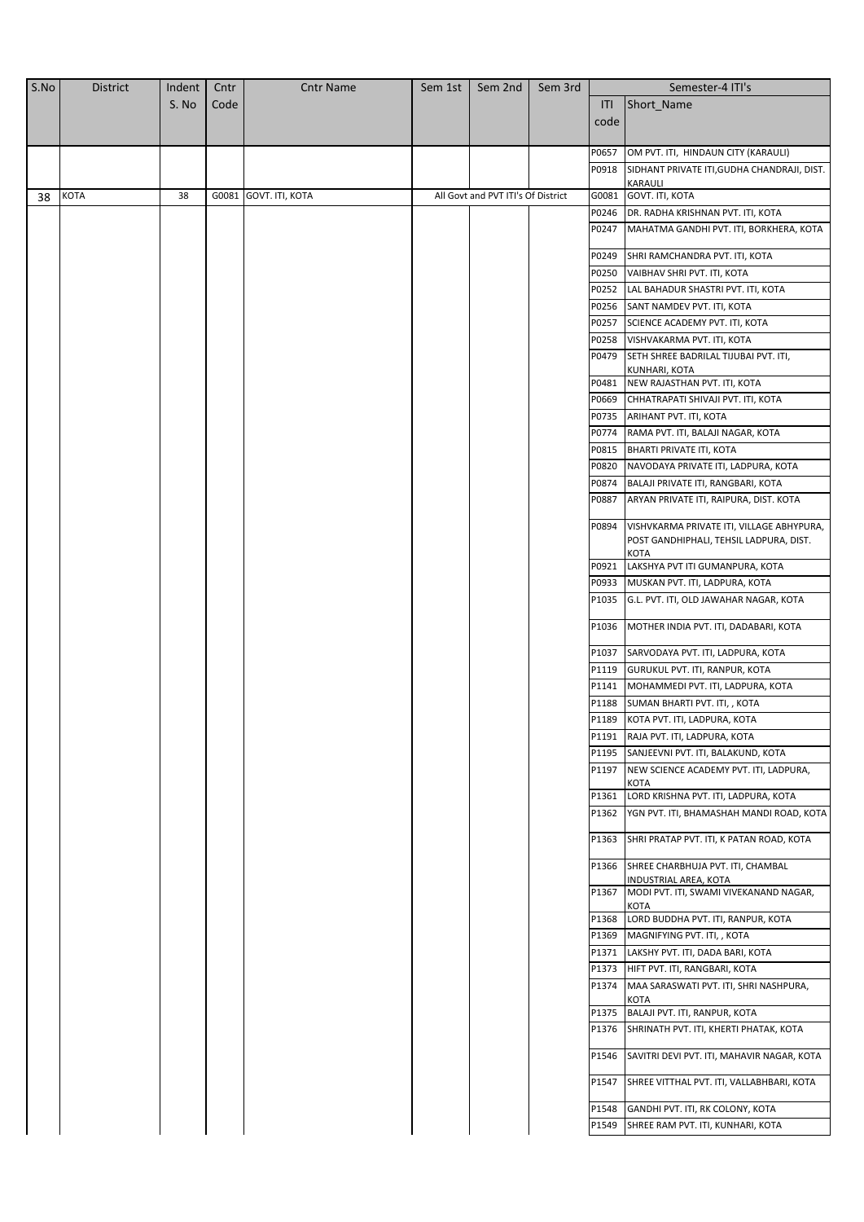| S.No | <b>District</b> | Indent | Cntr | <b>Cntr Name</b>      | Sem 1st | Sem 2nd                            | Sem 3rd |                | Semester-4 ITI's                                                                                    |
|------|-----------------|--------|------|-----------------------|---------|------------------------------------|---------|----------------|-----------------------------------------------------------------------------------------------------|
|      |                 | S. No  | Code |                       |         |                                    |         | ITI            | Short_Name                                                                                          |
|      |                 |        |      |                       |         |                                    |         | code           |                                                                                                     |
|      |                 |        |      |                       |         |                                    |         |                |                                                                                                     |
|      |                 |        |      |                       |         |                                    |         | P0657          | OM PVT. ITI, HINDAUN CITY (KARAULI)                                                                 |
|      |                 |        |      |                       |         |                                    |         | P0918          | SIDHANT PRIVATE ITI, GUDHA CHANDRAJI, DIST.                                                         |
| 38   | <b>KOTA</b>     | 38     |      | G0081 GOVT. ITI, KOTA |         | All Govt and PVT ITI's Of District |         | G0081          | KARAULI<br>GOVT. ITI, KOTA                                                                          |
|      |                 |        |      |                       |         |                                    |         | P0246          | DR. RADHA KRISHNAN PVT. ITI, KOTA                                                                   |
|      |                 |        |      |                       |         |                                    |         | P0247          | MAHATMA GANDHI PVT. ITI, BORKHERA, KOTA                                                             |
|      |                 |        |      |                       |         |                                    |         |                |                                                                                                     |
|      |                 |        |      |                       |         |                                    |         | P0249          | SHRI RAMCHANDRA PVT. ITI, KOTA                                                                      |
|      |                 |        |      |                       |         |                                    |         | P0250          | VAIBHAV SHRI PVT. ITI, KOTA                                                                         |
|      |                 |        |      |                       |         |                                    |         | P0252          | LAL BAHADUR SHASTRI PVT. ITI, KOTA                                                                  |
|      |                 |        |      |                       |         |                                    |         | P0256          | SANT NAMDEV PVT. ITI, KOTA                                                                          |
|      |                 |        |      |                       |         |                                    |         | P0257          | SCIENCE ACADEMY PVT. ITI, KOTA                                                                      |
|      |                 |        |      |                       |         |                                    |         | P0258<br>P0479 | VISHVAKARMA PVT. ITI, KOTA<br>SETH SHREE BADRILAL TIJUBAI PVT. ITI,                                 |
|      |                 |        |      |                       |         |                                    |         |                | KUNHARI, KOTA                                                                                       |
|      |                 |        |      |                       |         |                                    |         | P0481          | NEW RAJASTHAN PVT. ITI, KOTA                                                                        |
|      |                 |        |      |                       |         |                                    |         | P0669          | CHHATRAPATI SHIVAJI PVT. ITI, KOTA                                                                  |
|      |                 |        |      |                       |         |                                    |         | P0735          | ARIHANT PVT. ITI, KOTA                                                                              |
|      |                 |        |      |                       |         |                                    |         | P0774          | RAMA PVT. ITI, BALAJI NAGAR, KOTA                                                                   |
|      |                 |        |      |                       |         |                                    |         | P0815          | <b>BHARTI PRIVATE ITI, KOTA</b>                                                                     |
|      |                 |        |      |                       |         |                                    |         | P0820          | NAVODAYA PRIVATE ITI, LADPURA, KOTA                                                                 |
|      |                 |        |      |                       |         |                                    |         | P0874          | BALAJI PRIVATE ITI, RANGBARI, KOTA                                                                  |
|      |                 |        |      |                       |         |                                    |         | P0887          | ARYAN PRIVATE ITI, RAIPURA, DIST. KOTA                                                              |
|      |                 |        |      |                       |         |                                    |         | P0894          | VISHVKARMA PRIVATE ITI, VILLAGE ABHYPURA,<br>POST GANDHIPHALI, TEHSIL LADPURA, DIST.<br><b>KOTA</b> |
|      |                 |        |      |                       |         |                                    |         | P0921          | LAKSHYA PVT ITI GUMANPURA, KOTA                                                                     |
|      |                 |        |      |                       |         |                                    |         | P0933          | MUSKAN PVT. ITI, LADPURA, KOTA                                                                      |
|      |                 |        |      |                       |         |                                    |         | P1035          | G.L. PVT. ITI, OLD JAWAHAR NAGAR, KOTA                                                              |
|      |                 |        |      |                       |         |                                    |         | P1036          | MOTHER INDIA PVT. ITI, DADABARI, KOTA                                                               |
|      |                 |        |      |                       |         |                                    |         | P1037          | SARVODAYA PVT. ITI, LADPURA, KOTA                                                                   |
|      |                 |        |      |                       |         |                                    |         |                | P1119 GURUKUL PVT. ITI, RANPUR, KOTA                                                                |
|      |                 |        |      |                       |         |                                    |         | P1141          | MOHAMMEDI PVT. ITI, LADPURA, KOTA                                                                   |
|      |                 |        |      |                       |         |                                    |         | P1188          | SUMAN BHARTI PVT. ITI, , KOTA                                                                       |
|      |                 |        |      |                       |         |                                    |         |                | P1189 KOTA PVT. ITI, LADPURA, KOTA                                                                  |
|      |                 |        |      |                       |         |                                    |         | P1191          | RAJA PVT. ITI, LADPURA, KOTA                                                                        |
|      |                 |        |      |                       |         |                                    |         | P1195          | SANJEEVNI PVT. ITI, BALAKUND, KOTA                                                                  |
|      |                 |        |      |                       |         |                                    |         | P1197          | NEW SCIENCE ACADEMY PVT. ITI, LADPURA,                                                              |
|      |                 |        |      |                       |         |                                    |         | P1361          | KOTA<br>LORD KRISHNA PVT. ITI, LADPURA, KOTA                                                        |
|      |                 |        |      |                       |         |                                    |         | P1362          | YGN PVT. ITI, BHAMASHAH MANDI ROAD, KOTA                                                            |
|      |                 |        |      |                       |         |                                    |         | P1363          | SHRI PRATAP PVT. ITI, K PATAN ROAD, KOTA                                                            |
|      |                 |        |      |                       |         |                                    |         | P1366          | SHREE CHARBHUJA PVT. ITI, CHAMBAL<br>INDUSTRIAL AREA, KOTA                                          |
|      |                 |        |      |                       |         |                                    |         | P1367          | MODI PVT. ITI, SWAMI VIVEKANAND NAGAR,<br>KOTA                                                      |
|      |                 |        |      |                       |         |                                    |         | P1368          | LORD BUDDHA PVT. ITI, RANPUR, KOTA                                                                  |
|      |                 |        |      |                       |         |                                    |         | P1369          | MAGNIFYING PVT. ITI, , KOTA                                                                         |
|      |                 |        |      |                       |         |                                    |         | P1371          | LAKSHY PVT. ITI, DADA BARI, KOTA                                                                    |
|      |                 |        |      |                       |         |                                    |         | P1373          | HIFT PVT. ITI, RANGBARI, KOTA                                                                       |
|      |                 |        |      |                       |         |                                    |         | P1374          | MAA SARASWATI PVT. ITI, SHRI NASHPURA,                                                              |
|      |                 |        |      |                       |         |                                    |         |                | <b>KOTA</b><br>P1375 BALAJI PVT. ITI, RANPUR, KOTA                                                  |
|      |                 |        |      |                       |         |                                    |         | P1376          | SHRINATH PVT. ITI, KHERTI PHATAK, KOTA                                                              |
|      |                 |        |      |                       |         |                                    |         | P1546          | SAVITRI DEVI PVT. ITI, MAHAVIR NAGAR, KOTA                                                          |
|      |                 |        |      |                       |         |                                    |         | P1547          | SHREE VITTHAL PVT. ITI, VALLABHBARI, KOTA                                                           |
|      |                 |        |      |                       |         |                                    |         | P1548          | GANDHI PVT. ITI, RK COLONY, KOTA                                                                    |
|      |                 |        |      |                       |         |                                    |         | P1549          | SHREE RAM PVT. ITI, KUNHARI, KOTA                                                                   |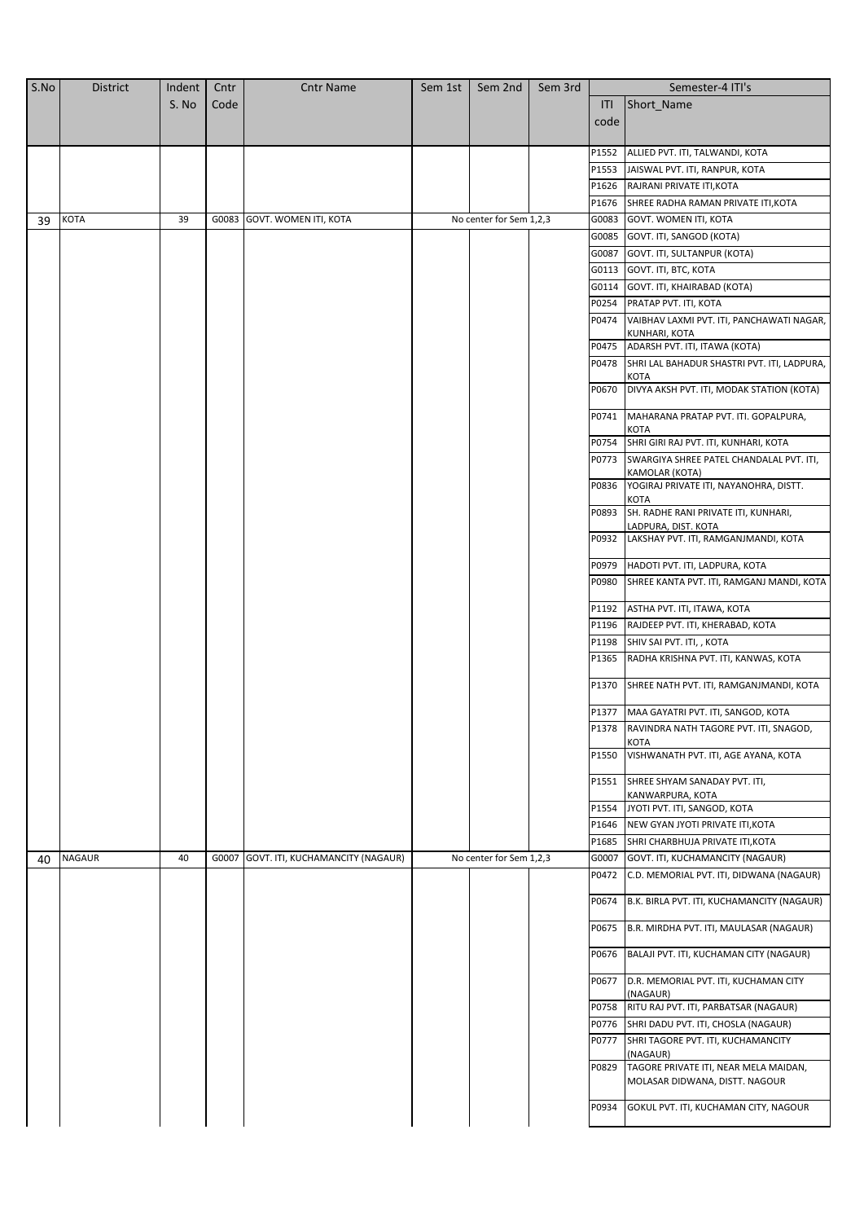| S.No | <b>District</b> | Indent | Cntr | <b>Cntr Name</b>                       | Sem 1st | Sem 2nd                 | Sem 3rd |       | Semester-4 ITI's                                         |
|------|-----------------|--------|------|----------------------------------------|---------|-------------------------|---------|-------|----------------------------------------------------------|
|      |                 | S. No  | Code |                                        |         |                         |         | ITI   | Short_Name                                               |
|      |                 |        |      |                                        |         |                         |         | code  |                                                          |
|      |                 |        |      |                                        |         |                         |         |       |                                                          |
|      |                 |        |      |                                        |         |                         |         | P1552 | ALLIED PVT. ITI, TALWANDI, KOTA                          |
|      |                 |        |      |                                        |         |                         |         | P1553 | JAISWAL PVT. ITI, RANPUR, KOTA                           |
|      |                 |        |      |                                        |         |                         |         | P1626 | RAJRANI PRIVATE ITI, KOTA                                |
|      |                 |        |      |                                        |         |                         |         | P1676 | SHREE RADHA RAMAN PRIVATE ITI, KOTA                      |
| 39   | KOTA            | 39     |      | G0083 GOVT. WOMEN ITI, KOTA            |         | No center for Sem 1,2,3 |         | G0083 | GOVT. WOMEN ITI, KOTA                                    |
|      |                 |        |      |                                        |         |                         |         | G0085 | GOVT. ITI, SANGOD (KOTA)                                 |
|      |                 |        |      |                                        |         |                         |         | G0087 | GOVT. ITI, SULTANPUR (KOTA)                              |
|      |                 |        |      |                                        |         |                         |         |       | G0113 GOVT. ITI, BTC, KOTA                               |
|      |                 |        |      |                                        |         |                         |         | G0114 | GOVT. ITI, KHAIRABAD (KOTA)                              |
|      |                 |        |      |                                        |         |                         |         | P0254 | PRATAP PVT. ITI, KOTA                                    |
|      |                 |        |      |                                        |         |                         |         | P0474 | VAIBHAV LAXMI PVT. ITI, PANCHAWATI NAGAR,                |
|      |                 |        |      |                                        |         |                         |         | P0475 | KUNHARI, KOTA<br>ADARSH PVT. ITI, ITAWA (KOTA)           |
|      |                 |        |      |                                        |         |                         |         | P0478 | SHRI LAL BAHADUR SHASTRI PVT. ITI, LADPURA,              |
|      |                 |        |      |                                        |         |                         |         |       | KOTA                                                     |
|      |                 |        |      |                                        |         |                         |         | P0670 | DIVYA AKSH PVT. ITI, MODAK STATION (KOTA)                |
|      |                 |        |      |                                        |         |                         |         | P0741 | MAHARANA PRATAP PVT. ITI. GOPALPURA,<br>KOTA             |
|      |                 |        |      |                                        |         |                         |         | P0754 | SHRI GIRI RAJ PVT. ITI, KUNHARI, KOTA                    |
|      |                 |        |      |                                        |         |                         |         | P0773 | SWARGIYA SHREE PATEL CHANDALAL PVT. ITI,                 |
|      |                 |        |      |                                        |         |                         |         | P0836 | KAMOLAR (KOTA)<br>YOGIRAJ PRIVATE ITI, NAYANOHRA, DISTT. |
|      |                 |        |      |                                        |         |                         |         | P0893 | <b>KOTA</b><br>SH. RADHE RANI PRIVATE ITI, KUNHARI,      |
|      |                 |        |      |                                        |         |                         |         |       | LADPURA, DIST. KOTA                                      |
|      |                 |        |      |                                        |         |                         |         | P0932 | LAKSHAY PVT. ITI, RAMGANJMANDI, KOTA                     |
|      |                 |        |      |                                        |         |                         |         | P0979 | HADOTI PVT. ITI, LADPURA, KOTA                           |
|      |                 |        |      |                                        |         |                         |         | P0980 | SHREE KANTA PVT. ITI, RAMGANJ MANDI, KOTA                |
|      |                 |        |      |                                        |         |                         |         | P1192 | ASTHA PVT. ITI, ITAWA, KOTA                              |
|      |                 |        |      |                                        |         |                         |         | P1196 | RAJDEEP PVT. ITI, KHERABAD, KOTA                         |
|      |                 |        |      |                                        |         |                         |         | P1198 | SHIV SAI PVT. ITI, , KOTA                                |
|      |                 |        |      |                                        |         |                         |         | P1365 | RADHA KRISHNA PVT. ITI, KANWAS, KOTA                     |
|      |                 |        |      |                                        |         |                         |         | P1370 | SHREE NATH PVT. ITI, RAMGANJMANDI, KOTA                  |
|      |                 |        |      |                                        |         |                         |         |       | P1377   MAA GAYATRI PVT. ITI, SANGOD, KOTA               |
|      |                 |        |      |                                        |         |                         |         |       | P1378 RAVINDRA NATH TAGORE PVT. ITI, SNAGOD,             |
|      |                 |        |      |                                        |         |                         |         | P1550 | <b>KOTA</b><br>VISHWANATH PVT. ITI, AGE AYANA, KOTA      |
|      |                 |        |      |                                        |         |                         |         |       |                                                          |
|      |                 |        |      |                                        |         |                         |         | P1551 | SHREE SHYAM SANADAY PVT. ITI,                            |
|      |                 |        |      |                                        |         |                         |         | P1554 | KANWARPURA, KOTA<br>JYOTI PVT. ITI, SANGOD, KOTA         |
|      |                 |        |      |                                        |         |                         |         | P1646 | NEW GYAN JYOTI PRIVATE ITI, KOTA                         |
|      |                 |        |      |                                        |         |                         |         | P1685 | SHRI CHARBHUJA PRIVATE ITI, KOTA                         |
| 40   | <b>NAGAUR</b>   | 40     |      | G0007 GOVT. ITI, KUCHAMANCITY (NAGAUR) |         | No center for Sem 1,2,3 |         | G0007 | GOVT. ITI, KUCHAMANCITY (NAGAUR)                         |
|      |                 |        |      |                                        |         |                         |         | P0472 | C.D. MEMORIAL PVT. ITI, DIDWANA (NAGAUR)                 |
|      |                 |        |      |                                        |         |                         |         | P0674 | B.K. BIRLA PVT. ITI, KUCHAMANCITY (NAGAUR)               |
|      |                 |        |      |                                        |         |                         |         | P0675 | B.R. MIRDHA PVT. ITI, MAULASAR (NAGAUR)                  |
|      |                 |        |      |                                        |         |                         |         | P0676 | BALAJI PVT. ITI, KUCHAMAN CITY (NAGAUR)                  |
|      |                 |        |      |                                        |         |                         |         | P0677 | D.R. MEMORIAL PVT. ITI, KUCHAMAN CITY<br>(NAGAUR)        |
|      |                 |        |      |                                        |         |                         |         | P0758 | RITU RAJ PVT. ITI, PARBATSAR (NAGAUR)                    |
|      |                 |        |      |                                        |         |                         |         | P0776 | SHRI DADU PVT. ITI, CHOSLA (NAGAUR)                      |
|      |                 |        |      |                                        |         |                         |         | P0777 | SHRI TAGORE PVT. ITI, KUCHAMANCITY                       |
|      |                 |        |      |                                        |         |                         |         | P0829 | (NAGAUR)<br>TAGORE PRIVATE ITI, NEAR MELA MAIDAN,        |
|      |                 |        |      |                                        |         |                         |         |       | MOLASAR DIDWANA, DISTT. NAGOUR                           |
|      |                 |        |      |                                        |         |                         |         | P0934 | GOKUL PVT. ITI, KUCHAMAN CITY, NAGOUR                    |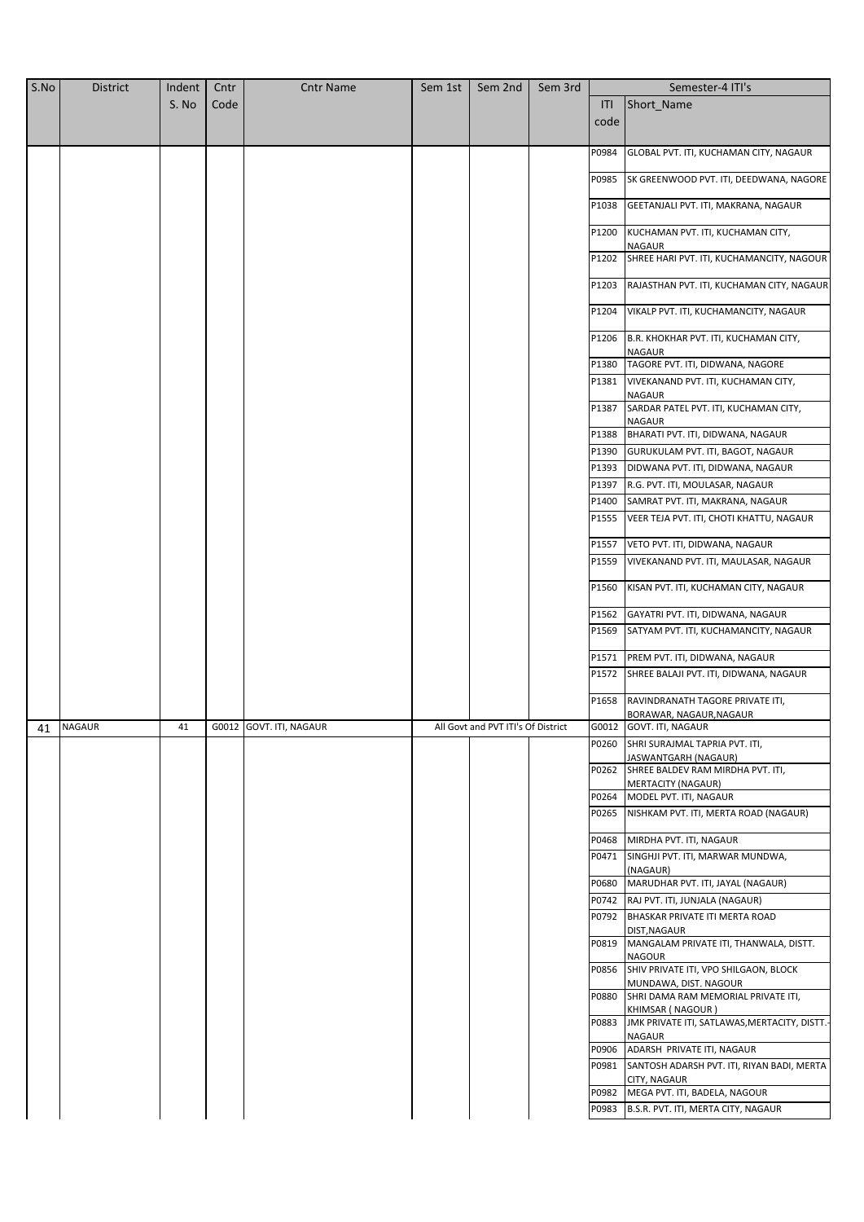| S.No | <b>District</b> | Indent | Cntr | <b>Cntr Name</b>        | Sem 1st | Sem 2nd                            | Sem 3rd |       | Semester-4 ITI's                                                     |
|------|-----------------|--------|------|-------------------------|---------|------------------------------------|---------|-------|----------------------------------------------------------------------|
|      |                 | S. No  | Code |                         |         |                                    |         | ITI   | Short_Name                                                           |
|      |                 |        |      |                         |         |                                    |         | code  |                                                                      |
|      |                 |        |      |                         |         |                                    |         |       |                                                                      |
|      |                 |        |      |                         |         |                                    |         | P0984 | GLOBAL PVT. ITI, KUCHAMAN CITY, NAGAUR                               |
|      |                 |        |      |                         |         |                                    |         |       |                                                                      |
|      |                 |        |      |                         |         |                                    |         | P0985 | SK GREENWOOD PVT. ITI, DEEDWANA, NAGORE                              |
|      |                 |        |      |                         |         |                                    |         | P1038 | GEETANJALI PVT. ITI, MAKRANA, NAGAUR                                 |
|      |                 |        |      |                         |         |                                    |         |       |                                                                      |
|      |                 |        |      |                         |         |                                    |         | P1200 | KUCHAMAN PVT. ITI, KUCHAMAN CITY,                                    |
|      |                 |        |      |                         |         |                                    |         | P1202 | <b>NAGAUR</b><br>SHREE HARI PVT. ITI, KUCHAMANCITY, NAGOUR           |
|      |                 |        |      |                         |         |                                    |         |       |                                                                      |
|      |                 |        |      |                         |         |                                    |         | P1203 | RAJASTHAN PVT. ITI, KUCHAMAN CITY, NAGAUR                            |
|      |                 |        |      |                         |         |                                    |         | P1204 | VIKALP PVT. ITI, KUCHAMANCITY, NAGAUR                                |
|      |                 |        |      |                         |         |                                    |         |       |                                                                      |
|      |                 |        |      |                         |         |                                    |         | P1206 | B.R. KHOKHAR PVT. ITI, KUCHAMAN CITY,                                |
|      |                 |        |      |                         |         |                                    |         | P1380 | NAGAUR<br>TAGORE PVT. ITI, DIDWANA, NAGORE                           |
|      |                 |        |      |                         |         |                                    |         | P1381 | VIVEKANAND PVT. ITI, KUCHAMAN CITY,                                  |
|      |                 |        |      |                         |         |                                    |         |       | <b>NAGAUR</b>                                                        |
|      |                 |        |      |                         |         |                                    |         | P1387 | SARDAR PATEL PVT. ITI, KUCHAMAN CITY,                                |
|      |                 |        |      |                         |         |                                    |         |       | NAGAUR                                                               |
|      |                 |        |      |                         |         |                                    |         | P1388 | BHARATI PVT. ITI, DIDWANA, NAGAUR                                    |
|      |                 |        |      |                         |         |                                    |         | P1390 | GURUKULAM PVT. ITI, BAGOT, NAGAUR                                    |
|      |                 |        |      |                         |         |                                    |         | P1393 | DIDWANA PVT. ITI, DIDWANA, NAGAUR                                    |
|      |                 |        |      |                         |         |                                    |         | P1397 | R.G. PVT. ITI, MOULASAR, NAGAUR                                      |
|      |                 |        |      |                         |         |                                    |         | P1400 | SAMRAT PVT. ITI, MAKRANA, NAGAUR                                     |
|      |                 |        |      |                         |         |                                    |         | P1555 | VEER TEJA PVT. ITI, CHOTI KHATTU, NAGAUR                             |
|      |                 |        |      |                         |         |                                    |         | P1557 | VETO PVT. ITI, DIDWANA, NAGAUR                                       |
|      |                 |        |      |                         |         |                                    |         | P1559 | VIVEKANAND PVT. ITI, MAULASAR, NAGAUR                                |
|      |                 |        |      |                         |         |                                    |         |       |                                                                      |
|      |                 |        |      |                         |         |                                    |         | P1560 | KISAN PVT. ITI, KUCHAMAN CITY, NAGAUR                                |
|      |                 |        |      |                         |         |                                    |         | P1562 | GAYATRI PVT. ITI, DIDWANA, NAGAUR                                    |
|      |                 |        |      |                         |         |                                    |         | P1569 | SATYAM PVT. ITI, KUCHAMANCITY, NAGAUR                                |
|      |                 |        |      |                         |         |                                    |         | P1571 | PREM PVT. ITI, DIDWANA, NAGAUR                                       |
|      |                 |        |      |                         |         |                                    |         | P1572 | SHREE BALAJI PVT. ITI, DIDWANA, NAGAUR                               |
|      |                 |        |      |                         |         |                                    |         |       |                                                                      |
|      |                 |        |      |                         |         |                                    |         | P1658 | RAVINDRANATH TAGORE PRIVATE ITI,                                     |
|      |                 | 41     |      | G0012 GOVT. ITI, NAGAUR |         |                                    |         |       | BORAWAR, NAGAUR, NAGAUR                                              |
|      | 41 NAGAUR       |        |      |                         |         | All Govt and PVT ITI's Of District |         | P0260 | G0012 GOVT. ITI, NAGAUR<br>SHRI SURAJMAL TAPRIA PVT. ITI,            |
|      |                 |        |      |                         |         |                                    |         |       | JASWANTGARH (NAGAUR)                                                 |
|      |                 |        |      |                         |         |                                    |         |       | P0262 SHREE BALDEV RAM MIRDHA PVT. ITI,                              |
|      |                 |        |      |                         |         |                                    |         |       | <b>MERTACITY (NAGAUR)</b>                                            |
|      |                 |        |      |                         |         |                                    |         | P0264 | MODEL PVT. ITI, NAGAUR<br>NISHKAM PVT. ITI, MERTA ROAD (NAGAUR)      |
|      |                 |        |      |                         |         |                                    |         | P0265 |                                                                      |
|      |                 |        |      |                         |         |                                    |         | P0468 | MIRDHA PVT. ITI, NAGAUR                                              |
|      |                 |        |      |                         |         |                                    |         | P0471 | SINGHJI PVT. ITI, MARWAR MUNDWA,                                     |
|      |                 |        |      |                         |         |                                    |         |       | (NAGAUR)                                                             |
|      |                 |        |      |                         |         |                                    |         | P0680 | MARUDHAR PVT. ITI, JAYAL (NAGAUR)                                    |
|      |                 |        |      |                         |         |                                    |         | P0742 | RAJ PVT. ITI, JUNJALA (NAGAUR)                                       |
|      |                 |        |      |                         |         |                                    |         | P0792 | BHASKAR PRIVATE ITI MERTA ROAD<br>DIST, NAGAUR                       |
|      |                 |        |      |                         |         |                                    |         | P0819 | MANGALAM PRIVATE ITI, THANWALA, DISTT.                               |
|      |                 |        |      |                         |         |                                    |         |       | <b>NAGOUR</b>                                                        |
|      |                 |        |      |                         |         |                                    |         |       | P0856 SHIV PRIVATE ITI, VPO SHILGAON, BLOCK<br>MUNDAWA, DIST. NAGOUR |
|      |                 |        |      |                         |         |                                    |         | P0880 | SHRI DAMA RAM MEMORIAL PRIVATE ITI,                                  |
|      |                 |        |      |                         |         |                                    |         |       | KHIMSAR (NAGOUR)                                                     |
|      |                 |        |      |                         |         |                                    |         | P0883 | JMK PRIVATE ITI, SATLAWAS, MERTACITY, DISTT.-                        |
|      |                 |        |      |                         |         |                                    |         |       | NAGAUR<br>P0906 ADARSH PRIVATE ITI, NAGAUR                           |
|      |                 |        |      |                         |         |                                    |         | P0981 | SANTOSH ADARSH PVT. ITI, RIYAN BADI, MERTA                           |
|      |                 |        |      |                         |         |                                    |         |       | CITY, NAGAUR                                                         |
|      |                 |        |      |                         |         |                                    |         | P0982 | MEGA PVT. ITI, BADELA, NAGOUR                                        |
|      |                 |        |      |                         |         |                                    |         | P0983 | B.S.R. PVT. ITI, MERTA CITY, NAGAUR                                  |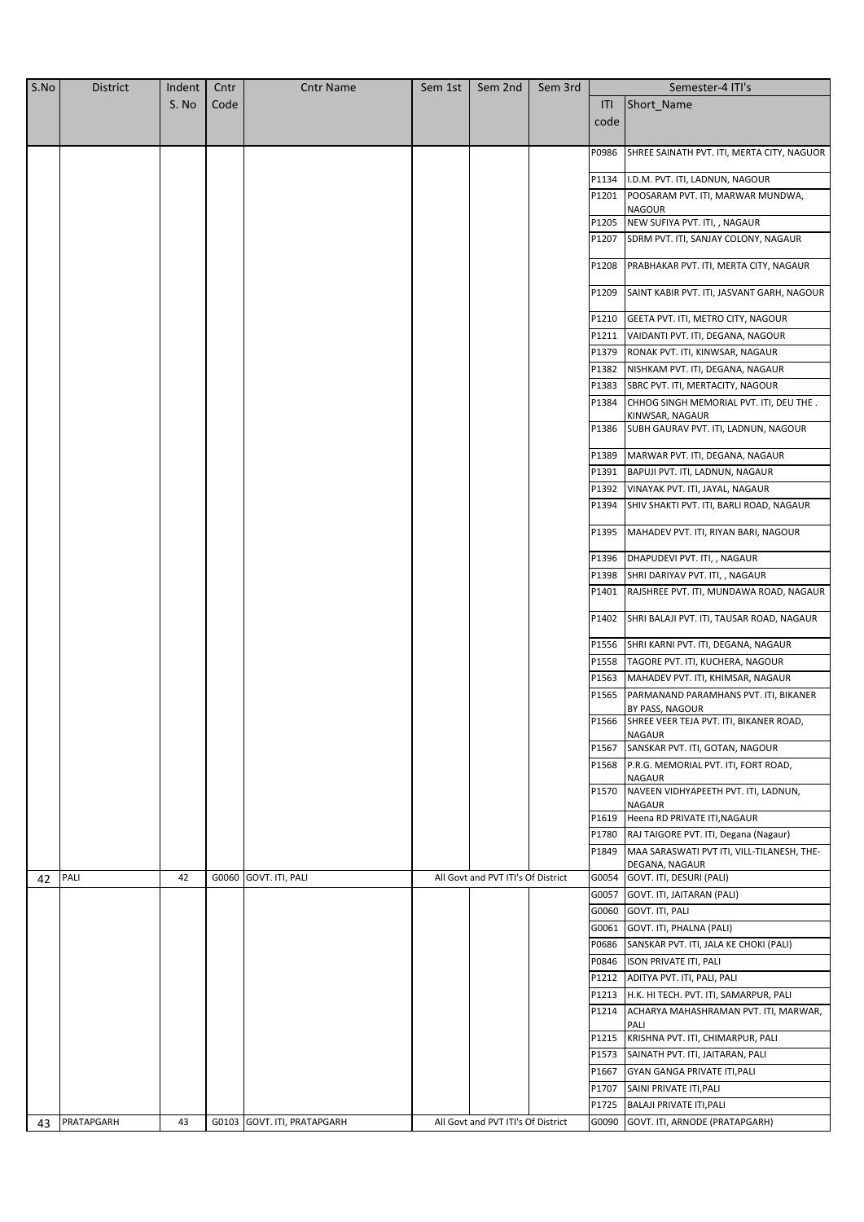| S.No | <b>District</b> | Indent | Cntr | <b>Cntr Name</b>            | Sem 1st | Sem 2nd                            | Sem 3rd |       | Semester-4 ITI's                                               |
|------|-----------------|--------|------|-----------------------------|---------|------------------------------------|---------|-------|----------------------------------------------------------------|
|      |                 | S. No  | Code |                             |         |                                    |         | ITI   | Short_Name                                                     |
|      |                 |        |      |                             |         |                                    |         | code  |                                                                |
|      |                 |        |      |                             |         |                                    |         |       |                                                                |
|      |                 |        |      |                             |         |                                    |         | P0986 | SHREE SAINATH PVT. ITI, MERTA CITY, NAGUOR                     |
|      |                 |        |      |                             |         |                                    |         | P1134 | I.D.M. PVT. ITI, LADNUN, NAGOUR                                |
|      |                 |        |      |                             |         |                                    |         | P1201 | POOSARAM PVT. ITI, MARWAR MUNDWA,                              |
|      |                 |        |      |                             |         |                                    |         |       | NAGOUR                                                         |
|      |                 |        |      |                             |         |                                    |         | P1205 | NEW SUFIYA PVT. ITI, , NAGAUR                                  |
|      |                 |        |      |                             |         |                                    |         | P1207 | SDRM PVT. ITI, SANJAY COLONY, NAGAUR                           |
|      |                 |        |      |                             |         |                                    |         |       |                                                                |
|      |                 |        |      |                             |         |                                    |         | P1208 | PRABHAKAR PVT. ITI, MERTA CITY, NAGAUR                         |
|      |                 |        |      |                             |         |                                    |         | P1209 | SAINT KABIR PVT. ITI, JASVANT GARH, NAGOUR                     |
|      |                 |        |      |                             |         |                                    |         | P1210 | GEETA PVT. ITI, METRO CITY, NAGOUR                             |
|      |                 |        |      |                             |         |                                    |         | P1211 | VAIDANTI PVT. ITI, DEGANA, NAGOUR                              |
|      |                 |        |      |                             |         |                                    |         | P1379 | RONAK PVT. ITI, KINWSAR, NAGAUR                                |
|      |                 |        |      |                             |         |                                    |         | P1382 | NISHKAM PVT. ITI, DEGANA, NAGAUR                               |
|      |                 |        |      |                             |         |                                    |         | P1383 | SBRC PVT. ITI, MERTACITY, NAGOUR                               |
|      |                 |        |      |                             |         |                                    |         | P1384 | CHHOG SINGH MEMORIAL PVT. ITI, DEU THE.                        |
|      |                 |        |      |                             |         |                                    |         |       | KINWSAR, NAGAUR                                                |
|      |                 |        |      |                             |         |                                    |         | P1386 | SUBH GAURAV PVT. ITI, LADNUN, NAGOUR                           |
|      |                 |        |      |                             |         |                                    |         | P1389 | MARWAR PVT. ITI, DEGANA, NAGAUR                                |
|      |                 |        |      |                             |         |                                    |         | P1391 | BAPUJI PVT. ITI, LADNUN, NAGAUR                                |
|      |                 |        |      |                             |         |                                    |         | P1392 | VINAYAK PVT. ITI, JAYAL, NAGAUR                                |
|      |                 |        |      |                             |         |                                    |         | P1394 | SHIV SHAKTI PVT. ITI, BARLI ROAD, NAGAUR                       |
|      |                 |        |      |                             |         |                                    |         | P1395 | MAHADEV PVT. ITI, RIYAN BARI, NAGOUR                           |
|      |                 |        |      |                             |         |                                    |         | P1396 | DHAPUDEVI PVT. ITI, , NAGAUR                                   |
|      |                 |        |      |                             |         |                                    |         | P1398 | SHRI DARIYAV PVT. ITI, , NAGAUR                                |
|      |                 |        |      |                             |         |                                    |         | P1401 | RAJSHREE PVT. ITI, MUNDAWA ROAD, NAGAUR                        |
|      |                 |        |      |                             |         |                                    |         | P1402 | SHRI BALAJI PVT. ITI, TAUSAR ROAD, NAGAUR                      |
|      |                 |        |      |                             |         |                                    |         | P1556 | SHRI KARNI PVT. ITI, DEGANA, NAGAUR                            |
|      |                 |        |      |                             |         |                                    |         | P1558 | TAGORE PVT. ITI, KUCHERA, NAGOUR                               |
|      |                 |        |      |                             |         |                                    |         | P1563 | MAHADEV PVT. ITI, KHIMSAR, NAGAUR                              |
|      |                 |        |      |                             |         |                                    |         | P1565 | PARMANAND PARAMHANS PVT. ITI, BIKANER                          |
|      |                 |        |      |                             |         |                                    |         |       | BY PASS, NAGOUR                                                |
|      |                 |        |      |                             |         |                                    |         |       | P1566 SHREE VEER TEJA PVT. ITI, BIKANER ROAD,<br><b>NAGAUR</b> |
|      |                 |        |      |                             |         |                                    |         | P1567 | SANSKAR PVT. ITI, GOTAN, NAGOUR                                |
|      |                 |        |      |                             |         |                                    |         | P1568 | P.R.G. MEMORIAL PVT. ITI, FORT ROAD,                           |
|      |                 |        |      |                             |         |                                    |         |       | <b>NAGAUR</b>                                                  |
|      |                 |        |      |                             |         |                                    |         | P1570 | NAVEEN VIDHYAPEETH PVT. ITI, LADNUN,<br><b>NAGAUR</b>          |
|      |                 |        |      |                             |         |                                    |         |       | P1619 Heena RD PRIVATE ITI, NAGAUR                             |
|      |                 |        |      |                             |         |                                    |         |       | P1780 RAJ TAIGORE PVT. ITI, Degana (Nagaur)                    |
|      |                 |        |      |                             |         |                                    |         | P1849 | MAA SARASWATI PVT ITI, VILL-TILANESH, THE-                     |
| 42   | PALI            | 42     |      | G0060 GOVT. ITI, PALI       |         | All Govt and PVT ITI's Of District |         |       | DEGANA, NAGAUR<br>G0054 GOVT. ITI, DESURI (PALI)               |
|      |                 |        |      |                             |         |                                    |         | G0057 | GOVT. ITI, JAITARAN (PALI)                                     |
|      |                 |        |      |                             |         |                                    |         | G0060 | GOVT. ITI, PALI                                                |
|      |                 |        |      |                             |         |                                    |         | G0061 | GOVT. ITI, PHALNA (PALI)                                       |
|      |                 |        |      |                             |         |                                    |         | P0686 | SANSKAR PVT. ITI, JALA KE CHOKI (PALI)                         |
|      |                 |        |      |                             |         |                                    |         | P0846 | <b>ISON PRIVATE ITI, PALI</b>                                  |
|      |                 |        |      |                             |         |                                    |         | P1212 | ADITYA PVT. ITI, PALI, PALI                                    |
|      |                 |        |      |                             |         |                                    |         | P1213 | H.K. HI TECH. PVT. ITI, SAMARPUR, PALI                         |
|      |                 |        |      |                             |         |                                    |         | P1214 | ACHARYA MAHASHRAMAN PVT. ITI, MARWAR,                          |
|      |                 |        |      |                             |         |                                    |         | P1215 | PALI<br>KRISHNA PVT. ITI, CHIMARPUR, PALI                      |
|      |                 |        |      |                             |         |                                    |         | P1573 | SAINATH PVT. ITI, JAITARAN, PALI                               |
|      |                 |        |      |                             |         |                                    |         | P1667 | <b>GYAN GANGA PRIVATE ITI, PALI</b>                            |
|      |                 |        |      |                             |         |                                    |         | P1707 | SAINI PRIVATE ITI, PALI                                        |
|      |                 |        |      |                             |         |                                    |         |       | P1725 BALAJI PRIVATE ITI, PALI                                 |
| 43   | PRATAPGARH      | 43     |      | G0103 GOVT. ITI, PRATAPGARH |         | All Govt and PVT ITI's Of District |         |       | G0090 GOVT. ITI, ARNODE (PRATAPGARH)                           |
|      |                 |        |      |                             |         |                                    |         |       |                                                                |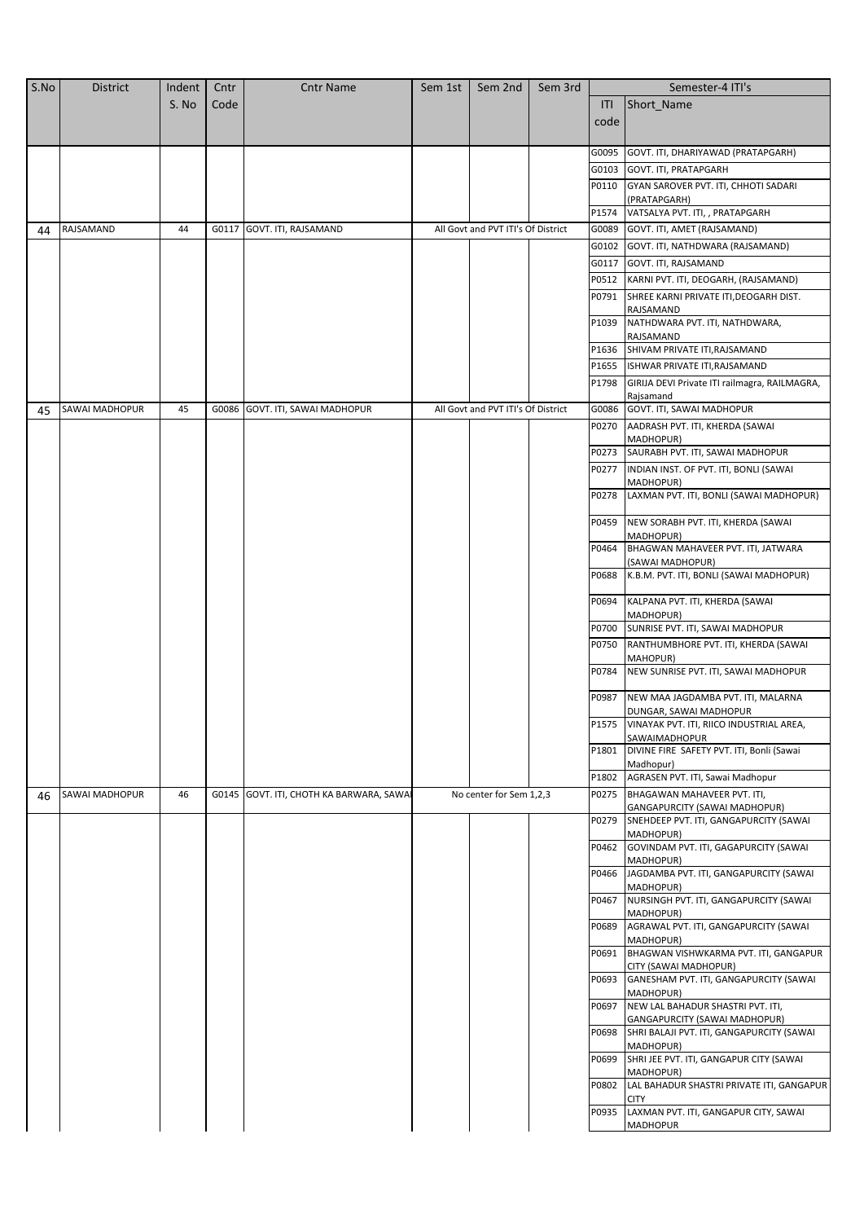| S.No | District              | Indent | Cntr  | <b>Cntr Name</b>                         | Sem 1st | Sem 2nd                            | Sem 3rd |       | Semester-4 ITI's                                                        |
|------|-----------------------|--------|-------|------------------------------------------|---------|------------------------------------|---------|-------|-------------------------------------------------------------------------|
|      |                       | S. No  | Code  |                                          |         |                                    |         | ITI   | Short_Name                                                              |
|      |                       |        |       |                                          |         |                                    |         | code  |                                                                         |
|      |                       |        |       |                                          |         |                                    |         |       |                                                                         |
|      |                       |        |       |                                          |         |                                    |         | G0095 | GOVT. ITI, DHARIYAWAD (PRATAPGARH)                                      |
|      |                       |        |       |                                          |         |                                    |         | G0103 | GOVT. ITI, PRATAPGARH                                                   |
|      |                       |        |       |                                          |         |                                    |         | P0110 | GYAN SAROVER PVT. ITI, CHHOTI SADARI                                    |
|      |                       |        |       |                                          |         |                                    |         |       | (PRATAPGARH)                                                            |
|      |                       |        |       |                                          |         |                                    |         | P1574 | VATSALYA PVT. ITI, , PRATAPGARH                                         |
| 44   | RAJSAMAND             | 44     | G0117 | GOVT. ITI, RAJSAMAND                     |         | All Govt and PVT ITI's Of District |         | G0089 | GOVT. ITI, AMET (RAJSAMAND)                                             |
|      |                       |        |       |                                          |         |                                    |         | G0102 | GOVT. ITI, NATHDWARA (RAJSAMAND)                                        |
|      |                       |        |       |                                          |         |                                    |         | G0117 | GOVT. ITI, RAJSAMAND                                                    |
|      |                       |        |       |                                          |         |                                    |         | P0512 | KARNI PVT. ITI, DEOGARH, (RAJSAMAND)                                    |
|      |                       |        |       |                                          |         |                                    |         | P0791 | SHREE KARNI PRIVATE ITI, DEOGARH DIST.<br>RAJSAMAND                     |
|      |                       |        |       |                                          |         |                                    |         |       | P1039 NATHDWARA PVT. ITI, NATHDWARA,                                    |
|      |                       |        |       |                                          |         |                                    |         |       | RAJSAMAND                                                               |
|      |                       |        |       |                                          |         |                                    |         | P1636 | SHIVAM PRIVATE ITI, RAJSAMAND                                           |
|      |                       |        |       |                                          |         |                                    |         | P1655 | ISHWAR PRIVATE ITI, RAJSAMAND                                           |
|      |                       |        |       |                                          |         |                                    |         | P1798 | GIRIJA DEVI Private ITI railmagra, RAILMAGRA,                           |
| 45   | SAWAI MADHOPUR        | 45     |       | G0086 GOVT. ITI, SAWAI MADHOPUR          |         | All Govt and PVT ITI's Of District |         | G0086 | Rajsamand<br>GOVT. ITI, SAWAI MADHOPUR                                  |
|      |                       |        |       |                                          |         |                                    |         | P0270 | AADRASH PVT. ITI, KHERDA (SAWAI                                         |
|      |                       |        |       |                                          |         |                                    |         |       | MADHOPUR)                                                               |
|      |                       |        |       |                                          |         |                                    |         | P0273 | SAURABH PVT. ITI, SAWAI MADHOPUR                                        |
|      |                       |        |       |                                          |         |                                    |         | P0277 | INDIAN INST. OF PVT. ITI, BONLI (SAWAI                                  |
|      |                       |        |       |                                          |         |                                    |         | P0278 | MADHOPUR)<br>LAXMAN PVT. ITI, BONLI (SAWAI MADHOPUR)                    |
|      |                       |        |       |                                          |         |                                    |         |       |                                                                         |
|      |                       |        |       |                                          |         |                                    |         | P0459 | NEW SORABH PVT. ITI, KHERDA (SAWAI<br>MADHOPUR)                         |
|      |                       |        |       |                                          |         |                                    |         | P0464 | BHAGWAN MAHAVEER PVT. ITI, JATWARA<br>(SAWAI MADHOPUR)                  |
|      |                       |        |       |                                          |         |                                    |         | P0688 | K.B.M. PVT. ITI, BONLI (SAWAI MADHOPUR)                                 |
|      |                       |        |       |                                          |         |                                    |         | P0694 | KALPANA PVT. ITI, KHERDA (SAWAI<br>MADHOPUR)                            |
|      |                       |        |       |                                          |         |                                    |         | P0700 | SUNRISE PVT. ITI, SAWAI MADHOPUR                                        |
|      |                       |        |       |                                          |         |                                    |         | P0750 | RANTHUMBHORE PVT. ITI, KHERDA (SAWAI                                    |
|      |                       |        |       |                                          |         |                                    |         | P0784 | MAHOPUR)<br>NEW SUNRISE PVT. ITI, SAWAI MADHOPUR                        |
|      |                       |        |       |                                          |         |                                    |         |       |                                                                         |
|      |                       |        |       |                                          |         |                                    |         | P0987 | NEW MAA JAGDAMBA PVT. ITI, MALARNA<br>DUNGAR, SAWAI MADHOPUR            |
|      |                       |        |       |                                          |         |                                    |         |       | P1575 VINAYAK PVT. ITI, RIICO INDUSTRIAL AREA,                          |
|      |                       |        |       |                                          |         |                                    |         |       | SAWAIMADHOPUR                                                           |
|      |                       |        |       |                                          |         |                                    |         | P1801 | DIVINE FIRE SAFETY PVT. ITI, Bonli (Sawai<br>Madhopur)                  |
|      |                       |        |       |                                          |         |                                    |         | P1802 | AGRASEN PVT. ITI, Sawai Madhopur                                        |
| 46   | <b>SAWAI MADHOPUR</b> | 46     |       | G0145 GOVT. ITI, CHOTH KA BARWARA, SAWAI |         | No center for Sem 1,2,3            |         | P0275 | BHAGAWAN MAHAVEER PVT. ITI,                                             |
|      |                       |        |       |                                          |         |                                    |         | P0279 | GANGAPURCITY (SAWAI MADHOPUR)<br>SNEHDEEP PVT. ITI, GANGAPURCITY (SAWAI |
|      |                       |        |       |                                          |         |                                    |         |       | MADHOPUR)                                                               |
|      |                       |        |       |                                          |         |                                    |         | P0462 | GOVINDAM PVT. ITI, GAGAPURCITY (SAWAI<br>MADHOPUR)                      |
|      |                       |        |       |                                          |         |                                    |         | P0466 | JAGDAMBA PVT. ITI, GANGAPURCITY (SAWAI                                  |
|      |                       |        |       |                                          |         |                                    |         |       | MADHOPUR)                                                               |
|      |                       |        |       |                                          |         |                                    |         | P0467 | NURSINGH PVT. ITI, GANGAPURCITY (SAWAI<br>MADHOPUR)                     |
|      |                       |        |       |                                          |         |                                    |         | P0689 | AGRAWAL PVT. ITI, GANGAPURCITY (SAWAI<br>MADHOPUR)                      |
|      |                       |        |       |                                          |         |                                    |         | P0691 | BHAGWAN VISHWKARMA PVT. ITI, GANGAPUR<br>CITY (SAWAI MADHOPUR)          |
|      |                       |        |       |                                          |         |                                    |         | P0693 | GANESHAM PVT. ITI, GANGAPURCITY (SAWAI<br>MADHOPUR)                     |
|      |                       |        |       |                                          |         |                                    |         | P0697 | NEW LAL BAHADUR SHASTRI PVT. ITI,<br>GANGAPURCITY (SAWAI MADHOPUR)      |
|      |                       |        |       |                                          |         |                                    |         | P0698 | SHRI BALAJI PVT. ITI, GANGAPURCITY (SAWAI<br>MADHOPUR)                  |
|      |                       |        |       |                                          |         |                                    |         | P0699 | SHRI JEE PVT. ITI, GANGAPUR CITY (SAWAI<br>MADHOPUR)                    |
|      |                       |        |       |                                          |         |                                    |         | P0802 | LAL BAHADUR SHASTRI PRIVATE ITI, GANGAPUR<br><b>CITY</b>                |
|      |                       |        |       |                                          |         |                                    |         | P0935 | LAXMAN PVT. ITI, GANGAPUR CITY, SAWAI                                   |
|      |                       |        |       |                                          |         |                                    |         |       | <b>MADHOPUR</b>                                                         |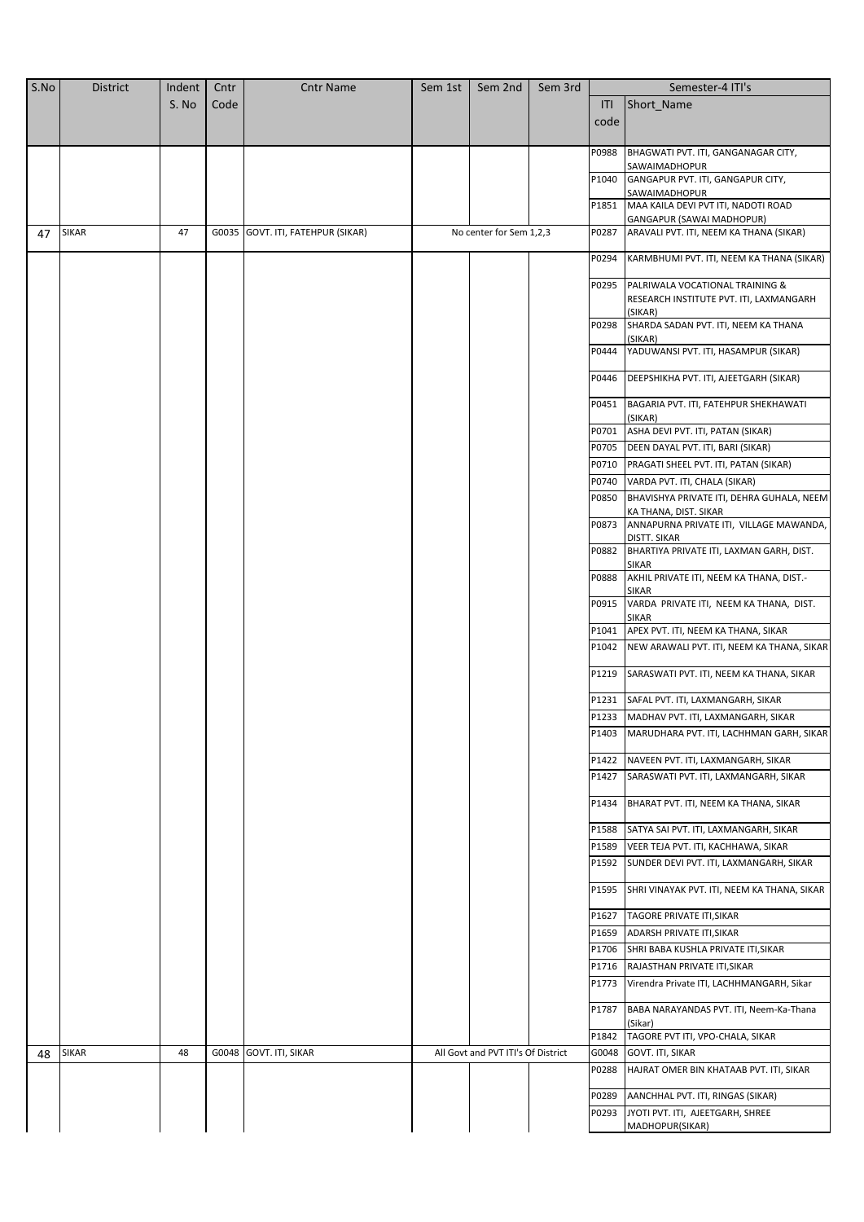| S.No | <b>District</b> | Indent | Cntr | <b>Cntr Name</b>                  | Sem 1st | Sem 2nd                            | Sem 3rd |       | Semester-4 ITI's                                         |
|------|-----------------|--------|------|-----------------------------------|---------|------------------------------------|---------|-------|----------------------------------------------------------|
|      |                 | S. No  | Code |                                   |         |                                    |         | ITI   | Short_Name                                               |
|      |                 |        |      |                                   |         |                                    |         | code  |                                                          |
|      |                 |        |      |                                   |         |                                    |         |       |                                                          |
|      |                 |        |      |                                   |         |                                    |         | P0988 | BHAGWATI PVT. ITI, GANGANAGAR CITY,                      |
|      |                 |        |      |                                   |         |                                    |         |       | SAWAIMADHOPUR                                            |
|      |                 |        |      |                                   |         |                                    |         | P1040 | GANGAPUR PVT. ITI, GANGAPUR CITY,<br>SAWAIMADHOPUR       |
|      |                 |        |      |                                   |         |                                    |         | P1851 | MAA KAILA DEVI PVT ITI, NADOTI ROAD                      |
|      |                 |        |      |                                   |         |                                    |         |       | GANGAPUR (SAWAI MADHOPUR)                                |
| 47   | <b>SIKAR</b>    | 47     |      | G0035 GOVT. ITI, FATEHPUR (SIKAR) |         | No center for Sem 1,2,3            |         | P0287 | ARAVALI PVT. ITI, NEEM KA THANA (SIKAR)                  |
|      |                 |        |      |                                   |         |                                    |         | P0294 | KARMBHUMI PVT. ITI, NEEM KA THANA (SIKAR)                |
|      |                 |        |      |                                   |         |                                    |         |       |                                                          |
|      |                 |        |      |                                   |         |                                    |         | P0295 | PALRIWALA VOCATIONAL TRAINING &                          |
|      |                 |        |      |                                   |         |                                    |         |       | RESEARCH INSTITUTE PVT. ITI, LAXMANGARH<br>(SIKAR)       |
|      |                 |        |      |                                   |         |                                    |         | P0298 | SHARDA SADAN PVT. ITI, NEEM KA THANA                     |
|      |                 |        |      |                                   |         |                                    |         |       | (SIKAR)                                                  |
|      |                 |        |      |                                   |         |                                    |         | P0444 | YADUWANSI PVT. ITI, HASAMPUR (SIKAR)                     |
|      |                 |        |      |                                   |         |                                    |         | P0446 | DEEPSHIKHA PVT. ITI, AJEETGARH (SIKAR)                   |
|      |                 |        |      |                                   |         |                                    |         |       |                                                          |
|      |                 |        |      |                                   |         |                                    |         | P0451 | BAGARIA PVT. ITI, FATEHPUR SHEKHAWATI                    |
|      |                 |        |      |                                   |         |                                    |         | P0701 | (SIKAR)<br>ASHA DEVI PVT. ITI, PATAN (SIKAR)             |
|      |                 |        |      |                                   |         |                                    |         | P0705 | DEEN DAYAL PVT. ITI, BARI (SIKAR)                        |
|      |                 |        |      |                                   |         |                                    |         | P0710 | PRAGATI SHEEL PVT. ITI, PATAN (SIKAR)                    |
|      |                 |        |      |                                   |         |                                    |         | P0740 | VARDA PVT. ITI, CHALA (SIKAR)                            |
|      |                 |        |      |                                   |         |                                    |         | P0850 | BHAVISHYA PRIVATE ITI, DEHRA GUHALA, NEEM                |
|      |                 |        |      |                                   |         |                                    |         |       | KA THANA, DIST. SIKAR                                    |
|      |                 |        |      |                                   |         |                                    |         | P0873 | ANNAPURNA PRIVATE ITI, VILLAGE MAWANDA,                  |
|      |                 |        |      |                                   |         |                                    |         |       | DISTT. SIKAR                                             |
|      |                 |        |      |                                   |         |                                    |         | P0882 | BHARTIYA PRIVATE ITI, LAXMAN GARH, DIST.<br><b>SIKAR</b> |
|      |                 |        |      |                                   |         |                                    |         | P0888 | AKHIL PRIVATE ITI, NEEM KA THANA, DIST.-                 |
|      |                 |        |      |                                   |         |                                    |         |       | <b>SIKAR</b>                                             |
|      |                 |        |      |                                   |         |                                    |         | P0915 | VARDA PRIVATE ITI, NEEM KA THANA, DIST.<br><b>SIKAR</b>  |
|      |                 |        |      |                                   |         |                                    |         | P1041 | APEX PVT. ITI, NEEM KA THANA, SIKAR                      |
|      |                 |        |      |                                   |         |                                    |         | P1042 | NEW ARAWALI PVT. ITI, NEEM KA THANA, SIKAR               |
|      |                 |        |      |                                   |         |                                    |         |       |                                                          |
|      |                 |        |      |                                   |         |                                    |         | P1219 | SARASWATI PVT. ITI, NEEM KA THANA, SIKAR                 |
|      |                 |        |      |                                   |         |                                    |         | P1231 | SAFAL PVT. ITI, LAXMANGARH, SIKAR                        |
|      |                 |        |      |                                   |         |                                    |         | P1233 | MADHAV PVT. ITI, LAXMANGARH, SIKAR                       |
|      |                 |        |      |                                   |         |                                    |         |       | P1403 MARUDHARA PVT. ITI, LACHHMAN GARH, SIKAR           |
|      |                 |        |      |                                   |         |                                    |         |       |                                                          |
|      |                 |        |      |                                   |         |                                    |         | P1422 | NAVEEN PVT. ITI, LAXMANGARH, SIKAR                       |
|      |                 |        |      |                                   |         |                                    |         | P1427 | SARASWATI PVT. ITI, LAXMANGARH, SIKAR                    |
|      |                 |        |      |                                   |         |                                    |         | P1434 | BHARAT PVT. ITI, NEEM KA THANA, SIKAR                    |
|      |                 |        |      |                                   |         |                                    |         |       |                                                          |
|      |                 |        |      |                                   |         |                                    |         | P1588 | SATYA SAI PVT. ITI, LAXMANGARH, SIKAR                    |
|      |                 |        |      |                                   |         |                                    |         | P1589 | VEER TEJA PVT. ITI, KACHHAWA, SIKAR                      |
|      |                 |        |      |                                   |         |                                    |         | P1592 | SUNDER DEVI PVT. ITI, LAXMANGARH, SIKAR                  |
|      |                 |        |      |                                   |         |                                    |         | P1595 | SHRI VINAYAK PVT. ITI, NEEM KA THANA, SIKAR              |
|      |                 |        |      |                                   |         |                                    |         |       |                                                          |
|      |                 |        |      |                                   |         |                                    |         | P1627 | TAGORE PRIVATE ITI, SIKAR                                |
|      |                 |        |      |                                   |         |                                    |         | P1659 | ADARSH PRIVATE ITI, SIKAR                                |
|      |                 |        |      |                                   |         |                                    |         | P1706 | SHRI BABA KUSHLA PRIVATE ITI, SIKAR                      |
|      |                 |        |      |                                   |         |                                    |         | P1716 | RAJASTHAN PRIVATE ITI, SIKAR                             |
|      |                 |        |      |                                   |         |                                    |         | P1773 | Virendra Private ITI, LACHHMANGARH, Sikar                |
|      |                 |        |      |                                   |         |                                    |         | P1787 | BABA NARAYANDAS PVT. ITI, Neem-Ka-Thana                  |
|      |                 |        |      |                                   |         |                                    |         |       | (Sikar)                                                  |
|      |                 |        |      |                                   |         |                                    |         | P1842 | TAGORE PVT ITI, VPO-CHALA, SIKAR                         |
| 48   | <b>SIKAR</b>    | 48     |      | G0048 GOVT. ITI, SIKAR            |         | All Govt and PVT ITI's Of District |         | G0048 | GOVT. ITI, SIKAR                                         |
|      |                 |        |      |                                   |         |                                    |         | P0288 | HAJRAT OMER BIN KHATAAB PVT. ITI, SIKAR                  |
|      |                 |        |      |                                   |         |                                    |         | P0289 | AANCHHAL PVT. ITI, RINGAS (SIKAR)                        |
|      |                 |        |      |                                   |         |                                    |         | P0293 | JYOTI PVT. ITI, AJEETGARH, SHREE                         |
|      |                 |        |      |                                   |         |                                    |         |       | MADHOPUR(SIKAR)                                          |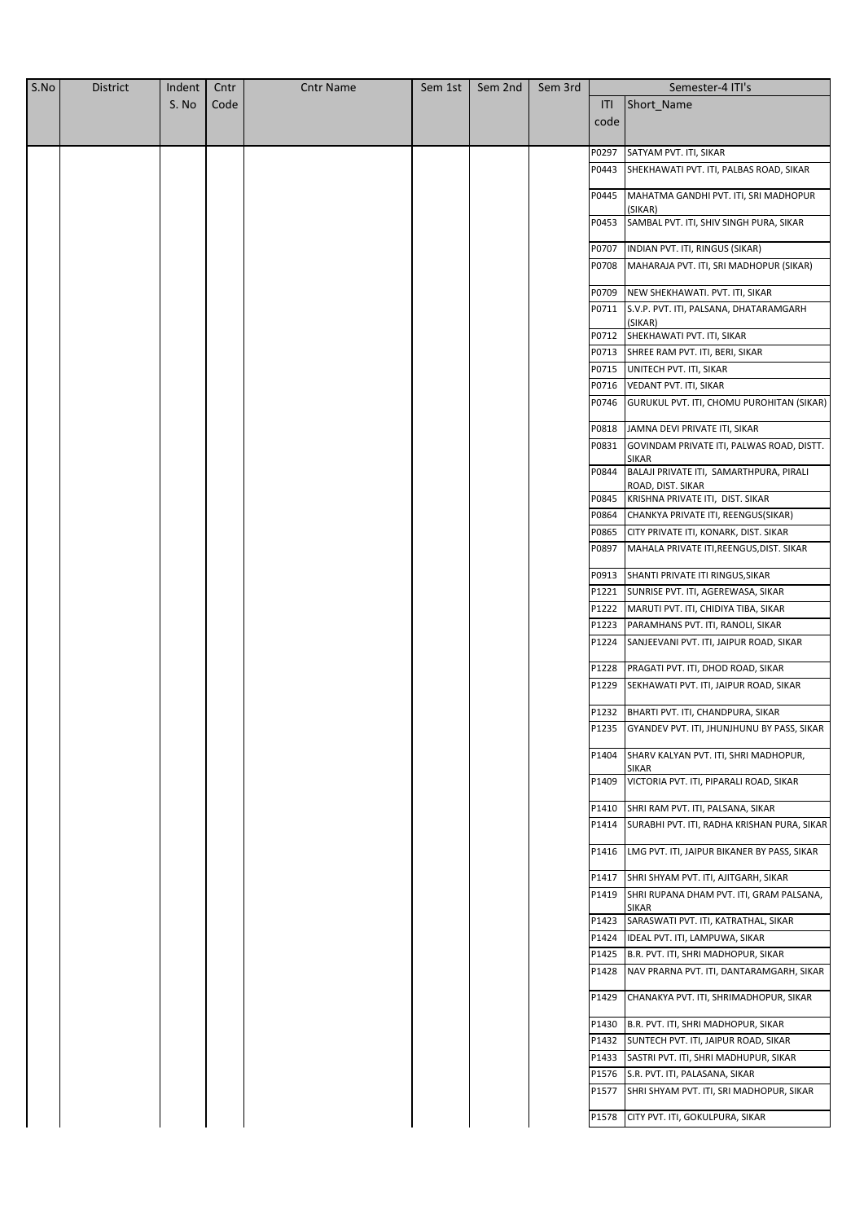| S.No | <b>District</b> | Indent | Cntr | <b>Cntr Name</b> | Sem 1st | Sem 2nd | Sem 3rd |                | Semester-4 ITI's                                             |
|------|-----------------|--------|------|------------------|---------|---------|---------|----------------|--------------------------------------------------------------|
|      |                 | S. No  | Code |                  |         |         |         | ITI            | Short_Name                                                   |
|      |                 |        |      |                  |         |         |         | code           |                                                              |
|      |                 |        |      |                  |         |         |         |                |                                                              |
|      |                 |        |      |                  |         |         |         | P0297          | SATYAM PVT. ITI, SIKAR                                       |
|      |                 |        |      |                  |         |         |         | P0443          | SHEKHAWATI PVT. ITI, PALBAS ROAD, SIKAR                      |
|      |                 |        |      |                  |         |         |         | P0445          | MAHATMA GANDHI PVT. ITI, SRI MADHOPUR<br>(SIKAR)             |
|      |                 |        |      |                  |         |         |         | P0453          | SAMBAL PVT. ITI, SHIV SINGH PURA, SIKAR                      |
|      |                 |        |      |                  |         |         |         | P0707          | INDIAN PVT. ITI, RINGUS (SIKAR)                              |
|      |                 |        |      |                  |         |         |         | P0708          | MAHARAJA PVT. ITI, SRI MADHOPUR (SIKAR)                      |
|      |                 |        |      |                  |         |         |         | P0709          | NEW SHEKHAWATI. PVT. ITI, SIKAR                              |
|      |                 |        |      |                  |         |         |         | P0711          | S.V.P. PVT. ITI, PALSANA, DHATARAMGARH                       |
|      |                 |        |      |                  |         |         |         | P0712          | (SIKAR)<br>SHEKHAWATI PVT. ITI, SIKAR                        |
|      |                 |        |      |                  |         |         |         | P0713          | SHREE RAM PVT. ITI, BERI, SIKAR                              |
|      |                 |        |      |                  |         |         |         | P0715          | UNITECH PVT. ITI, SIKAR                                      |
|      |                 |        |      |                  |         |         |         | P0716          | VEDANT PVT. ITI, SIKAR                                       |
|      |                 |        |      |                  |         |         |         | P0746          | GURUKUL PVT. ITI, CHOMU PUROHITAN (SIKAR)                    |
|      |                 |        |      |                  |         |         |         |                |                                                              |
|      |                 |        |      |                  |         |         |         | P0818<br>P0831 | JAMNA DEVI PRIVATE ITI, SIKAR                                |
|      |                 |        |      |                  |         |         |         |                | GOVINDAM PRIVATE ITI, PALWAS ROAD, DISTT.<br><b>SIKAR</b>    |
|      |                 |        |      |                  |         |         |         | P0844          | BALAJI PRIVATE ITI, SAMARTHPURA, PIRALI<br>ROAD, DIST. SIKAR |
|      |                 |        |      |                  |         |         |         | P0845          | KRISHNA PRIVATE ITI, DIST. SIKAR                             |
|      |                 |        |      |                  |         |         |         | P0864          | CHANKYA PRIVATE ITI, REENGUS(SIKAR)                          |
|      |                 |        |      |                  |         |         |         | P0865          | CITY PRIVATE ITI, KONARK, DIST. SIKAR                        |
|      |                 |        |      |                  |         |         |         | P0897          | MAHALA PRIVATE ITI, REENGUS, DIST. SIKAR                     |
|      |                 |        |      |                  |         |         |         | P0913          | SHANTI PRIVATE ITI RINGUS, SIKAR                             |
|      |                 |        |      |                  |         |         |         | P1221          | SUNRISE PVT. ITI, AGEREWASA, SIKAR                           |
|      |                 |        |      |                  |         |         |         | P1222          | MARUTI PVT. ITI, CHIDIYA TIBA, SIKAR                         |
|      |                 |        |      |                  |         |         |         | P1223          | PARAMHANS PVT. ITI, RANOLI, SIKAR                            |
|      |                 |        |      |                  |         |         |         | P1224          | SANJEEVANI PVT. ITI, JAIPUR ROAD, SIKAR                      |
|      |                 |        |      |                  |         |         |         | P1228          | PRAGATI PVT. ITI, DHOD ROAD, SIKAR                           |
|      |                 |        |      |                  |         |         |         | P1229          | SEKHAWATI PVT. ITI, JAIPUR ROAD, SIKAR                       |
|      |                 |        |      |                  |         |         |         |                |                                                              |
|      |                 |        |      |                  |         |         |         | P1232          | BHARTI PVT. ITI, CHANDPURA, SIKAR                            |
|      |                 |        |      |                  |         |         |         |                | P1235 GYANDEV PVT. ITI, JHUNJHUNU BY PASS, SIKAR             |
|      |                 |        |      |                  |         |         |         | P1404          | SHARV KALYAN PVT. ITI, SHRI MADHOPUR,<br><b>SIKAR</b>        |
|      |                 |        |      |                  |         |         |         | P1409          | VICTORIA PVT. ITI, PIPARALI ROAD, SIKAR                      |
|      |                 |        |      |                  |         |         |         | P1410          | SHRI RAM PVT. ITI, PALSANA, SIKAR                            |
|      |                 |        |      |                  |         |         |         | P1414          | SURABHI PVT. ITI, RADHA KRISHAN PURA, SIKAR                  |
|      |                 |        |      |                  |         |         |         | P1416          | LMG PVT. ITI, JAIPUR BIKANER BY PASS, SIKAR                  |
|      |                 |        |      |                  |         |         |         | P1417          | SHRI SHYAM PVT. ITI, AJITGARH, SIKAR                         |
|      |                 |        |      |                  |         |         |         | P1419          | SHRI RUPANA DHAM PVT. ITI, GRAM PALSANA,                     |
|      |                 |        |      |                  |         |         |         |                | <b>SIKAR</b>                                                 |
|      |                 |        |      |                  |         |         |         | P1423          | SARASWATI PVT. ITI, KATRATHAL, SIKAR                         |
|      |                 |        |      |                  |         |         |         | P1424          | IDEAL PVT. ITI, LAMPUWA, SIKAR                               |
|      |                 |        |      |                  |         |         |         | P1425          | B.R. PVT. ITI, SHRI MADHOPUR, SIKAR                          |
|      |                 |        |      |                  |         |         |         | P1428          | NAV PRARNA PVT. ITI, DANTARAMGARH, SIKAR                     |
|      |                 |        |      |                  |         |         |         | P1429          | CHANAKYA PVT. ITI, SHRIMADHOPUR, SIKAR                       |
|      |                 |        |      |                  |         |         |         | P1430          | B.R. PVT. ITI, SHRI MADHOPUR, SIKAR                          |
|      |                 |        |      |                  |         |         |         | P1432          | SUNTECH PVT. ITI, JAIPUR ROAD, SIKAR                         |
|      |                 |        |      |                  |         |         |         | P1433          | SASTRI PVT. ITI, SHRI MADHUPUR, SIKAR                        |
|      |                 |        |      |                  |         |         |         | P1576          | S.R. PVT. ITI, PALASANA, SIKAR                               |
|      |                 |        |      |                  |         |         |         | P1577          | SHRI SHYAM PVT. ITI, SRI MADHOPUR, SIKAR                     |
|      |                 |        |      |                  |         |         |         | P1578          | CITY PVT. ITI, GOKULPURA, SIKAR                              |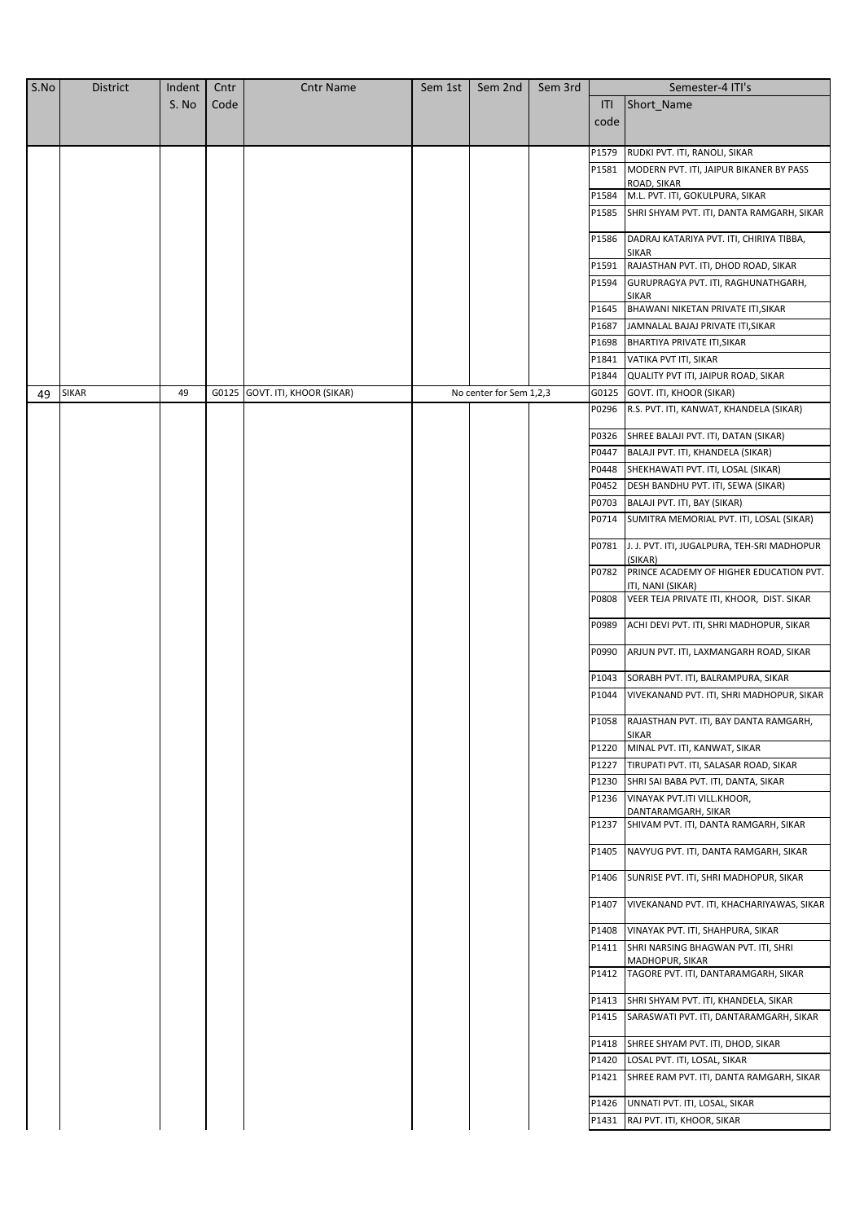| S. No<br>Code<br>Short Name<br>ITI<br>code<br>P1579<br>RUDKI PVT. ITI, RANOLI, SIKAR<br>P1581<br>MODERN PVT. ITI, JAIPUR BIKANER BY PASS<br>ROAD, SIKAR<br>M.L. PVT. ITI, GOKULPURA, SIKAR<br>P1584<br>P1585<br>SHRI SHYAM PVT. ITI, DANTA RAMGARH, SIKAR<br>P1586<br>DADRAJ KATARIYA PVT. ITI, CHIRIYA TIBBA,<br>SIKAR<br>P1591<br>RAJASTHAN PVT. ITI, DHOD ROAD, SIKAR<br>P1594<br>GURUPRAGYA PVT. ITI, RAGHUNATHGARH,<br>SIKAR<br>P1645<br>BHAWANI NIKETAN PRIVATE ITI, SIKAR<br>P1687<br>JAMNALAL BAJAJ PRIVATE ITI, SIKAR<br>P1698<br>BHARTIYA PRIVATE ITI, SIKAR<br>P1841<br>VATIKA PVT ITI, SIKAR<br>P1844<br>QUALITY PVT ITI, JAIPUR ROAD, SIKAR<br>49<br>No center for Sem 1,2,3<br><b>SIKAR</b><br>G0125 GOVT. ITI, KHOOR (SIKAR)<br>G0125<br>GOVT. ITI, KHOOR (SIKAR)<br>49<br>R.S. PVT. ITI, KANWAT, KHANDELA (SIKAR)<br>P0296<br>P0326<br>SHREE BALAJI PVT. ITI, DATAN (SIKAR)<br>P0447<br>BALAJI PVT. ITI, KHANDELA (SIKAR)<br>P0448<br>SHEKHAWATI PVT. ITI, LOSAL (SIKAR)<br>P0452<br>DESH BANDHU PVT. ITI, SEWA (SIKAR)<br>P0703<br>BALAJI PVT. ITI, BAY (SIKAR)<br>P0714<br>SUMITRA MEMORIAL PVT. ITI, LOSAL (SIKAR)<br>P0781<br>J. J. PVT. ITI, JUGALPURA, TEH-SRI MADHOPUR<br>(SIKAR)<br>P0782<br>PRINCE ACADEMY OF HIGHER EDUCATION PVT.<br>ITI, NANI (SIKAR)<br>P0808<br>VEER TEJA PRIVATE ITI, KHOOR, DIST. SIKAR<br>P0989<br>ACHI DEVI PVT. ITI, SHRI MADHOPUR, SIKAR<br>P0990<br>ARJUN PVT. ITI, LAXMANGARH ROAD, SIKAR<br>P1043<br>SORABH PVT. ITI, BALRAMPURA, SIKAR<br>P1044<br>VIVEKANAND PVT. ITI, SHRI MADHOPUR, SIKAR<br>P1058<br>RAJASTHAN PVT. ITI, BAY DANTA RAMGARH,<br>SIKAR<br>P1220<br>MINAL PVT. ITI, KANWAT, SIKAR<br>P1227<br>TIRUPATI PVT. ITI, SALASAR ROAD, SIKAR<br>P1230<br>SHRI SAI BABA PVT. ITI, DANTA, SIKAR<br>P1236<br>VINAYAK PVT.ITI VILL.KHOOR,<br>DANTARAMGARH, SIKAR<br>P1237<br>SHIVAM PVT. ITI, DANTA RAMGARH, SIKAR<br>P1405<br>NAVYUG PVT. ITI, DANTA RAMGARH, SIKAR<br>P1406<br>SUNRISE PVT. ITI, SHRI MADHOPUR, SIKAR<br>P1407<br>VIVEKANAND PVT. ITI, KHACHARIYAWAS, SIKAR<br>P1408<br>VINAYAK PVT. ITI, SHAHPURA, SIKAR<br>P1411<br>SHRI NARSING BHAGWAN PVT. ITI, SHRI<br>MADHOPUR, SIKAR<br>P1412<br>TAGORE PVT. ITI, DANTARAMGARH, SIKAR<br>P1413<br>SHRI SHYAM PVT. ITI, KHANDELA, SIKAR<br>P1415<br>SARASWATI PVT. ITI, DANTARAMGARH, SIKAR<br>P1418<br>SHREE SHYAM PVT. ITI, DHOD, SIKAR<br>P1420<br>LOSAL PVT. ITI, LOSAL, SIKAR<br>P1421<br>SHREE RAM PVT. ITI, DANTA RAMGARH, SIKAR<br>P1426<br>UNNATI PVT. ITI, LOSAL, SIKAR<br>P1431<br>RAJ PVT. ITI, KHOOR, SIKAR | S.No | <b>District</b> | Indent | Cntr | <b>Cntr Name</b> | Sem 1st | Sem 2nd | Sem 3rd | Semester-4 ITI's |
|------------------------------------------------------------------------------------------------------------------------------------------------------------------------------------------------------------------------------------------------------------------------------------------------------------------------------------------------------------------------------------------------------------------------------------------------------------------------------------------------------------------------------------------------------------------------------------------------------------------------------------------------------------------------------------------------------------------------------------------------------------------------------------------------------------------------------------------------------------------------------------------------------------------------------------------------------------------------------------------------------------------------------------------------------------------------------------------------------------------------------------------------------------------------------------------------------------------------------------------------------------------------------------------------------------------------------------------------------------------------------------------------------------------------------------------------------------------------------------------------------------------------------------------------------------------------------------------------------------------------------------------------------------------------------------------------------------------------------------------------------------------------------------------------------------------------------------------------------------------------------------------------------------------------------------------------------------------------------------------------------------------------------------------------------------------------------------------------------------------------------------------------------------------------------------------------------------------------------------------------------------------------------------------------------------------------------------------------------------------------------------------------------------------------------------------------------------------------------------------------------------------------------------------------|------|-----------------|--------|------|------------------|---------|---------|---------|------------------|
|                                                                                                                                                                                                                                                                                                                                                                                                                                                                                                                                                                                                                                                                                                                                                                                                                                                                                                                                                                                                                                                                                                                                                                                                                                                                                                                                                                                                                                                                                                                                                                                                                                                                                                                                                                                                                                                                                                                                                                                                                                                                                                                                                                                                                                                                                                                                                                                                                                                                                                                                                |      |                 |        |      |                  |         |         |         |                  |
|                                                                                                                                                                                                                                                                                                                                                                                                                                                                                                                                                                                                                                                                                                                                                                                                                                                                                                                                                                                                                                                                                                                                                                                                                                                                                                                                                                                                                                                                                                                                                                                                                                                                                                                                                                                                                                                                                                                                                                                                                                                                                                                                                                                                                                                                                                                                                                                                                                                                                                                                                |      |                 |        |      |                  |         |         |         |                  |
|                                                                                                                                                                                                                                                                                                                                                                                                                                                                                                                                                                                                                                                                                                                                                                                                                                                                                                                                                                                                                                                                                                                                                                                                                                                                                                                                                                                                                                                                                                                                                                                                                                                                                                                                                                                                                                                                                                                                                                                                                                                                                                                                                                                                                                                                                                                                                                                                                                                                                                                                                |      |                 |        |      |                  |         |         |         |                  |
|                                                                                                                                                                                                                                                                                                                                                                                                                                                                                                                                                                                                                                                                                                                                                                                                                                                                                                                                                                                                                                                                                                                                                                                                                                                                                                                                                                                                                                                                                                                                                                                                                                                                                                                                                                                                                                                                                                                                                                                                                                                                                                                                                                                                                                                                                                                                                                                                                                                                                                                                                |      |                 |        |      |                  |         |         |         |                  |
|                                                                                                                                                                                                                                                                                                                                                                                                                                                                                                                                                                                                                                                                                                                                                                                                                                                                                                                                                                                                                                                                                                                                                                                                                                                                                                                                                                                                                                                                                                                                                                                                                                                                                                                                                                                                                                                                                                                                                                                                                                                                                                                                                                                                                                                                                                                                                                                                                                                                                                                                                |      |                 |        |      |                  |         |         |         |                  |
|                                                                                                                                                                                                                                                                                                                                                                                                                                                                                                                                                                                                                                                                                                                                                                                                                                                                                                                                                                                                                                                                                                                                                                                                                                                                                                                                                                                                                                                                                                                                                                                                                                                                                                                                                                                                                                                                                                                                                                                                                                                                                                                                                                                                                                                                                                                                                                                                                                                                                                                                                |      |                 |        |      |                  |         |         |         |                  |
|                                                                                                                                                                                                                                                                                                                                                                                                                                                                                                                                                                                                                                                                                                                                                                                                                                                                                                                                                                                                                                                                                                                                                                                                                                                                                                                                                                                                                                                                                                                                                                                                                                                                                                                                                                                                                                                                                                                                                                                                                                                                                                                                                                                                                                                                                                                                                                                                                                                                                                                                                |      |                 |        |      |                  |         |         |         |                  |
|                                                                                                                                                                                                                                                                                                                                                                                                                                                                                                                                                                                                                                                                                                                                                                                                                                                                                                                                                                                                                                                                                                                                                                                                                                                                                                                                                                                                                                                                                                                                                                                                                                                                                                                                                                                                                                                                                                                                                                                                                                                                                                                                                                                                                                                                                                                                                                                                                                                                                                                                                |      |                 |        |      |                  |         |         |         |                  |
|                                                                                                                                                                                                                                                                                                                                                                                                                                                                                                                                                                                                                                                                                                                                                                                                                                                                                                                                                                                                                                                                                                                                                                                                                                                                                                                                                                                                                                                                                                                                                                                                                                                                                                                                                                                                                                                                                                                                                                                                                                                                                                                                                                                                                                                                                                                                                                                                                                                                                                                                                |      |                 |        |      |                  |         |         |         |                  |
|                                                                                                                                                                                                                                                                                                                                                                                                                                                                                                                                                                                                                                                                                                                                                                                                                                                                                                                                                                                                                                                                                                                                                                                                                                                                                                                                                                                                                                                                                                                                                                                                                                                                                                                                                                                                                                                                                                                                                                                                                                                                                                                                                                                                                                                                                                                                                                                                                                                                                                                                                |      |                 |        |      |                  |         |         |         |                  |
|                                                                                                                                                                                                                                                                                                                                                                                                                                                                                                                                                                                                                                                                                                                                                                                                                                                                                                                                                                                                                                                                                                                                                                                                                                                                                                                                                                                                                                                                                                                                                                                                                                                                                                                                                                                                                                                                                                                                                                                                                                                                                                                                                                                                                                                                                                                                                                                                                                                                                                                                                |      |                 |        |      |                  |         |         |         |                  |
|                                                                                                                                                                                                                                                                                                                                                                                                                                                                                                                                                                                                                                                                                                                                                                                                                                                                                                                                                                                                                                                                                                                                                                                                                                                                                                                                                                                                                                                                                                                                                                                                                                                                                                                                                                                                                                                                                                                                                                                                                                                                                                                                                                                                                                                                                                                                                                                                                                                                                                                                                |      |                 |        |      |                  |         |         |         |                  |
|                                                                                                                                                                                                                                                                                                                                                                                                                                                                                                                                                                                                                                                                                                                                                                                                                                                                                                                                                                                                                                                                                                                                                                                                                                                                                                                                                                                                                                                                                                                                                                                                                                                                                                                                                                                                                                                                                                                                                                                                                                                                                                                                                                                                                                                                                                                                                                                                                                                                                                                                                |      |                 |        |      |                  |         |         |         |                  |
|                                                                                                                                                                                                                                                                                                                                                                                                                                                                                                                                                                                                                                                                                                                                                                                                                                                                                                                                                                                                                                                                                                                                                                                                                                                                                                                                                                                                                                                                                                                                                                                                                                                                                                                                                                                                                                                                                                                                                                                                                                                                                                                                                                                                                                                                                                                                                                                                                                                                                                                                                |      |                 |        |      |                  |         |         |         |                  |
|                                                                                                                                                                                                                                                                                                                                                                                                                                                                                                                                                                                                                                                                                                                                                                                                                                                                                                                                                                                                                                                                                                                                                                                                                                                                                                                                                                                                                                                                                                                                                                                                                                                                                                                                                                                                                                                                                                                                                                                                                                                                                                                                                                                                                                                                                                                                                                                                                                                                                                                                                |      |                 |        |      |                  |         |         |         |                  |
|                                                                                                                                                                                                                                                                                                                                                                                                                                                                                                                                                                                                                                                                                                                                                                                                                                                                                                                                                                                                                                                                                                                                                                                                                                                                                                                                                                                                                                                                                                                                                                                                                                                                                                                                                                                                                                                                                                                                                                                                                                                                                                                                                                                                                                                                                                                                                                                                                                                                                                                                                |      |                 |        |      |                  |         |         |         |                  |
|                                                                                                                                                                                                                                                                                                                                                                                                                                                                                                                                                                                                                                                                                                                                                                                                                                                                                                                                                                                                                                                                                                                                                                                                                                                                                                                                                                                                                                                                                                                                                                                                                                                                                                                                                                                                                                                                                                                                                                                                                                                                                                                                                                                                                                                                                                                                                                                                                                                                                                                                                |      |                 |        |      |                  |         |         |         |                  |
|                                                                                                                                                                                                                                                                                                                                                                                                                                                                                                                                                                                                                                                                                                                                                                                                                                                                                                                                                                                                                                                                                                                                                                                                                                                                                                                                                                                                                                                                                                                                                                                                                                                                                                                                                                                                                                                                                                                                                                                                                                                                                                                                                                                                                                                                                                                                                                                                                                                                                                                                                |      |                 |        |      |                  |         |         |         |                  |
|                                                                                                                                                                                                                                                                                                                                                                                                                                                                                                                                                                                                                                                                                                                                                                                                                                                                                                                                                                                                                                                                                                                                                                                                                                                                                                                                                                                                                                                                                                                                                                                                                                                                                                                                                                                                                                                                                                                                                                                                                                                                                                                                                                                                                                                                                                                                                                                                                                                                                                                                                |      |                 |        |      |                  |         |         |         |                  |
|                                                                                                                                                                                                                                                                                                                                                                                                                                                                                                                                                                                                                                                                                                                                                                                                                                                                                                                                                                                                                                                                                                                                                                                                                                                                                                                                                                                                                                                                                                                                                                                                                                                                                                                                                                                                                                                                                                                                                                                                                                                                                                                                                                                                                                                                                                                                                                                                                                                                                                                                                |      |                 |        |      |                  |         |         |         |                  |
|                                                                                                                                                                                                                                                                                                                                                                                                                                                                                                                                                                                                                                                                                                                                                                                                                                                                                                                                                                                                                                                                                                                                                                                                                                                                                                                                                                                                                                                                                                                                                                                                                                                                                                                                                                                                                                                                                                                                                                                                                                                                                                                                                                                                                                                                                                                                                                                                                                                                                                                                                |      |                 |        |      |                  |         |         |         |                  |
|                                                                                                                                                                                                                                                                                                                                                                                                                                                                                                                                                                                                                                                                                                                                                                                                                                                                                                                                                                                                                                                                                                                                                                                                                                                                                                                                                                                                                                                                                                                                                                                                                                                                                                                                                                                                                                                                                                                                                                                                                                                                                                                                                                                                                                                                                                                                                                                                                                                                                                                                                |      |                 |        |      |                  |         |         |         |                  |
|                                                                                                                                                                                                                                                                                                                                                                                                                                                                                                                                                                                                                                                                                                                                                                                                                                                                                                                                                                                                                                                                                                                                                                                                                                                                                                                                                                                                                                                                                                                                                                                                                                                                                                                                                                                                                                                                                                                                                                                                                                                                                                                                                                                                                                                                                                                                                                                                                                                                                                                                                |      |                 |        |      |                  |         |         |         |                  |
|                                                                                                                                                                                                                                                                                                                                                                                                                                                                                                                                                                                                                                                                                                                                                                                                                                                                                                                                                                                                                                                                                                                                                                                                                                                                                                                                                                                                                                                                                                                                                                                                                                                                                                                                                                                                                                                                                                                                                                                                                                                                                                                                                                                                                                                                                                                                                                                                                                                                                                                                                |      |                 |        |      |                  |         |         |         |                  |
|                                                                                                                                                                                                                                                                                                                                                                                                                                                                                                                                                                                                                                                                                                                                                                                                                                                                                                                                                                                                                                                                                                                                                                                                                                                                                                                                                                                                                                                                                                                                                                                                                                                                                                                                                                                                                                                                                                                                                                                                                                                                                                                                                                                                                                                                                                                                                                                                                                                                                                                                                |      |                 |        |      |                  |         |         |         |                  |
|                                                                                                                                                                                                                                                                                                                                                                                                                                                                                                                                                                                                                                                                                                                                                                                                                                                                                                                                                                                                                                                                                                                                                                                                                                                                                                                                                                                                                                                                                                                                                                                                                                                                                                                                                                                                                                                                                                                                                                                                                                                                                                                                                                                                                                                                                                                                                                                                                                                                                                                                                |      |                 |        |      |                  |         |         |         |                  |
|                                                                                                                                                                                                                                                                                                                                                                                                                                                                                                                                                                                                                                                                                                                                                                                                                                                                                                                                                                                                                                                                                                                                                                                                                                                                                                                                                                                                                                                                                                                                                                                                                                                                                                                                                                                                                                                                                                                                                                                                                                                                                                                                                                                                                                                                                                                                                                                                                                                                                                                                                |      |                 |        |      |                  |         |         |         |                  |
|                                                                                                                                                                                                                                                                                                                                                                                                                                                                                                                                                                                                                                                                                                                                                                                                                                                                                                                                                                                                                                                                                                                                                                                                                                                                                                                                                                                                                                                                                                                                                                                                                                                                                                                                                                                                                                                                                                                                                                                                                                                                                                                                                                                                                                                                                                                                                                                                                                                                                                                                                |      |                 |        |      |                  |         |         |         |                  |
|                                                                                                                                                                                                                                                                                                                                                                                                                                                                                                                                                                                                                                                                                                                                                                                                                                                                                                                                                                                                                                                                                                                                                                                                                                                                                                                                                                                                                                                                                                                                                                                                                                                                                                                                                                                                                                                                                                                                                                                                                                                                                                                                                                                                                                                                                                                                                                                                                                                                                                                                                |      |                 |        |      |                  |         |         |         |                  |
|                                                                                                                                                                                                                                                                                                                                                                                                                                                                                                                                                                                                                                                                                                                                                                                                                                                                                                                                                                                                                                                                                                                                                                                                                                                                                                                                                                                                                                                                                                                                                                                                                                                                                                                                                                                                                                                                                                                                                                                                                                                                                                                                                                                                                                                                                                                                                                                                                                                                                                                                                |      |                 |        |      |                  |         |         |         |                  |
|                                                                                                                                                                                                                                                                                                                                                                                                                                                                                                                                                                                                                                                                                                                                                                                                                                                                                                                                                                                                                                                                                                                                                                                                                                                                                                                                                                                                                                                                                                                                                                                                                                                                                                                                                                                                                                                                                                                                                                                                                                                                                                                                                                                                                                                                                                                                                                                                                                                                                                                                                |      |                 |        |      |                  |         |         |         |                  |
|                                                                                                                                                                                                                                                                                                                                                                                                                                                                                                                                                                                                                                                                                                                                                                                                                                                                                                                                                                                                                                                                                                                                                                                                                                                                                                                                                                                                                                                                                                                                                                                                                                                                                                                                                                                                                                                                                                                                                                                                                                                                                                                                                                                                                                                                                                                                                                                                                                                                                                                                                |      |                 |        |      |                  |         |         |         |                  |
|                                                                                                                                                                                                                                                                                                                                                                                                                                                                                                                                                                                                                                                                                                                                                                                                                                                                                                                                                                                                                                                                                                                                                                                                                                                                                                                                                                                                                                                                                                                                                                                                                                                                                                                                                                                                                                                                                                                                                                                                                                                                                                                                                                                                                                                                                                                                                                                                                                                                                                                                                |      |                 |        |      |                  |         |         |         |                  |
|                                                                                                                                                                                                                                                                                                                                                                                                                                                                                                                                                                                                                                                                                                                                                                                                                                                                                                                                                                                                                                                                                                                                                                                                                                                                                                                                                                                                                                                                                                                                                                                                                                                                                                                                                                                                                                                                                                                                                                                                                                                                                                                                                                                                                                                                                                                                                                                                                                                                                                                                                |      |                 |        |      |                  |         |         |         |                  |
|                                                                                                                                                                                                                                                                                                                                                                                                                                                                                                                                                                                                                                                                                                                                                                                                                                                                                                                                                                                                                                                                                                                                                                                                                                                                                                                                                                                                                                                                                                                                                                                                                                                                                                                                                                                                                                                                                                                                                                                                                                                                                                                                                                                                                                                                                                                                                                                                                                                                                                                                                |      |                 |        |      |                  |         |         |         |                  |
|                                                                                                                                                                                                                                                                                                                                                                                                                                                                                                                                                                                                                                                                                                                                                                                                                                                                                                                                                                                                                                                                                                                                                                                                                                                                                                                                                                                                                                                                                                                                                                                                                                                                                                                                                                                                                                                                                                                                                                                                                                                                                                                                                                                                                                                                                                                                                                                                                                                                                                                                                |      |                 |        |      |                  |         |         |         |                  |
|                                                                                                                                                                                                                                                                                                                                                                                                                                                                                                                                                                                                                                                                                                                                                                                                                                                                                                                                                                                                                                                                                                                                                                                                                                                                                                                                                                                                                                                                                                                                                                                                                                                                                                                                                                                                                                                                                                                                                                                                                                                                                                                                                                                                                                                                                                                                                                                                                                                                                                                                                |      |                 |        |      |                  |         |         |         |                  |
|                                                                                                                                                                                                                                                                                                                                                                                                                                                                                                                                                                                                                                                                                                                                                                                                                                                                                                                                                                                                                                                                                                                                                                                                                                                                                                                                                                                                                                                                                                                                                                                                                                                                                                                                                                                                                                                                                                                                                                                                                                                                                                                                                                                                                                                                                                                                                                                                                                                                                                                                                |      |                 |        |      |                  |         |         |         |                  |
|                                                                                                                                                                                                                                                                                                                                                                                                                                                                                                                                                                                                                                                                                                                                                                                                                                                                                                                                                                                                                                                                                                                                                                                                                                                                                                                                                                                                                                                                                                                                                                                                                                                                                                                                                                                                                                                                                                                                                                                                                                                                                                                                                                                                                                                                                                                                                                                                                                                                                                                                                |      |                 |        |      |                  |         |         |         |                  |
|                                                                                                                                                                                                                                                                                                                                                                                                                                                                                                                                                                                                                                                                                                                                                                                                                                                                                                                                                                                                                                                                                                                                                                                                                                                                                                                                                                                                                                                                                                                                                                                                                                                                                                                                                                                                                                                                                                                                                                                                                                                                                                                                                                                                                                                                                                                                                                                                                                                                                                                                                |      |                 |        |      |                  |         |         |         |                  |
|                                                                                                                                                                                                                                                                                                                                                                                                                                                                                                                                                                                                                                                                                                                                                                                                                                                                                                                                                                                                                                                                                                                                                                                                                                                                                                                                                                                                                                                                                                                                                                                                                                                                                                                                                                                                                                                                                                                                                                                                                                                                                                                                                                                                                                                                                                                                                                                                                                                                                                                                                |      |                 |        |      |                  |         |         |         |                  |
|                                                                                                                                                                                                                                                                                                                                                                                                                                                                                                                                                                                                                                                                                                                                                                                                                                                                                                                                                                                                                                                                                                                                                                                                                                                                                                                                                                                                                                                                                                                                                                                                                                                                                                                                                                                                                                                                                                                                                                                                                                                                                                                                                                                                                                                                                                                                                                                                                                                                                                                                                |      |                 |        |      |                  |         |         |         |                  |
|                                                                                                                                                                                                                                                                                                                                                                                                                                                                                                                                                                                                                                                                                                                                                                                                                                                                                                                                                                                                                                                                                                                                                                                                                                                                                                                                                                                                                                                                                                                                                                                                                                                                                                                                                                                                                                                                                                                                                                                                                                                                                                                                                                                                                                                                                                                                                                                                                                                                                                                                                |      |                 |        |      |                  |         |         |         |                  |
|                                                                                                                                                                                                                                                                                                                                                                                                                                                                                                                                                                                                                                                                                                                                                                                                                                                                                                                                                                                                                                                                                                                                                                                                                                                                                                                                                                                                                                                                                                                                                                                                                                                                                                                                                                                                                                                                                                                                                                                                                                                                                                                                                                                                                                                                                                                                                                                                                                                                                                                                                |      |                 |        |      |                  |         |         |         |                  |
|                                                                                                                                                                                                                                                                                                                                                                                                                                                                                                                                                                                                                                                                                                                                                                                                                                                                                                                                                                                                                                                                                                                                                                                                                                                                                                                                                                                                                                                                                                                                                                                                                                                                                                                                                                                                                                                                                                                                                                                                                                                                                                                                                                                                                                                                                                                                                                                                                                                                                                                                                |      |                 |        |      |                  |         |         |         |                  |
|                                                                                                                                                                                                                                                                                                                                                                                                                                                                                                                                                                                                                                                                                                                                                                                                                                                                                                                                                                                                                                                                                                                                                                                                                                                                                                                                                                                                                                                                                                                                                                                                                                                                                                                                                                                                                                                                                                                                                                                                                                                                                                                                                                                                                                                                                                                                                                                                                                                                                                                                                |      |                 |        |      |                  |         |         |         |                  |
|                                                                                                                                                                                                                                                                                                                                                                                                                                                                                                                                                                                                                                                                                                                                                                                                                                                                                                                                                                                                                                                                                                                                                                                                                                                                                                                                                                                                                                                                                                                                                                                                                                                                                                                                                                                                                                                                                                                                                                                                                                                                                                                                                                                                                                                                                                                                                                                                                                                                                                                                                |      |                 |        |      |                  |         |         |         |                  |
|                                                                                                                                                                                                                                                                                                                                                                                                                                                                                                                                                                                                                                                                                                                                                                                                                                                                                                                                                                                                                                                                                                                                                                                                                                                                                                                                                                                                                                                                                                                                                                                                                                                                                                                                                                                                                                                                                                                                                                                                                                                                                                                                                                                                                                                                                                                                                                                                                                                                                                                                                |      |                 |        |      |                  |         |         |         |                  |
|                                                                                                                                                                                                                                                                                                                                                                                                                                                                                                                                                                                                                                                                                                                                                                                                                                                                                                                                                                                                                                                                                                                                                                                                                                                                                                                                                                                                                                                                                                                                                                                                                                                                                                                                                                                                                                                                                                                                                                                                                                                                                                                                                                                                                                                                                                                                                                                                                                                                                                                                                |      |                 |        |      |                  |         |         |         |                  |
|                                                                                                                                                                                                                                                                                                                                                                                                                                                                                                                                                                                                                                                                                                                                                                                                                                                                                                                                                                                                                                                                                                                                                                                                                                                                                                                                                                                                                                                                                                                                                                                                                                                                                                                                                                                                                                                                                                                                                                                                                                                                                                                                                                                                                                                                                                                                                                                                                                                                                                                                                |      |                 |        |      |                  |         |         |         |                  |
|                                                                                                                                                                                                                                                                                                                                                                                                                                                                                                                                                                                                                                                                                                                                                                                                                                                                                                                                                                                                                                                                                                                                                                                                                                                                                                                                                                                                                                                                                                                                                                                                                                                                                                                                                                                                                                                                                                                                                                                                                                                                                                                                                                                                                                                                                                                                                                                                                                                                                                                                                |      |                 |        |      |                  |         |         |         |                  |
|                                                                                                                                                                                                                                                                                                                                                                                                                                                                                                                                                                                                                                                                                                                                                                                                                                                                                                                                                                                                                                                                                                                                                                                                                                                                                                                                                                                                                                                                                                                                                                                                                                                                                                                                                                                                                                                                                                                                                                                                                                                                                                                                                                                                                                                                                                                                                                                                                                                                                                                                                |      |                 |        |      |                  |         |         |         |                  |
|                                                                                                                                                                                                                                                                                                                                                                                                                                                                                                                                                                                                                                                                                                                                                                                                                                                                                                                                                                                                                                                                                                                                                                                                                                                                                                                                                                                                                                                                                                                                                                                                                                                                                                                                                                                                                                                                                                                                                                                                                                                                                                                                                                                                                                                                                                                                                                                                                                                                                                                                                |      |                 |        |      |                  |         |         |         |                  |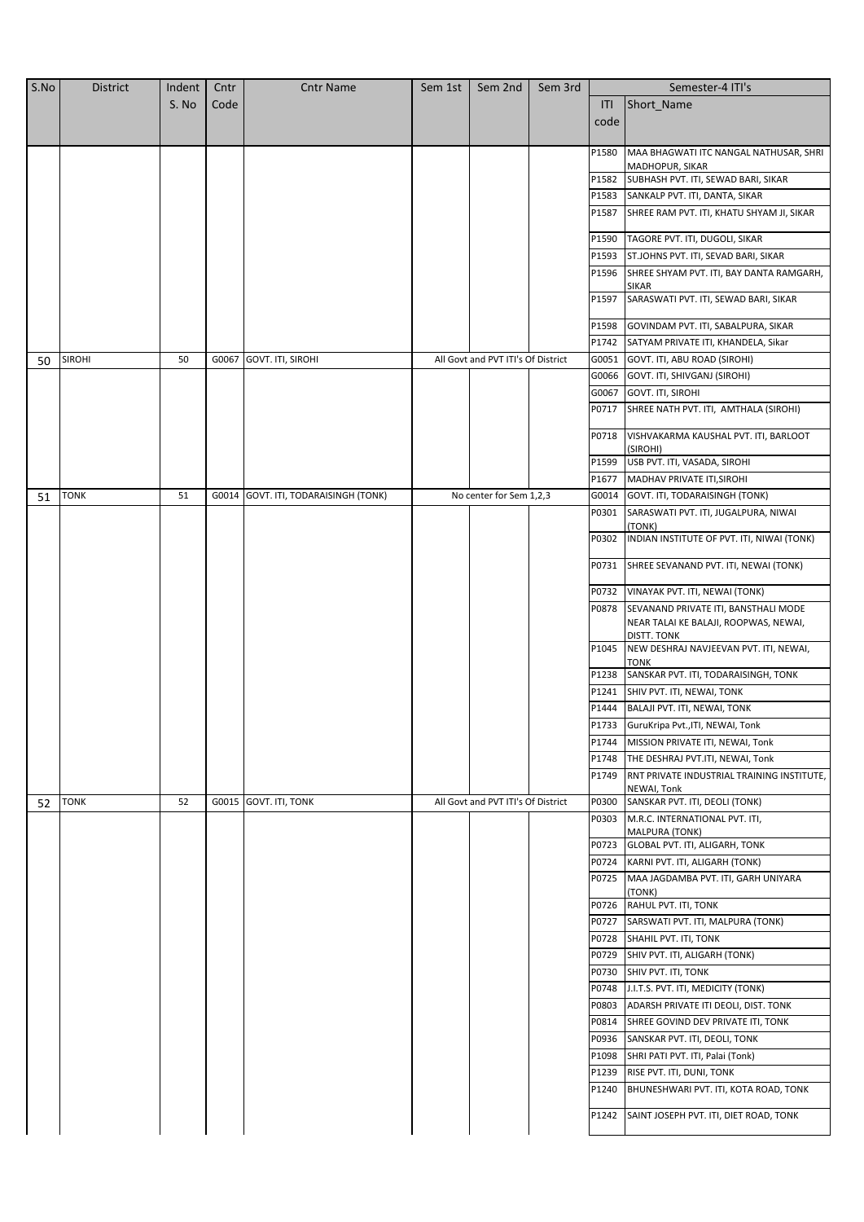| S.No | <b>District</b> | Indent | Cntr  | <b>Cntr Name</b>                     | Sem 1st | Sem 2nd                            | Sem 3rd |       | Semester-4 ITI's                                      |
|------|-----------------|--------|-------|--------------------------------------|---------|------------------------------------|---------|-------|-------------------------------------------------------|
|      |                 | S. No  | Code  |                                      |         |                                    |         | ITI   | Short_Name                                            |
|      |                 |        |       |                                      |         |                                    |         | code  |                                                       |
|      |                 |        |       |                                      |         |                                    |         |       |                                                       |
|      |                 |        |       |                                      |         |                                    |         | P1580 | MAA BHAGWATI ITC NANGAL NATHUSAR, SHRI                |
|      |                 |        |       |                                      |         |                                    |         |       | MADHOPUR, SIKAR                                       |
|      |                 |        |       |                                      |         |                                    |         | P1582 | SUBHASH PVT. ITI, SEWAD BARI, SIKAR                   |
|      |                 |        |       |                                      |         |                                    |         | P1583 | SANKALP PVT. ITI, DANTA, SIKAR                        |
|      |                 |        |       |                                      |         |                                    |         | P1587 | SHREE RAM PVT. ITI, KHATU SHYAM JI, SIKAR             |
|      |                 |        |       |                                      |         |                                    |         | P1590 | TAGORE PVT. ITI, DUGOLI, SIKAR                        |
|      |                 |        |       |                                      |         |                                    |         | P1593 | ST.JOHNS PVT. ITI, SEVAD BARI, SIKAR                  |
|      |                 |        |       |                                      |         |                                    |         | P1596 | SHREE SHYAM PVT. ITI, BAY DANTA RAMGARH,              |
|      |                 |        |       |                                      |         |                                    |         |       | SIKAR                                                 |
|      |                 |        |       |                                      |         |                                    |         | P1597 | SARASWATI PVT. ITI, SEWAD BARI, SIKAR                 |
|      |                 |        |       |                                      |         |                                    |         | P1598 | GOVINDAM PVT. ITI, SABALPURA, SIKAR                   |
|      |                 |        |       |                                      |         |                                    |         | P1742 | SATYAM PRIVATE ITI, KHANDELA, Sikar                   |
| 50   | <b>SIROHI</b>   | 50     | G0067 | GOVT. ITI, SIROHI                    |         | All Govt and PVT ITI's Of District |         | G0051 | GOVT. ITI, ABU ROAD (SIROHI)                          |
|      |                 |        |       |                                      |         |                                    |         | G0066 | GOVT. ITI, SHIVGANJ (SIROHI)                          |
|      |                 |        |       |                                      |         |                                    |         | G0067 | GOVT. ITI, SIROHI                                     |
|      |                 |        |       |                                      |         |                                    |         |       | P0717 SHREE NATH PVT. ITI, AMTHALA (SIROHI)           |
|      |                 |        |       |                                      |         |                                    |         |       |                                                       |
|      |                 |        |       |                                      |         |                                    |         | P0718 | VISHVAKARMA KAUSHAL PVT. ITI, BARLOOT                 |
|      |                 |        |       |                                      |         |                                    |         | P1599 | (SIROHI)<br>USB PVT. ITI, VASADA, SIROHI              |
|      |                 |        |       |                                      |         |                                    |         | P1677 | MADHAV PRIVATE ITI, SIROHI                            |
| 51   | <b>TONK</b>     | 51     |       | G0014 GOVT. ITI, TODARAISINGH (TONK) |         | No center for Sem 1,2,3            |         | G0014 | GOVT. ITI, TODARAISINGH (TONK)                        |
|      |                 |        |       |                                      |         |                                    |         | P0301 | SARASWATI PVT. ITI, JUGALPURA, NIWAI                  |
|      |                 |        |       |                                      |         |                                    |         |       | (TONK)                                                |
|      |                 |        |       |                                      |         |                                    |         | P0302 | INDIAN INSTITUTE OF PVT. ITI, NIWAI (TONK)            |
|      |                 |        |       |                                      |         |                                    |         |       |                                                       |
|      |                 |        |       |                                      |         |                                    |         | P0731 | SHREE SEVANAND PVT. ITI, NEWAI (TONK)                 |
|      |                 |        |       |                                      |         |                                    |         |       | P0732 VINAYAK PVT. ITI, NEWAI (TONK)                  |
|      |                 |        |       |                                      |         |                                    |         | P0878 | SEVANAND PRIVATE ITI, BANSTHALI MODE                  |
|      |                 |        |       |                                      |         |                                    |         |       | NEAR TALAI KE BALAJI, ROOPWAS, NEWAI,                 |
|      |                 |        |       |                                      |         |                                    |         | P1045 | DISTT. TONK<br>NEW DESHRAJ NAVJEEVAN PVT. ITI, NEWAI, |
|      |                 |        |       |                                      |         |                                    |         |       | томк                                                  |
|      |                 |        |       |                                      |         |                                    |         | P1238 | SANSKAR PVT. ITI, TODARAISINGH, TONK                  |
|      |                 |        |       |                                      |         |                                    |         | P1241 | SHIV PVT. ITI, NEWAI, TONK                            |
|      |                 |        |       |                                      |         |                                    |         | P1444 | BALAJI PVT. ITI, NEWAI, TONK                          |
|      |                 |        |       |                                      |         |                                    |         |       | P1733 GuruKripa Pvt., ITI, NEWAI, Tonk                |
|      |                 |        |       |                                      |         |                                    |         | P1744 | MISSION PRIVATE ITI, NEWAI, Tonk                      |
|      |                 |        |       |                                      |         |                                    |         | P1748 | THE DESHRAJ PVT.ITI, NEWAI, Tonk                      |
|      |                 |        |       |                                      |         |                                    |         | P1749 | RNT PRIVATE INDUSTRIAL TRAINING INSTITUTE,            |
|      |                 |        |       |                                      |         |                                    |         |       | NEWAI, Tonk                                           |
| 52   | <b>TONK</b>     | 52     |       | G0015 GOVT. ITI, TONK                |         | All Govt and PVT ITI's Of District |         | P0300 | SANSKAR PVT. ITI, DEOLI (TONK)                        |
|      |                 |        |       |                                      |         |                                    |         | P0303 | M.R.C. INTERNATIONAL PVT. ITI,<br>MALPURA (TONK)      |
|      |                 |        |       |                                      |         |                                    |         | P0723 | GLOBAL PVT. ITI, ALIGARH, TONK                        |
|      |                 |        |       |                                      |         |                                    |         | P0724 | KARNI PVT. ITI, ALIGARH (TONK)                        |
|      |                 |        |       |                                      |         |                                    |         | P0725 | MAA JAGDAMBA PVT. ITI, GARH UNIYARA                   |
|      |                 |        |       |                                      |         |                                    |         |       | (TONK)                                                |
|      |                 |        |       |                                      |         |                                    |         | P0726 | RAHUL PVT. ITI, TONK                                  |
|      |                 |        |       |                                      |         |                                    |         | P0727 | SARSWATI PVT. ITI, MALPURA (TONK)                     |
|      |                 |        |       |                                      |         |                                    |         |       | P0728 SHAHIL PVT. ITI, TONK                           |
|      |                 |        |       |                                      |         |                                    |         | P0729 | SHIV PVT. ITI, ALIGARH (TONK)                         |
|      |                 |        |       |                                      |         |                                    |         | P0730 | SHIV PVT. ITI, TONK                                   |
|      |                 |        |       |                                      |         |                                    |         | P0748 | J.I.T.S. PVT. ITI, MEDICITY (TONK)                    |
|      |                 |        |       |                                      |         |                                    |         | P0803 | ADARSH PRIVATE ITI DEOLI, DIST. TONK                  |
|      |                 |        |       |                                      |         |                                    |         | P0814 | SHREE GOVIND DEV PRIVATE ITI, TONK                    |
|      |                 |        |       |                                      |         |                                    |         | P0936 | SANSKAR PVT. ITI, DEOLI, TONK                         |
|      |                 |        |       |                                      |         |                                    |         | P1098 | SHRI PATI PVT. ITI, Palai (Tonk)                      |
|      |                 |        |       |                                      |         |                                    |         | P1239 | RISE PVT. ITI, DUNI, TONK                             |
|      |                 |        |       |                                      |         |                                    |         | P1240 | BHUNESHWARI PVT. ITI, KOTA ROAD, TONK                 |
|      |                 |        |       |                                      |         |                                    |         | P1242 | SAINT JOSEPH PVT. ITI, DIET ROAD, TONK                |
|      |                 |        |       |                                      |         |                                    |         |       |                                                       |